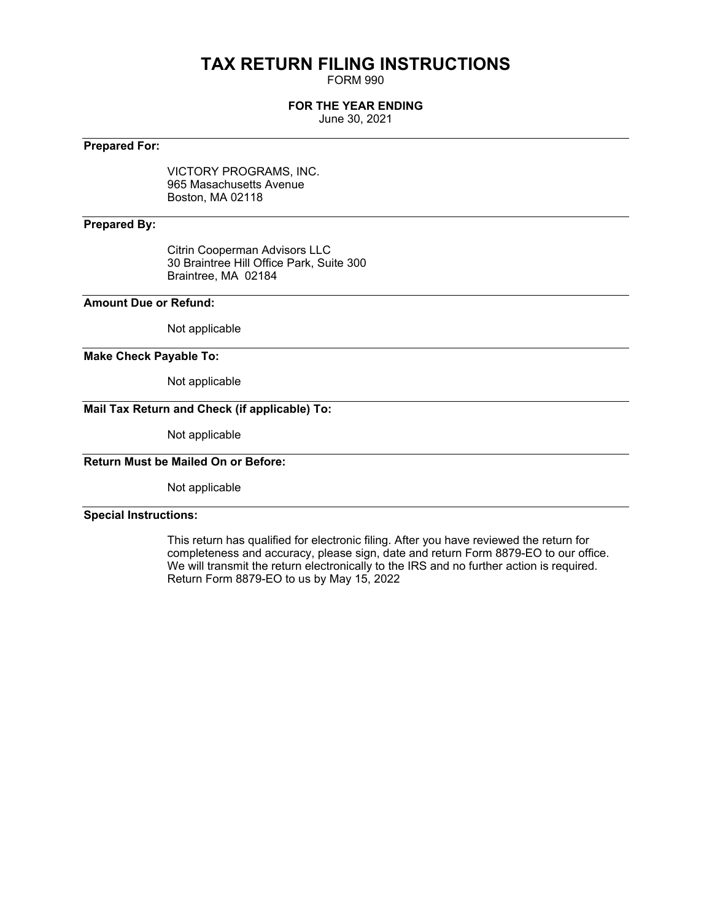# **TAX RETURN FILING INSTRUCTIONS**

FORM 990

# **FOR THE YEAR ENDING**

June 30, 2021

## **Prepared For:**

VICTORY PROGRAMS, INC. 965 Masachusetts Avenue Boston, MA 02118

### **Prepared By:**

Citrin Cooperman Advisors LLC 30 Braintree Hill Office Park, Suite 300 Braintree, MA 02184

### **Amount Due or Refund:**

Not applicable

#### **Make Check Payable To:**

Not applicable

# **Mail Tax Return and Check (if applicable) To:**

Not applicable

### **Return Must be Mailed On or Before:**

Not applicable

#### **Special Instructions:**

This return has qualified for electronic filing. After you have reviewed the return for completeness and accuracy, please sign, date and return Form 8879-EO to our office. We will transmit the return electronically to the IRS and no further action is required. Return Form 8879-EO to us by May 15, 2022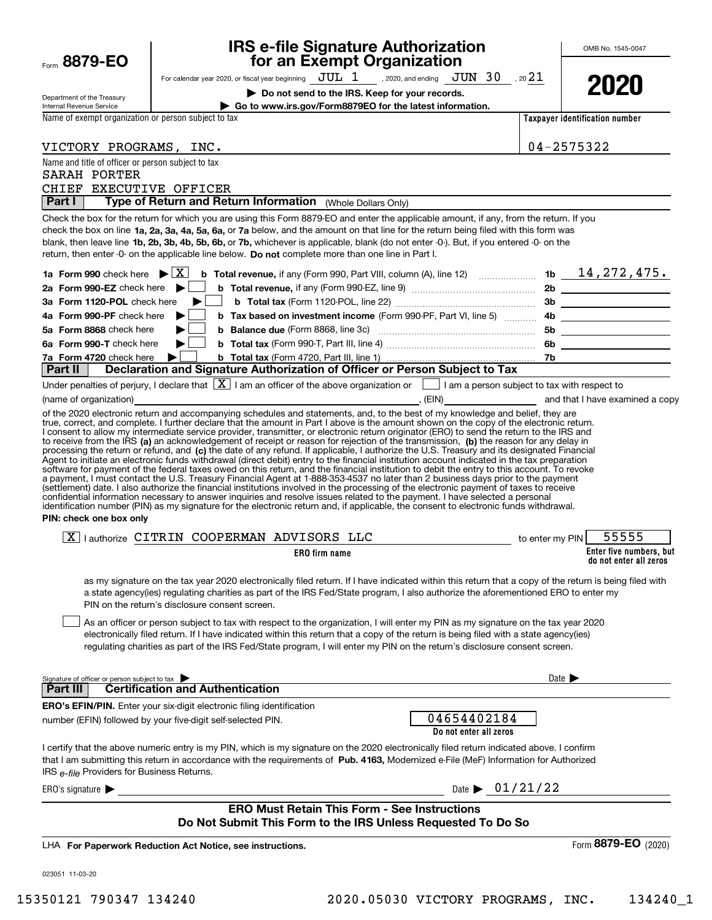| Form 8879-EO                                                                                                                                                                                                                     | for an Exempt Organization                                                                                                                                                                                                                                                                                                                                                                                                                                                                                                                                                                                                                                                                                                                                |                            |                                |
|----------------------------------------------------------------------------------------------------------------------------------------------------------------------------------------------------------------------------------|-----------------------------------------------------------------------------------------------------------------------------------------------------------------------------------------------------------------------------------------------------------------------------------------------------------------------------------------------------------------------------------------------------------------------------------------------------------------------------------------------------------------------------------------------------------------------------------------------------------------------------------------------------------------------------------------------------------------------------------------------------------|----------------------------|--------------------------------|
|                                                                                                                                                                                                                                  | For calendar year 2020, or fiscal year beginning $JUL$ $1$ , 2020, and ending $JUN$ $30$ , 20 $21$                                                                                                                                                                                                                                                                                                                                                                                                                                                                                                                                                                                                                                                        |                            | 2021                           |
| Department of the Treasury                                                                                                                                                                                                       | Do not send to the IRS. Keep for your records.                                                                                                                                                                                                                                                                                                                                                                                                                                                                                                                                                                                                                                                                                                            |                            |                                |
| Internal Revenue Service                                                                                                                                                                                                         | ▶ Go to www.irs.gov/Form8879EO for the latest information.                                                                                                                                                                                                                                                                                                                                                                                                                                                                                                                                                                                                                                                                                                |                            |                                |
| Name of exempt organization or person subject to tax                                                                                                                                                                             |                                                                                                                                                                                                                                                                                                                                                                                                                                                                                                                                                                                                                                                                                                                                                           |                            | Taxpayer identification number |
| VICTORY PROGRAMS, INC.                                                                                                                                                                                                           |                                                                                                                                                                                                                                                                                                                                                                                                                                                                                                                                                                                                                                                                                                                                                           | 04-2575322                 |                                |
| Name and title of officer or person subject to tax                                                                                                                                                                               |                                                                                                                                                                                                                                                                                                                                                                                                                                                                                                                                                                                                                                                                                                                                                           |                            |                                |
| SARAH PORTER                                                                                                                                                                                                                     |                                                                                                                                                                                                                                                                                                                                                                                                                                                                                                                                                                                                                                                                                                                                                           |                            |                                |
| CHIEF EXECUTIVE OFFICER                                                                                                                                                                                                          |                                                                                                                                                                                                                                                                                                                                                                                                                                                                                                                                                                                                                                                                                                                                                           |                            |                                |
| Part I                                                                                                                                                                                                                           | Type of Return and Return Information (Whole Dollars Only)                                                                                                                                                                                                                                                                                                                                                                                                                                                                                                                                                                                                                                                                                                |                            |                                |
|                                                                                                                                                                                                                                  | Check the box for the return for which you are using this Form 8879-EO and enter the applicable amount, if any, from the return. If you<br>check the box on line 1a, 2a, 3a, 4a, 5a, 6a, or 7a below, and the amount on that line for the return being filed with this form was<br>blank, then leave line 1b, 2b, 3b, 4b, 5b, 6b, or 7b, whichever is applicable, blank (do not enter -0-). But, if you entered -0- on the<br>return, then enter -0- on the applicable line below. Do not complete more than one line in Part I.                                                                                                                                                                                                                          |                            |                                |
| 1a Form 990 check here $\blacktriangleright \overline{X}$                                                                                                                                                                        |                                                                                                                                                                                                                                                                                                                                                                                                                                                                                                                                                                                                                                                                                                                                                           |                            |                                |
| 2a Form 990-EZ check here $\blacktriangleright$                                                                                                                                                                                  |                                                                                                                                                                                                                                                                                                                                                                                                                                                                                                                                                                                                                                                                                                                                                           |                            |                                |
| 3a Form 1120-POL check here                                                                                                                                                                                                      |                                                                                                                                                                                                                                                                                                                                                                                                                                                                                                                                                                                                                                                                                                                                                           |                            |                                |
| 4a Form 990-PF check here                                                                                                                                                                                                        |                                                                                                                                                                                                                                                                                                                                                                                                                                                                                                                                                                                                                                                                                                                                                           |                            |                                |
| 5a Form 8868 check here                                                                                                                                                                                                          |                                                                                                                                                                                                                                                                                                                                                                                                                                                                                                                                                                                                                                                                                                                                                           |                            |                                |
| 6a Form 990-T check here                                                                                                                                                                                                         | ▶∣                                                                                                                                                                                                                                                                                                                                                                                                                                                                                                                                                                                                                                                                                                                                                        |                            |                                |
| 7a Form 4720 check here<br>Part II                                                                                                                                                                                               | ▶∣<br>Declaration and Signature Authorization of Officer or Person Subject to Tax                                                                                                                                                                                                                                                                                                                                                                                                                                                                                                                                                                                                                                                                         |                            |                                |
|                                                                                                                                                                                                                                  | Under penalties of perjury, I declare that $\boxed{\mathbf{X}}$ I am an officer of the above organization or $\boxed{\phantom{\mathbf{1}}}$ I am a person subject to tax with respect to                                                                                                                                                                                                                                                                                                                                                                                                                                                                                                                                                                  |                            |                                |
| (name of organization)<br>Subset of the same state of the state of the state of the state of the state of the state of the state of the state of the state of the state of the state of the state of the state of the state of t |                                                                                                                                                                                                                                                                                                                                                                                                                                                                                                                                                                                                                                                                                                                                                           |                            |                                |
| PIN: check one box only                                                                                                                                                                                                          | a payment, I must contact the U.S. Treasury Financial Agent at 1-888-353-4537 no later than 2 business days prior to the payment<br>(settlement) date. I also authorize the financial institutions involved in the processing of the electronic payment of taxes to receive<br>confidential information necessary to answer inquiries and resolve issues related to the payment. I have selected a personal<br>identification number (PIN) as my signature for the electronic return and, if applicable, the consent to electronic funds withdrawal.                                                                                                                                                                                                      |                            | 55555                          |
|                                                                                                                                                                                                                                  | $\boxed{\text{X}}$ authorize CITRIN COOPERMAN ADVISORS LLC                                                                                                                                                                                                                                                                                                                                                                                                                                                                                                                                                                                                                                                                                                | to enter my PIN            | Enter five numbers, but        |
|                                                                                                                                                                                                                                  | <b>ERO</b> firm name                                                                                                                                                                                                                                                                                                                                                                                                                                                                                                                                                                                                                                                                                                                                      |                            | do not enter all zeros         |
|                                                                                                                                                                                                                                  | as my signature on the tax year 2020 electronically filed return. If I have indicated within this return that a copy of the return is being filed with<br>a state agency(ies) regulating charities as part of the IRS Fed/State program, I also authorize the aforementioned ERO to enter my<br>PIN on the return's disclosure consent screen.<br>As an officer or person subject to tax with respect to the organization, I will enter my PIN as my signature on the tax year 2020<br>electronically filed return. If I have indicated within this return that a copy of the return is being filed with a state agency(ies)<br>regulating charities as part of the IRS Fed/State program, I will enter my PIN on the return's disclosure consent screen. |                            |                                |
| Signature of officer or person subject to tax                                                                                                                                                                                    |                                                                                                                                                                                                                                                                                                                                                                                                                                                                                                                                                                                                                                                                                                                                                           | Date $\blacktriangleright$ |                                |
| Part III                                                                                                                                                                                                                         | <b>Certification and Authentication</b>                                                                                                                                                                                                                                                                                                                                                                                                                                                                                                                                                                                                                                                                                                                   |                            |                                |
|                                                                                                                                                                                                                                  | <b>ERO's EFIN/PIN.</b> Enter your six-digit electronic filing identification                                                                                                                                                                                                                                                                                                                                                                                                                                                                                                                                                                                                                                                                              |                            |                                |
|                                                                                                                                                                                                                                  | 04654402184<br>number (EFIN) followed by your five-digit self-selected PIN.<br>Do not enter all zeros                                                                                                                                                                                                                                                                                                                                                                                                                                                                                                                                                                                                                                                     |                            |                                |
| IRS e-file Providers for Business Returns.                                                                                                                                                                                       | I certify that the above numeric entry is my PIN, which is my signature on the 2020 electronically filed return indicated above. I confirm<br>that I am submitting this return in accordance with the requirements of Pub. 4163, Modernized e-File (MeF) Information for Authorized                                                                                                                                                                                                                                                                                                                                                                                                                                                                       |                            |                                |
| ERO's signature $\blacktriangleright$                                                                                                                                                                                            | Date $\triangleright$ 01/21/22                                                                                                                                                                                                                                                                                                                                                                                                                                                                                                                                                                                                                                                                                                                            |                            |                                |
|                                                                                                                                                                                                                                  | <b>ERO Must Retain This Form - See Instructions</b><br>Do Not Submit This Form to the IRS Unless Requested To Do So                                                                                                                                                                                                                                                                                                                                                                                                                                                                                                                                                                                                                                       |                            |                                |
|                                                                                                                                                                                                                                  | LHA For Paperwork Reduction Act Notice, see instructions.                                                                                                                                                                                                                                                                                                                                                                                                                                                                                                                                                                                                                                                                                                 |                            | Form 8879-EO (2020)            |
| 023051 11-03-20                                                                                                                                                                                                                  |                                                                                                                                                                                                                                                                                                                                                                                                                                                                                                                                                                                                                                                                                                                                                           |                            |                                |

**IRS e-file Signature Authorization**

OMB No. 1545-0047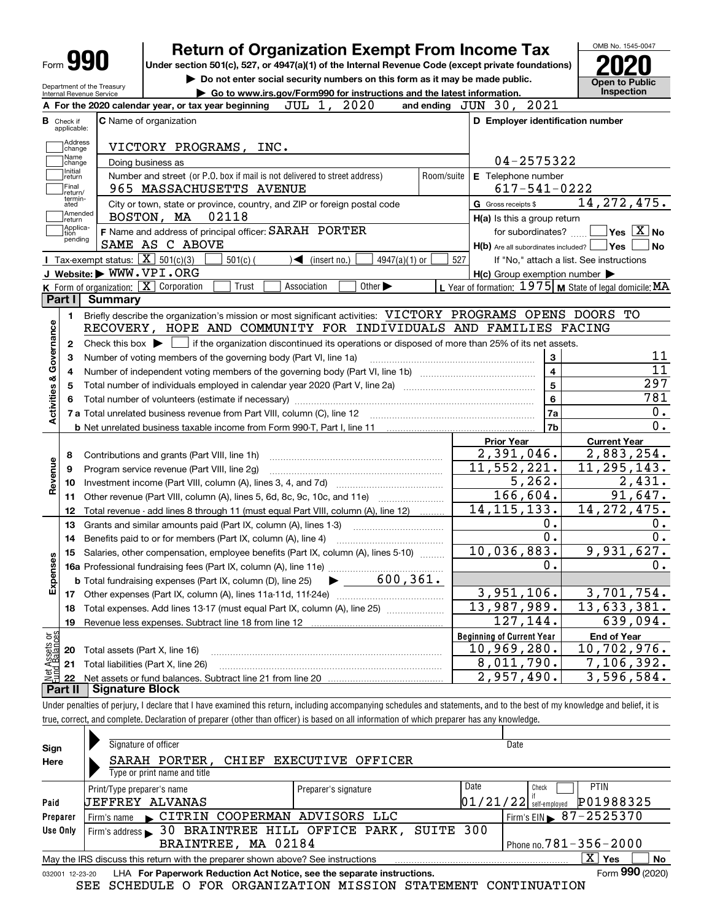| ш<br>Form |
|-----------|
|-----------|

Department of the Treasury Internal Revenue Service

# **Return of Organization Exempt From Income Tax**

**Under section 501(c), 527, or 4947(a)(1) of the Internal Revenue Code (except private foundations) 2020**

**| Do not enter social security numbers on this form as it may be made public.**



| Department or the Treasury<br>Internal Revenue Service | ► Go to www.irs.gov/Form990 for instructions and the latest information.                                                                          |                                                                                                                  | Inspection                                      |
|--------------------------------------------------------|---------------------------------------------------------------------------------------------------------------------------------------------------|------------------------------------------------------------------------------------------------------------------|-------------------------------------------------|
|                                                        | 2020<br>JUL<br>1.<br>A For the 2020 calendar year, or tax year beginning                                                                          | and ending JUN 30, 2021                                                                                          |                                                 |
| <b>B</b> Check if<br>applicable:                       | C Name of organization                                                                                                                            | D Employer identification number                                                                                 |                                                 |
| Address<br>change                                      | VICTORY PROGRAMS, INC.                                                                                                                            |                                                                                                                  |                                                 |
| Name<br>change                                         | Doing business as                                                                                                                                 | $04 - 2575322$                                                                                                   |                                                 |
| Initial<br>  return                                    | Number and street (or P.O. box if mail is not delivered to street address)                                                                        | E Telephone number<br>Room/suite                                                                                 |                                                 |
| Final<br>return/                                       | 965 MASSACHUSETTS AVENUE                                                                                                                          | $617 - 541 - 0222$                                                                                               |                                                 |
| termin-<br>ated                                        | City or town, state or province, country, and ZIP or foreign postal code                                                                          | G Gross receipts \$                                                                                              | 14, 272, 475.                                   |
| Amended<br> return<br>Applica-                         | 02118<br>BOSTON, MA                                                                                                                               | H(a) Is this a group return                                                                                      |                                                 |
| tion<br>pending                                        | F Name and address of principal officer: SARAH PORTER                                                                                             | for subordinates?                                                                                                | $\overline{\ }$ Yes $\overline{\phantom{X}}$ No |
|                                                        | SAME AS C ABOVE                                                                                                                                   | $H(b)$ Are all subordinates included? $\Box$ Yes $\Box$                                                          | l No                                            |
|                                                        | Tax-exempt status: $\boxed{\mathbf{X}}$ 501(c)(3)<br>$4947(a)(1)$ or<br>$501(c)$ (<br>$\blacktriangleleft$ (insert no.)<br>J Website: WWW.VPI.ORG | 527                                                                                                              | If "No," attach a list. See instructions        |
|                                                        | K Form of organization: X Corporation<br>Trust<br>Other $\blacktriangleright$<br>Association                                                      | $H(c)$ Group exemption number $\blacktriangleright$<br>L Year of formation: $1975$ M State of legal domicile: MA |                                                 |
| Part I                                                 | Summary                                                                                                                                           |                                                                                                                  |                                                 |
| 1.                                                     | Briefly describe the organization's mission or most significant activities: VICTORY PROGRAMS OPENS DOORS TO                                       |                                                                                                                  |                                                 |
|                                                        | RECOVERY, HOPE AND COMMUNITY FOR INDIVIDUALS AND FAMILIES FACING                                                                                  |                                                                                                                  |                                                 |
| Governance<br>2                                        | Check this box $\blacktriangleright$ $\Box$ if the organization discontinued its operations or disposed of more than 25% of its net assets.       |                                                                                                                  |                                                 |
| З                                                      | Number of voting members of the governing body (Part VI, line 1a)                                                                                 | 3                                                                                                                | 11                                              |
| 4                                                      |                                                                                                                                                   | $\overline{\mathbf{4}}$                                                                                          | $\overline{11}$                                 |
| 5                                                      |                                                                                                                                                   | 5                                                                                                                | 297                                             |
| <b>Activities &amp;</b>                                |                                                                                                                                                   | $\bf 6$                                                                                                          | 781                                             |
|                                                        |                                                                                                                                                   | 7a                                                                                                               | 0.                                              |
|                                                        |                                                                                                                                                   | 7 <sub>b</sub>                                                                                                   | 0.                                              |
|                                                        |                                                                                                                                                   | <b>Prior Year</b>                                                                                                | <b>Current Year</b>                             |
| 8                                                      | Contributions and grants (Part VIII, line 1h)                                                                                                     | $\overline{2,391,046}$ .                                                                                         | $\overline{2}$ , 883, 254.                      |
| 9                                                      | Program service revenue (Part VIII, line 2g)                                                                                                      | 11,552,221.                                                                                                      | 11, 295, 143.                                   |
| Revenue<br>10                                          |                                                                                                                                                   | 5,262.                                                                                                           | 2,431.                                          |
| 11                                                     | Other revenue (Part VIII, column (A), lines 5, 6d, 8c, 9c, 10c, and 11e)                                                                          | 166,604.                                                                                                         | 91,647.                                         |
| 12                                                     | Total revenue - add lines 8 through 11 (must equal Part VIII, column (A), line 12)                                                                | $\overline{14}$ , 115, 133.                                                                                      | 14, 272, 475.                                   |
| 13                                                     | Grants and similar amounts paid (Part IX, column (A), lines 1-3)                                                                                  | 0.                                                                                                               | 0.                                              |
| 14                                                     | Benefits paid to or for members (Part IX, column (A), line 4)                                                                                     | 0.                                                                                                               | 0.                                              |
| 15                                                     | Salaries, other compensation, employee benefits (Part IX, column (A), lines 5-10)                                                                 | 10,036,883.                                                                                                      | 9,931,627.                                      |
| Expenses                                               |                                                                                                                                                   | 0.                                                                                                               | 0.                                              |
|                                                        | $\blacktriangleright$ 600,361.<br><b>b</b> Total fundraising expenses (Part IX, column (D), line 25)                                              | 3,951,106.                                                                                                       | 3,701,754.                                      |
|                                                        |                                                                                                                                                   | 13,987,989.                                                                                                      | 13,633,381.                                     |
|                                                        | 18 Total expenses. Add lines 13-17 (must equal Part IX, column (A), line 25)                                                                      | 127,144.                                                                                                         | 639,094.                                        |
|                                                        |                                                                                                                                                   | <b>Beginning of Current Year</b>                                                                                 | <b>End of Year</b>                              |
| 20                                                     | Total assets (Part X, line 16)                                                                                                                    | 10,969,280.                                                                                                      | 10,702,976.                                     |
| t Assets or<br>d Balances<br>21                        | Total liabilities (Part X, line 26)                                                                                                               | 8,011,790.                                                                                                       | 7,106,392.                                      |
| 혋<br>22                                                |                                                                                                                                                   | $\overline{2,957,490}$ .                                                                                         | 3,596,584.                                      |
| Part II                                                | <b>Signature Block</b>                                                                                                                            |                                                                                                                  |                                                 |

Under penalties of perjury, I declare that I have examined this return, including accompanying schedules and statements, and to the best of my knowledge and belief, it is true, correct, and complete. Declaration of preparer (other than officer) is based on all information of which preparer has any knowledge.

| Sign     | Signature of officer                                                                                         | Date                                         |  |  |  |  |  |  |  |
|----------|--------------------------------------------------------------------------------------------------------------|----------------------------------------------|--|--|--|--|--|--|--|
| Here     | SARAH PORTER,<br>EXECUTIVE OFFICER<br>CHIEF                                                                  |                                              |  |  |  |  |  |  |  |
|          | Type or print name and title                                                                                 |                                              |  |  |  |  |  |  |  |
|          | Print/Type preparer's name<br>Preparer's signature                                                           | Date<br>PTIN<br>Check                        |  |  |  |  |  |  |  |
| Paid     | JEFFREY<br>ALVANAS                                                                                           | P01988325<br>$01/21/22$ self-employed        |  |  |  |  |  |  |  |
| Preparer | CITRIN COOPERMAN ADVISORS LLC<br>Firm's name                                                                 | $1$ Firm's EIN $\triangleright$ 87 – 2525370 |  |  |  |  |  |  |  |
| Use Only | 30 BRAINTREE HILL OFFICE PARK, SUITE 300<br>Firm's address                                                   |                                              |  |  |  |  |  |  |  |
|          | BRAINTREE, MA 02184                                                                                          | Phone no. $781 - 356 - 2000$                 |  |  |  |  |  |  |  |
|          | $\overline{X}$ Yes<br>No<br>May the IRS discuss this return with the preparer shown above? See instructions  |                                              |  |  |  |  |  |  |  |
|          | Form 990 (2020)<br>LHA For Paperwork Reduction Act Notice, see the separate instructions.<br>032001 12-23-20 |                                              |  |  |  |  |  |  |  |

SEE SCHEDULE O FOR ORGANIZATION MISSION STATEMENT CONTINUATION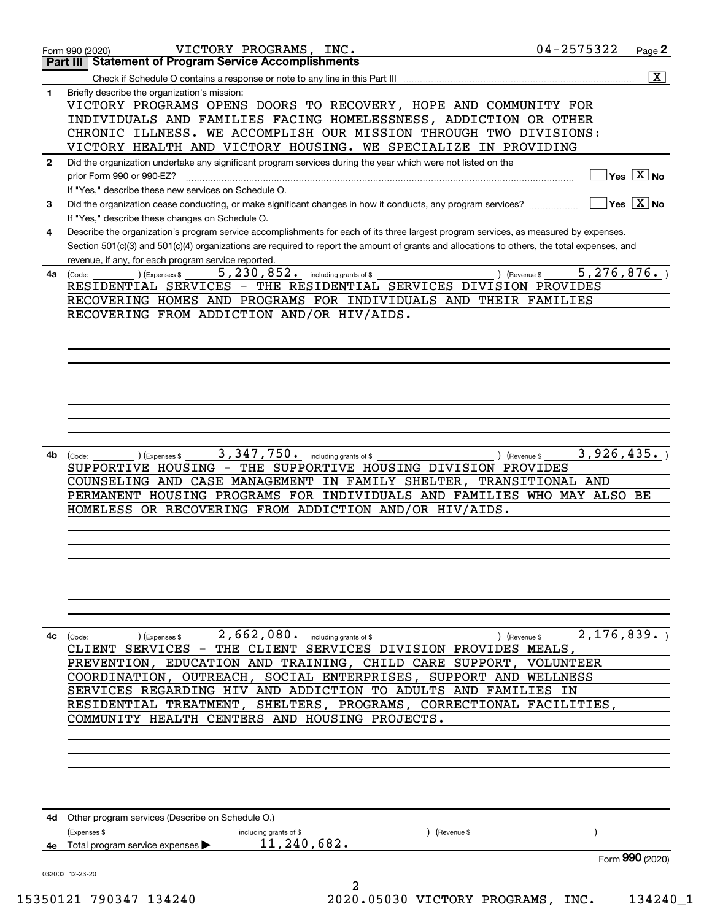|              | VICTORY PROGRAMS, INC.<br>Form 990 (2020)                                                                                                    | 04-2575322<br>Page 2                      |
|--------------|----------------------------------------------------------------------------------------------------------------------------------------------|-------------------------------------------|
|              | <b>Statement of Program Service Accomplishments</b><br>Part III                                                                              |                                           |
|              | Check if Schedule O contains a response or note to any line in this Part III                                                                 | $\boxed{\text{X}}$                        |
| 1            | Briefly describe the organization's mission:<br>VICTORY PROGRAMS OPENS DOORS TO RECOVERY, HOPE AND COMMUNITY FOR                             |                                           |
|              | INDIVIDUALS AND FAMILIES FACING HOMELESSNESS, ADDICTION OR OTHER                                                                             |                                           |
|              | CHRONIC ILLNESS. WE ACCOMPLISH OUR MISSION THROUGH TWO DIVISIONS:                                                                            |                                           |
|              | VICTORY HEALTH AND VICTORY HOUSING. WE SPECIALIZE IN PROVIDING                                                                               |                                           |
| $\mathbf{2}$ | Did the organization undertake any significant program services during the year which were not listed on the                                 |                                           |
|              | prior Form 990 or 990-EZ?                                                                                                                    | $Yes \top X$ No                           |
|              | If "Yes," describe these new services on Schedule O.                                                                                         |                                           |
| 3            | Did the organization cease conducting, or make significant changes in how it conducts, any program services?                                 | $\overline{\ }$ Yes $\overline{\ \ X}$ No |
|              | If "Yes," describe these changes on Schedule O.                                                                                              |                                           |
| 4            | Describe the organization's program service accomplishments for each of its three largest program services, as measured by expenses.         |                                           |
|              | Section 501(c)(3) and 501(c)(4) organizations are required to report the amount of grants and allocations to others, the total expenses, and |                                           |
|              | revenue, if any, for each program service reported.                                                                                          |                                           |
| 4а           | 5, 230, 852. including grants of \$<br>) (Expenses \$<br>(Code:                                                                              | 5, 276, 876.<br>) (Revenue \$             |
|              | RESIDENTIAL SERVICES - THE RESIDENTIAL SERVICES DIVISION PROVIDES                                                                            |                                           |
|              | RECOVERING HOMES AND PROGRAMS FOR INDIVIDUALS AND THEIR FAMILIES                                                                             |                                           |
|              | RECOVERING FROM ADDICTION AND/OR HIV/AIDS.                                                                                                   |                                           |
|              |                                                                                                                                              |                                           |
|              |                                                                                                                                              |                                           |
|              |                                                                                                                                              |                                           |
|              |                                                                                                                                              |                                           |
|              |                                                                                                                                              |                                           |
|              |                                                                                                                                              |                                           |
|              |                                                                                                                                              |                                           |
|              |                                                                                                                                              |                                           |
|              | 3, 347, 750. including grants of \$                                                                                                          | 3,926,435.<br>) (Revenue \$               |
| 4b           | (Expenses \$<br>(Code:<br>SUPPORTIVE HOUSING - THE SUPPORTIVE HOUSING DIVISION PROVIDES                                                      |                                           |
|              | COUNSELING AND CASE MANAGEMENT IN FAMILY SHELTER, TRANSITIONAL AND                                                                           |                                           |
|              | PERMANENT HOUSING PROGRAMS FOR INDIVIDUALS AND FAMILIES WHO MAY ALSO BE                                                                      |                                           |
|              | HOMELESS OR RECOVERING FROM ADDICTION AND/OR HIV/AIDS.                                                                                       |                                           |
|              |                                                                                                                                              |                                           |
|              |                                                                                                                                              |                                           |
|              |                                                                                                                                              |                                           |
|              |                                                                                                                                              |                                           |
|              |                                                                                                                                              |                                           |
|              |                                                                                                                                              |                                           |
|              |                                                                                                                                              |                                           |
|              |                                                                                                                                              |                                           |
| 4с           | 2,662,080. including grants of \$<br>$($ Expenses \$ $\_\_$<br>(Code:                                                                        | 2, 176, 839.<br>) (Revenue \$             |
|              | CLIENT SERVICES - THE CLIENT SERVICES DIVISION PROVIDES MEALS                                                                                |                                           |
|              | PREVENTION, EDUCATION AND TRAINING, CHILD CARE SUPPORT, VOLUNTEER<br>COORDINATION, OUTREACH, SOCIAL ENTERPRISES, SUPPORT AND WELLNESS        |                                           |
|              | SERVICES REGARDING HIV AND ADDICTION TO ADULTS AND FAMILIES IN                                                                               |                                           |
|              | RESIDENTIAL TREATMENT, SHELTERS, PROGRAMS, CORRECTIONAL FACILITIES,                                                                          |                                           |
|              | COMMUNITY HEALTH CENTERS AND HOUSING PROJECTS.                                                                                               |                                           |
|              |                                                                                                                                              |                                           |
|              |                                                                                                                                              |                                           |
|              |                                                                                                                                              |                                           |
|              |                                                                                                                                              |                                           |
|              |                                                                                                                                              |                                           |
|              |                                                                                                                                              |                                           |
|              | 4d Other program services (Describe on Schedule O.)                                                                                          |                                           |
|              | (Expenses \$<br>(Revenue \$<br>including grants of \$                                                                                        |                                           |
|              | 11,240,682.<br>4e Total program service expenses $\blacktriangleright$                                                                       |                                           |
|              |                                                                                                                                              | Form 990 (2020)                           |
|              | 032002 12-23-20                                                                                                                              |                                           |
|              | 2<br>E 0.1 0.1 700017 701010<br>$\frac{1}{2}$                                                                                                |                                           |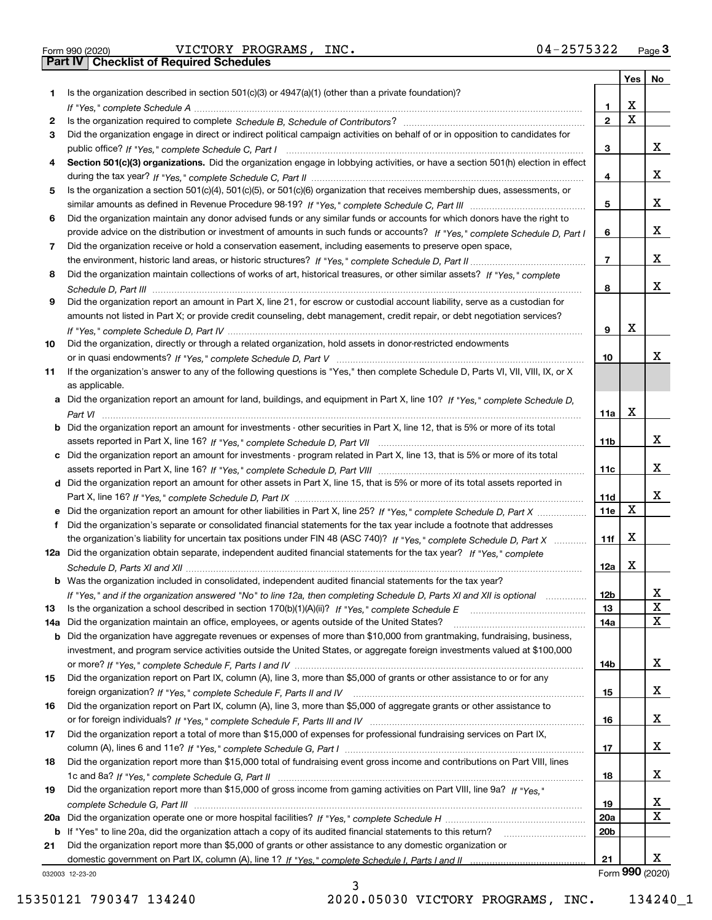Form 990 (2020) VICTORY PROGRAMS, INC. 0 4-2575322 <sub>Page</sub> 3<br>**Part IV** | Checklist of Required Schedules

|     |                                                                                                                                       |                 | Yes $ $     | No              |
|-----|---------------------------------------------------------------------------------------------------------------------------------------|-----------------|-------------|-----------------|
| 1   | Is the organization described in section $501(c)(3)$ or $4947(a)(1)$ (other than a private foundation)?                               |                 |             |                 |
|     |                                                                                                                                       | 1               | x           |                 |
| 2   |                                                                                                                                       | $\overline{2}$  | $\mathbf X$ |                 |
| 3   | Did the organization engage in direct or indirect political campaign activities on behalf of or in opposition to candidates for       |                 |             |                 |
|     |                                                                                                                                       | 3               |             | x               |
| 4   | Section 501(c)(3) organizations. Did the organization engage in lobbying activities, or have a section 501(h) election in effect      |                 |             |                 |
|     |                                                                                                                                       | 4               |             | x               |
| 5   | Is the organization a section 501(c)(4), 501(c)(5), or 501(c)(6) organization that receives membership dues, assessments, or          |                 |             |                 |
|     |                                                                                                                                       | 5               |             | x               |
| 6   | Did the organization maintain any donor advised funds or any similar funds or accounts for which donors have the right to             |                 |             |                 |
|     | provide advice on the distribution or investment of amounts in such funds or accounts? If "Yes," complete Schedule D, Part I          | 6               |             | x               |
| 7   | Did the organization receive or hold a conservation easement, including easements to preserve open space,                             |                 |             |                 |
|     |                                                                                                                                       | $\overline{7}$  |             | x               |
| 8   | Did the organization maintain collections of works of art, historical treasures, or other similar assets? If "Yes," complete          |                 |             | x               |
|     |                                                                                                                                       | 8               |             |                 |
| 9   | Did the organization report an amount in Part X, line 21, for escrow or custodial account liability, serve as a custodian for         |                 |             |                 |
|     | amounts not listed in Part X; or provide credit counseling, debt management, credit repair, or debt negotiation services?             | 9               | X           |                 |
| 10  |                                                                                                                                       |                 |             |                 |
|     | Did the organization, directly or through a related organization, hold assets in donor-restricted endowments                          | 10              |             | x               |
| 11  | If the organization's answer to any of the following questions is "Yes," then complete Schedule D, Parts VI, VII, VIII, IX, or X      |                 |             |                 |
|     | as applicable.                                                                                                                        |                 |             |                 |
|     | a Did the organization report an amount for land, buildings, and equipment in Part X, line 10? If "Yes." complete Schedule D.         |                 |             |                 |
|     |                                                                                                                                       | 11a             | х           |                 |
|     | <b>b</b> Did the organization report an amount for investments - other securities in Part X, line 12, that is 5% or more of its total |                 |             |                 |
|     |                                                                                                                                       | 11b             |             | x               |
|     | c Did the organization report an amount for investments - program related in Part X, line 13, that is 5% or more of its total         |                 |             |                 |
|     |                                                                                                                                       | 11c             |             | x               |
|     | d Did the organization report an amount for other assets in Part X, line 15, that is 5% or more of its total assets reported in       |                 |             |                 |
|     |                                                                                                                                       | 11d             |             | x               |
|     |                                                                                                                                       | 11e             | X           |                 |
| f   | Did the organization's separate or consolidated financial statements for the tax year include a footnote that addresses               |                 |             |                 |
|     | the organization's liability for uncertain tax positions under FIN 48 (ASC 740)? If "Yes," complete Schedule D, Part X                | 11f             | х           |                 |
|     | 12a Did the organization obtain separate, independent audited financial statements for the tax year? If "Yes," complete               |                 |             |                 |
|     |                                                                                                                                       | 12a             | X           |                 |
|     | <b>b</b> Was the organization included in consolidated, independent audited financial statements for the tax year?                    |                 |             |                 |
|     | If "Yes," and if the organization answered "No" to line 12a, then completing Schedule D, Parts XI and XII is optional                 | 12 <sub>b</sub> |             | 41              |
| 13  | Is the organization a school described in section 170(b)(1)(A)(ii)? If "Yes," complete Schedule E                                     | 13              |             | x               |
| 14a | Did the organization maintain an office, employees, or agents outside of the United States?                                           | 14a             |             | X               |
| b   | Did the organization have aggregate revenues or expenses of more than \$10,000 from grantmaking, fundraising, business,               |                 |             |                 |
|     | investment, and program service activities outside the United States, or aggregate foreign investments valued at \$100,000            |                 |             |                 |
|     |                                                                                                                                       | 14b             |             | X               |
| 15  | Did the organization report on Part IX, column (A), line 3, more than \$5,000 of grants or other assistance to or for any             |                 |             |                 |
|     |                                                                                                                                       | 15              |             | X               |
| 16  | Did the organization report on Part IX, column (A), line 3, more than \$5,000 of aggregate grants or other assistance to              |                 |             |                 |
|     |                                                                                                                                       | 16              |             | X               |
| 17  | Did the organization report a total of more than \$15,000 of expenses for professional fundraising services on Part IX,               |                 |             |                 |
|     |                                                                                                                                       | 17              |             | X               |
| 18  | Did the organization report more than \$15,000 total of fundraising event gross income and contributions on Part VIII, lines          |                 |             |                 |
|     |                                                                                                                                       | 18              |             | X               |
| 19  | Did the organization report more than \$15,000 of gross income from gaming activities on Part VIII, line 9a? If "Yes."                |                 |             |                 |
|     |                                                                                                                                       | 19              |             | X,              |
| 20a |                                                                                                                                       | <b>20a</b>      |             | $\mathbf{X}$    |
|     | b If "Yes" to line 20a, did the organization attach a copy of its audited financial statements to this return?                        | 20 <sub>b</sub> |             |                 |
| 21  | Did the organization report more than \$5,000 of grants or other assistance to any domestic organization or                           |                 |             |                 |
|     |                                                                                                                                       | 21              |             | x               |
|     | 032003 12-23-20                                                                                                                       |                 |             | Form 990 (2020) |

032003 12-23-20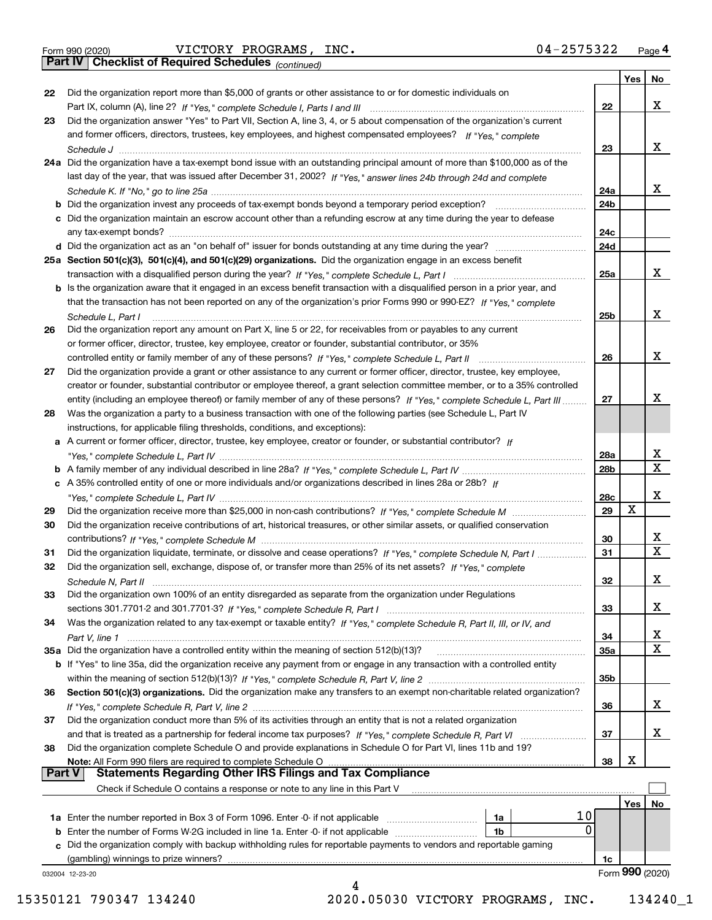Form 990 (2020) VICTORY PROGRAMS, INC. 0 4-2575322 <sub>Page</sub> 4<br>**Part IV | Checklist of Required Schedules** <sub>(continued)</sub>

*(continued)*

|               |                                                                                                                              |                 | Yes | No              |
|---------------|------------------------------------------------------------------------------------------------------------------------------|-----------------|-----|-----------------|
| 22            | Did the organization report more than \$5,000 of grants or other assistance to or for domestic individuals on                |                 |     |                 |
|               |                                                                                                                              | 22              |     | x               |
| 23            | Did the organization answer "Yes" to Part VII, Section A, line 3, 4, or 5 about compensation of the organization's current   |                 |     |                 |
|               | and former officers, directors, trustees, key employees, and highest compensated employees? If "Yes," complete               |                 |     |                 |
|               |                                                                                                                              | 23              |     | x               |
|               | 24a Did the organization have a tax-exempt bond issue with an outstanding principal amount of more than \$100,000 as of the  |                 |     |                 |
|               | last day of the year, that was issued after December 31, 2002? If "Yes," answer lines 24b through 24d and complete           |                 |     |                 |
|               |                                                                                                                              | 24a             |     | x               |
|               | <b>b</b> Did the organization invest any proceeds of tax-exempt bonds beyond a temporary period exception?                   | 24b             |     |                 |
|               | c Did the organization maintain an escrow account other than a refunding escrow at any time during the year to defease       |                 |     |                 |
|               |                                                                                                                              | 24с             |     |                 |
|               |                                                                                                                              | 24d             |     |                 |
|               | 25a Section 501(c)(3), 501(c)(4), and 501(c)(29) organizations. Did the organization engage in an excess benefit             |                 |     |                 |
|               |                                                                                                                              | 25a             |     | x               |
|               | b Is the organization aware that it engaged in an excess benefit transaction with a disqualified person in a prior year, and |                 |     |                 |
|               | that the transaction has not been reported on any of the organization's prior Forms 990 or 990-EZ? If "Yes." complete        |                 |     |                 |
|               | Schedule L. Part I                                                                                                           | 25b             |     | x               |
| 26            | Did the organization report any amount on Part X, line 5 or 22, for receivables from or payables to any current              |                 |     |                 |
|               | or former officer, director, trustee, key employee, creator or founder, substantial contributor, or 35%                      |                 |     |                 |
|               | controlled entity or family member of any of these persons? If "Yes," complete Schedule L, Part II                           | 26              |     | x               |
| 27            | Did the organization provide a grant or other assistance to any current or former officer, director, trustee, key employee,  |                 |     |                 |
|               | creator or founder, substantial contributor or employee thereof, a grant selection committee member, or to a 35% controlled  |                 |     |                 |
|               | entity (including an employee thereof) or family member of any of these persons? If "Yes," complete Schedule L, Part III     | 27              |     | х               |
| 28            | Was the organization a party to a business transaction with one of the following parties (see Schedule L, Part IV            |                 |     |                 |
|               | instructions, for applicable filing thresholds, conditions, and exceptions):                                                 |                 |     |                 |
|               | a A current or former officer, director, trustee, key employee, creator or founder, or substantial contributor? If           |                 |     |                 |
|               |                                                                                                                              | 28a             |     | x               |
|               |                                                                                                                              | 28 <sub>b</sub> |     | $\mathbf X$     |
|               | c A 35% controlled entity of one or more individuals and/or organizations described in lines 28a or 28b? If                  |                 |     |                 |
|               |                                                                                                                              | 28c             |     | x               |
| 29            |                                                                                                                              | 29              | X   |                 |
| 30            | Did the organization receive contributions of art, historical treasures, or other similar assets, or qualified conservation  |                 |     |                 |
|               |                                                                                                                              | 30              |     | x               |
| 31            | Did the organization liquidate, terminate, or dissolve and cease operations? If "Yes," complete Schedule N, Part I           | 31              |     | X               |
| 32            | Did the organization sell, exchange, dispose of, or transfer more than 25% of its net assets? If "Yes," complete             |                 |     |                 |
|               |                                                                                                                              | 32              |     | x               |
| 33            | Did the organization own 100% of an entity disregarded as separate from the organization under Regulations                   |                 |     |                 |
|               |                                                                                                                              | 33              |     | X               |
| 34            | Was the organization related to any tax-exempt or taxable entity? If "Yes," complete Schedule R, Part II, III, or IV, and    |                 |     |                 |
|               |                                                                                                                              | 34              |     | x               |
|               | 35a Did the organization have a controlled entity within the meaning of section 512(b)(13)?                                  | 35a             |     | X               |
|               | b If "Yes" to line 35a, did the organization receive any payment from or engage in any transaction with a controlled entity  |                 |     |                 |
|               |                                                                                                                              | 35b             |     |                 |
| 36            | Section 501(c)(3) organizations. Did the organization make any transfers to an exempt non-charitable related organization?   |                 |     |                 |
|               |                                                                                                                              | 36              |     | x               |
| 37            | Did the organization conduct more than 5% of its activities through an entity that is not a related organization             |                 |     |                 |
|               | and that is treated as a partnership for federal income tax purposes? If "Yes," complete Schedule R, Part VI                 | 37              |     | x               |
| 38            | Did the organization complete Schedule O and provide explanations in Schedule O for Part VI, lines 11b and 19?               |                 |     |                 |
|               | Note: All Form 990 filers are required to complete Schedule O                                                                | 38              | X   |                 |
| <b>Part V</b> | <b>Statements Regarding Other IRS Filings and Tax Compliance</b>                                                             |                 |     |                 |
|               | Check if Schedule O contains a response or note to any line in this Part V                                                   |                 |     |                 |
|               |                                                                                                                              |                 | Yes | No              |
|               | 10<br><b>1a</b> Enter the number reported in Box 3 of Form 1096. Enter -0- if not applicable <i>manumumumum</i><br>1a        |                 |     |                 |
|               | 0<br><b>b</b> Enter the number of Forms W-2G included in line 1a. Enter -0- if not applicable <i>manumumumum</i><br>1b       |                 |     |                 |
|               | c Did the organization comply with backup withholding rules for reportable payments to vendors and reportable gaming         |                 |     |                 |
|               | (gambling) winnings to prize winners?                                                                                        | 1c              |     |                 |
|               | 032004 12-23-20                                                                                                              |                 |     | Form 990 (2020) |
|               | 4                                                                                                                            |                 |     |                 |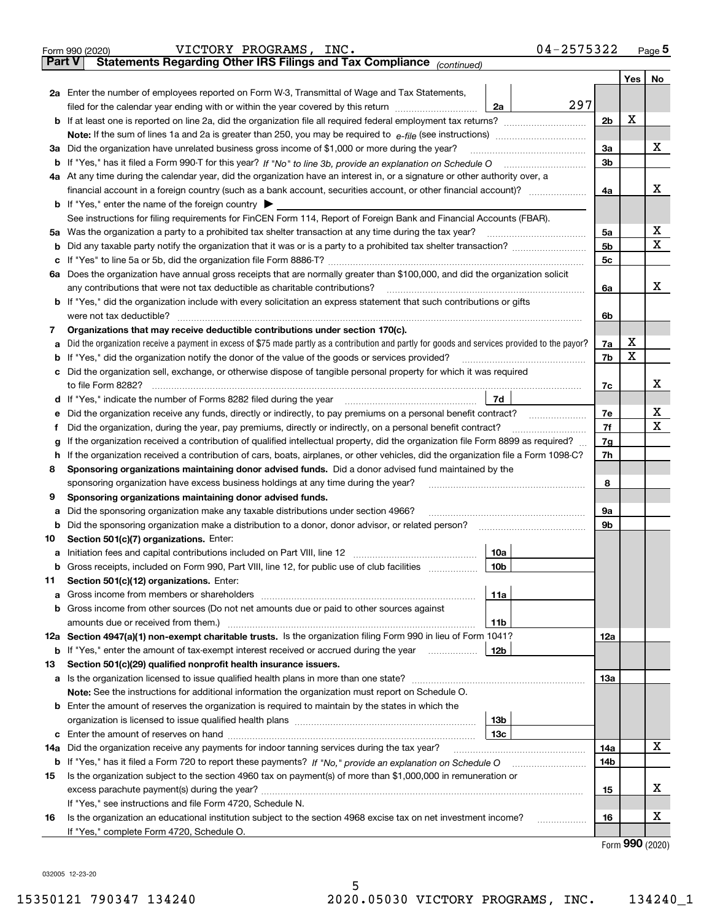|        | 04-2575322<br>VICTORY PROGRAMS, INC.<br>Form 990 (2020)                                                                                                                                    |                |               | $Page$ <sup>5</sup> |
|--------|--------------------------------------------------------------------------------------------------------------------------------------------------------------------------------------------|----------------|---------------|---------------------|
| Part V | Statements Regarding Other IRS Filings and Tax Compliance (continued)                                                                                                                      |                |               |                     |
|        |                                                                                                                                                                                            |                | Yes $ $       | No                  |
|        | 2a Enter the number of employees reported on Form W-3, Transmittal of Wage and Tax Statements,                                                                                             |                |               |                     |
|        | 297<br>filed for the calendar year ending with or within the year covered by this return [11] [11] filed for the calendar year ending with or within the year covered by this return<br>2a |                |               |                     |
|        |                                                                                                                                                                                            | 2 <sub>b</sub> | X             |                     |
|        |                                                                                                                                                                                            |                |               |                     |
|        | 3a Did the organization have unrelated business gross income of \$1,000 or more during the year?                                                                                           | 3a             |               | х                   |
|        |                                                                                                                                                                                            | 3 <sub>b</sub> |               |                     |
|        | 4a At any time during the calendar year, did the organization have an interest in, or a signature or other authority over, a                                                               |                |               |                     |
|        |                                                                                                                                                                                            | 4a             |               | х                   |
|        | <b>b</b> If "Yes," enter the name of the foreign country $\blacktriangleright$                                                                                                             |                |               |                     |
|        | See instructions for filing requirements for FinCEN Form 114, Report of Foreign Bank and Financial Accounts (FBAR).                                                                        |                |               |                     |
|        | 5a Was the organization a party to a prohibited tax shelter transaction at any time during the tax year?                                                                                   | 5a             |               | X                   |
|        |                                                                                                                                                                                            | 5 <sub>b</sub> |               | x                   |
|        |                                                                                                                                                                                            | 5c             |               |                     |
|        | 6a Does the organization have annual gross receipts that are normally greater than \$100,000, and did the organization solicit                                                             |                |               |                     |
|        | any contributions that were not tax deductible as charitable contributions?                                                                                                                | 6a             |               | х                   |
|        | <b>b</b> If "Yes," did the organization include with every solicitation an express statement that such contributions or gifts                                                              |                |               |                     |
|        | were not tax deductible?                                                                                                                                                                   | 6b             |               |                     |
| 7      | Organizations that may receive deductible contributions under section 170(c).                                                                                                              |                |               |                     |
|        | a Did the organization receive a payment in excess of \$75 made partly as a contribution and partly for goods and services provided to the payor?                                          | 7a             | х             |                     |
|        | <b>b</b> If "Yes," did the organization notify the donor of the value of the goods or services provided?                                                                                   | 7b             | X             |                     |
|        | c Did the organization sell, exchange, or otherwise dispose of tangible personal property for which it was required                                                                        |                |               |                     |
|        |                                                                                                                                                                                            | 7c             |               | x                   |
|        | 7d<br>d If "Yes," indicate the number of Forms 8282 filed during the year manufactured in the second of the New York                                                                       |                |               |                     |
|        | e Did the organization receive any funds, directly or indirectly, to pay premiums on a personal benefit contract?                                                                          | 7e<br>7f       |               | х<br>х              |
| Ť.     | Did the organization, during the year, pay premiums, directly or indirectly, on a personal benefit contract?                                                                               |                |               |                     |
| g      | If the organization received a contribution of qualified intellectual property, did the organization file Form 8899 as required?                                                           |                |               |                     |
|        | h If the organization received a contribution of cars, boats, airplanes, or other vehicles, did the organization file a Form 1098-C?                                                       |                |               |                     |
| 8      | Sponsoring organizations maintaining donor advised funds. Did a donor advised fund maintained by the                                                                                       |                |               |                     |
|        | sponsoring organization have excess business holdings at any time during the year?                                                                                                         | 8              |               |                     |
| 9      | Sponsoring organizations maintaining donor advised funds.                                                                                                                                  |                |               |                     |
|        | a Did the sponsoring organization make any taxable distributions under section 4966?                                                                                                       | 9а             |               |                     |
|        | <b>b</b> Did the sponsoring organization make a distribution to a donor, donor advisor, or related person?                                                                                 | 9b             |               |                     |
| 10     | Section 501(c)(7) organizations. Enter:                                                                                                                                                    |                |               |                     |
|        | 10a                                                                                                                                                                                        |                |               |                     |
| b      | Gross receipts, included on Form 990, Part VIII, line 12, for public use of club facilities<br>10b                                                                                         |                |               |                     |
| 11     | Section 501(c)(12) organizations. Enter:                                                                                                                                                   |                |               |                     |
|        | 11a                                                                                                                                                                                        |                |               |                     |
|        | b Gross income from other sources (Do not net amounts due or paid to other sources against                                                                                                 |                |               |                     |
|        | amounts due or received from them.)<br>11b                                                                                                                                                 |                |               |                     |
|        | 12a Section 4947(a)(1) non-exempt charitable trusts. Is the organization filing Form 990 in lieu of Form 1041?                                                                             | 12a            |               |                     |
| b      | If "Yes," enter the amount of tax-exempt interest received or accrued during the year<br>12b                                                                                               |                |               |                     |
| 13     | Section 501(c)(29) qualified nonprofit health insurance issuers.                                                                                                                           |                |               |                     |
|        | a Is the organization licensed to issue qualified health plans in more than one state?                                                                                                     | 13а            |               |                     |
|        | Note: See the instructions for additional information the organization must report on Schedule O.                                                                                          |                |               |                     |
|        | <b>b</b> Enter the amount of reserves the organization is required to maintain by the states in which the<br>13 <sub>b</sub>                                                               |                |               |                     |
|        |                                                                                                                                                                                            |                |               |                     |
|        | 13с<br>Did the organization receive any payments for indoor tanning services during the tax year?                                                                                          | 14a            |               | х                   |
| 14a    |                                                                                                                                                                                            | 14b            |               |                     |
| 15     | Is the organization subject to the section 4960 tax on payment(s) of more than \$1,000,000 in remuneration or                                                                              |                |               |                     |
|        |                                                                                                                                                                                            | 15             |               | х                   |
|        | If "Yes," see instructions and file Form 4720, Schedule N.                                                                                                                                 |                |               |                     |
| 16     | Is the organization an educational institution subject to the section 4968 excise tax on net investment income?                                                                            | 16             |               | х                   |
|        | .<br>If "Yes," complete Form 4720, Schedule O.                                                                                                                                             |                |               |                     |
|        |                                                                                                                                                                                            |                | $\mathbf{QQ}$ |                     |

5

Form (2020) **990**

032005 12-23-20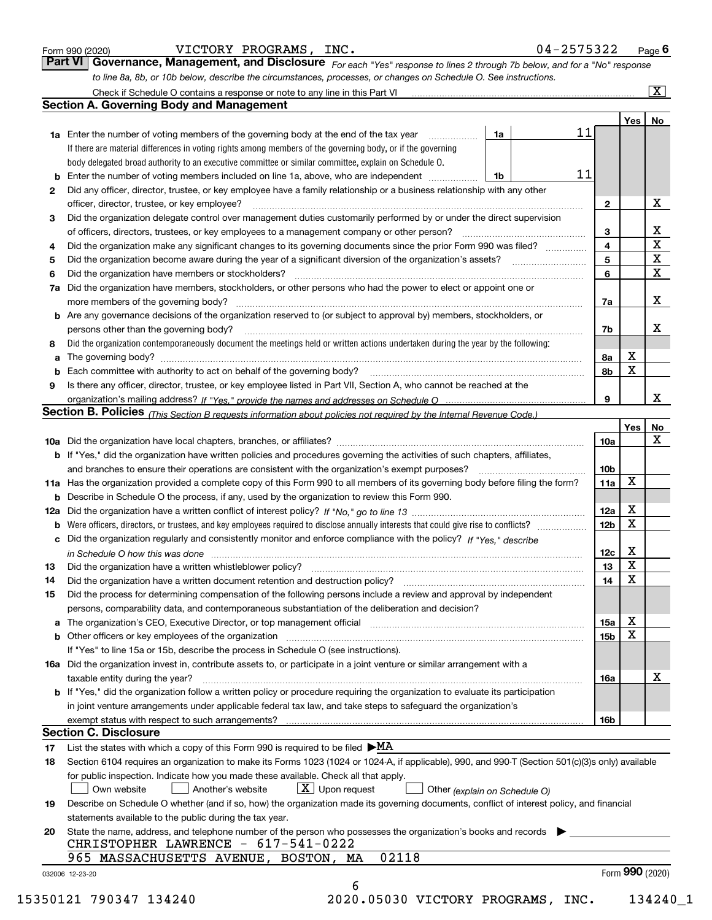|  | Form 990 (2020 |
|--|----------------|
|  |                |

|  | VICTORY PROGRAMS, | INC |
|--|-------------------|-----|
|--|-------------------|-----|

| Form 990 (2020) |                                                                                                                     | VICTORY PROGRAMS, | INC. |    | 04-2575322 |     | Page $6$ |
|-----------------|---------------------------------------------------------------------------------------------------------------------|-------------------|------|----|------------|-----|----------|
| <b>Part VI</b>  | Governance, Management, and Disclosure For each "Yes" response to lines 2 through 7b below, and for a "No" response |                   |      |    |            |     |          |
|                 | to line 8a, 8b, or 10b below, describe the circumstances, processes, or changes on Schedule O. See instructions.    |                   |      |    |            |     |          |
|                 | Check if Schedule O contains a response or note to any line in this Part VI                                         |                   |      |    |            |     |          |
|                 | Section A. Governing Body and Management                                                                            |                   |      |    |            |     |          |
|                 |                                                                                                                     |                   |      |    |            | Yes | No       |
| 1a              | Enter the number of voting members of the governing body at the end of the tax year                                 |                   |      | 1a |            |     |          |
|                 | If there are material differences in voting rights among members of the governing body, or if the governing         |                   |      |    |            |     |          |
|                 | body delegated broad authority to an executive committee or similar committee, explain on Schedule O.               |                   |      |    |            |     |          |
|                 |                                                                                                                     |                   |      |    | - -        |     |          |

|              | <b>b</b> Enter the number of voting members included on line 1a, above, who are independent<br>1b                                 |    |   |   |
|--------------|-----------------------------------------------------------------------------------------------------------------------------------|----|---|---|
| $\mathbf{2}$ | Did any officer, director, trustee, or key employee have a family relationship or a business relationship with any other          |    |   |   |
|              | officer, director, trustee, or key employee?                                                                                      | 2  |   | x |
| 3            | Did the organization delegate control over management duties customarily performed by or under the direct supervision             |    |   |   |
|              | of officers, directors, trustees, or key employees to a management company or other person?                                       | з  |   | х |
| 4            | Did the organization make any significant changes to its governing documents since the prior Form 990 was filed?                  | 4  |   | х |
| 5            | Did the organization become aware during the year of a significant diversion of the organization's assets?                        | 5  |   | х |
| 6            | Did the organization have members or stockholders?                                                                                |    |   | x |
|              | 7a Did the organization have members, stockholders, or other persons who had the power to elect or appoint one or                 |    |   |   |
|              | more members of the governing body?                                                                                               | 7a |   | х |
|              | <b>b</b> Are any governance decisions of the organization reserved to (or subject to approval by) members, stockholders, or       |    |   |   |
|              | persons other than the governing body?                                                                                            | 7b |   | х |
| 8            | Did the organization contemporaneously document the meetings held or written actions undertaken during the year by the following: |    |   |   |
|              | <b>a</b> The governing body?                                                                                                      | 8а | х |   |
|              | <b>b</b> Each committee with authority to act on behalf of the governing body?                                                    | 8b | х |   |
| 9            | Is there any officer, director, trustee, or key employee listed in Part VII, Section A, who cannot be reached at the              |    |   |   |
|              |                                                                                                                                   | 9  |   |   |

|  |  | <b>Section B. Policies</b> (This Section B requests information about policies not required by the Internal Revenue Code.) |  |
|--|--|----------------------------------------------------------------------------------------------------------------------------|--|
|  |  |                                                                                                                            |  |

|     |                                                                                                                                                                                                                                |                 | Yes | No |
|-----|--------------------------------------------------------------------------------------------------------------------------------------------------------------------------------------------------------------------------------|-----------------|-----|----|
|     | <b>10a</b> Did the organization have local chapters, branches, or affiliates?                                                                                                                                                  | <b>10a</b>      |     | X  |
|     | <b>b</b> If "Yes," did the organization have written policies and procedures governing the activities of such chapters, affiliates,                                                                                            |                 |     |    |
|     | and branches to ensure their operations are consistent with the organization's exempt purposes?                                                                                                                                | 10 <sub>b</sub> |     |    |
|     | 11a Has the organization provided a complete copy of this Form 990 to all members of its governing body before filing the form?                                                                                                | 11a             | х   |    |
| b   | Describe in Schedule O the process, if any, used by the organization to review this Form 990.                                                                                                                                  |                 |     |    |
| 12a |                                                                                                                                                                                                                                | 12a             | х   |    |
| b   | Were officers, directors, or trustees, and key employees required to disclose annually interests that could give rise to conflicts?                                                                                            | 12 <sub>b</sub> | X   |    |
| с   | Did the organization regularly and consistently monitor and enforce compliance with the policy? If "Yes." describe                                                                                                             |                 |     |    |
|     | in Schedule O how this was done encourance and an array and a strategies of the state of the strategies of the                                                                                                                 | 12 <sub>c</sub> | х   |    |
| 13  | Did the organization have a written whistleblower policy?                                                                                                                                                                      | 13              | X   |    |
| 14  | Did the organization have a written document retention and destruction policy?                                                                                                                                                 | 14              | X   |    |
| 15  | Did the process for determining compensation of the following persons include a review and approval by independent                                                                                                             |                 |     |    |
|     | persons, comparability data, and contemporaneous substantiation of the deliberation and decision?                                                                                                                              |                 |     |    |
| a   | The organization's CEO, Executive Director, or top management official manufactured contains and contained and the organization's CEO, and the Director, or top management official manufactured and the state of the state of | <b>15a</b>      | х   |    |
|     |                                                                                                                                                                                                                                | 15 <sub>b</sub> | х   |    |
|     | If "Yes" to line 15a or 15b, describe the process in Schedule O (see instructions).                                                                                                                                            |                 |     |    |
|     | 16a Did the organization invest in, contribute assets to, or participate in a joint venture or similar arrangement with a                                                                                                      |                 |     |    |
|     | taxable entity during the year?                                                                                                                                                                                                | <b>16a</b>      |     | x  |
|     | <b>b</b> If "Yes," did the organization follow a written policy or procedure requiring the organization to evaluate its participation                                                                                          |                 |     |    |
|     | in joint venture arrangements under applicable federal tax law, and take steps to safeguard the organization's                                                                                                                 |                 |     |    |
|     | exempt status with respect to such arrangements?                                                                                                                                                                               | <b>16b</b>      |     |    |
|     | <b>Section C. Disclosure</b>                                                                                                                                                                                                   |                 |     |    |
| 17  | List the states with which a copy of this Form 990 is required to be filed $\blacktriangleright$ MA                                                                                                                            |                 |     |    |
| 18  | Section 6104 requires an organization to make its Forms 1023 (1024 or 1024-A, if applicable), 990, and 990-T (Section 501(c)(3)s only) available                                                                               |                 |     |    |
|     | for public inspection. Indicate how you made these available. Check all that apply.                                                                                                                                            |                 |     |    |
|     | $X$ Upon request<br>Own website<br>Another's website<br>Other (explain on Schedule O)                                                                                                                                          |                 |     |    |
| 19  | Describe on Schedule O whether (and if so, how) the organization made its governing documents, conflict of interest policy, and financial                                                                                      |                 |     |    |
|     | statements available to the public during the tax year.                                                                                                                                                                        |                 |     |    |
| 20  | State the name, address, and telephone number of the person who possesses the organization's books and records                                                                                                                 |                 |     |    |

6

|--|

15350121 790347 134240 2020.05030 VICTORY PROGRAMS, INC. 134240\_1

Form (2020) **990**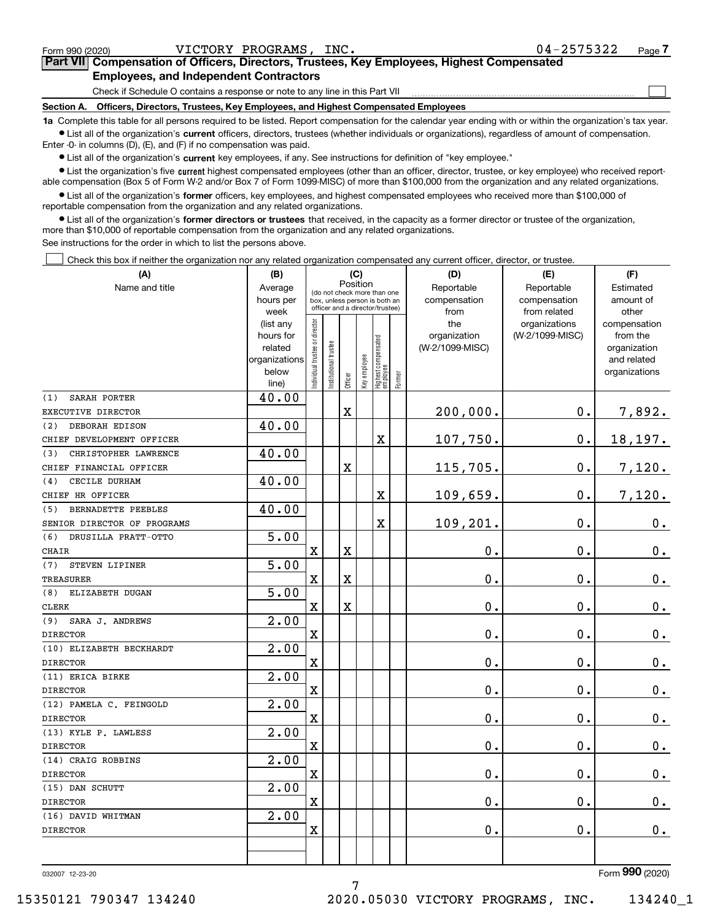|                                                                                                    | • List all of the organization's former directors or trustees that received, in the capacity as a former director or trustee of the organization, |
|----------------------------------------------------------------------------------------------------|---------------------------------------------------------------------------------------------------------------------------------------------------|
| more than \$10,000 of reportable compensation from the organization and any related organizations. |                                                                                                                                                   |
| See instructions for the order in which to list the persons above.                                 |                                                                                                                                                   |

reportable compensation from the organization and any related organizations.

Enter -0- in columns (D), (E), and (F) if no compensation was paid.

Check this box if neither the organization nor any related organization compensated any current officer, director, or trustee.  $\mathcal{L}^{\text{max}}$ 

**•** List the organization's five current highest compensated employees (other than an officer, director, trustee, or key employee) who received report-

**•** List all of the organization's former officers, key employees, and highest compensated employees who received more than \$100,000 of

able compensation (Box 5 of Form W-2 and/or Box 7 of Form 1099-MISC) of more than \$100,000 from the organization and any related organizations.

**1a**  Complete this table for all persons required to be listed. Report compensation for the calendar year ending with or within the organization's tax year. **•** List all of the organization's current officers, directors, trustees (whether individuals or organizations), regardless of amount of compensation.

| (A)                         | (B)                    |                                         |                       |                                 | (C)          |                                   |        | (D)             | (E)             | (F)                          |  |  |
|-----------------------------|------------------------|-----------------------------------------|-----------------------|---------------------------------|--------------|-----------------------------------|--------|-----------------|-----------------|------------------------------|--|--|
| Name and title              | Average                | Position<br>(do not check more than one |                       |                                 |              |                                   |        | Reportable      | Reportable      | Estimated                    |  |  |
|                             | hours per              |                                         |                       | box, unless person is both an   |              |                                   |        | compensation    | compensation    | amount of                    |  |  |
|                             | week                   |                                         |                       | officer and a director/trustee) |              |                                   |        | from            | from related    | other                        |  |  |
|                             | (list any              |                                         |                       |                                 |              |                                   |        | the             | organizations   | compensation                 |  |  |
|                             | hours for              |                                         |                       |                                 |              |                                   |        | organization    | (W-2/1099-MISC) | from the                     |  |  |
|                             | related                |                                         |                       |                                 |              |                                   |        | (W-2/1099-MISC) |                 | organization                 |  |  |
|                             | organizations<br>below |                                         |                       |                                 |              |                                   |        |                 |                 | and related<br>organizations |  |  |
|                             | line)                  | ndividual trustee or director           | Institutional trustee | Officer                         | Key employee | Highest compensated<br>  employee | Former |                 |                 |                              |  |  |
| SARAH PORTER<br>(1)         | 40.00                  |                                         |                       |                                 |              |                                   |        |                 |                 |                              |  |  |
| EXECUTIVE DIRECTOR          |                        |                                         |                       | $\mathbf x$                     |              |                                   |        | 200,000.        | 0.              | 7,892.                       |  |  |
| (2)<br>DEBORAH EDISON       | 40.00                  |                                         |                       |                                 |              |                                   |        |                 |                 |                              |  |  |
| CHIEF DEVELOPMENT OFFICER   |                        |                                         |                       |                                 |              | $\overline{\textbf{X}}$           |        | 107,750.        | 0.              | 18, 197.                     |  |  |
| CHRISTOPHER LAWRENCE<br>(3) | 40.00                  |                                         |                       |                                 |              |                                   |        |                 |                 |                              |  |  |
| CHIEF FINANCIAL OFFICER     |                        |                                         |                       | $\mathbf X$                     |              |                                   |        | 115,705.        | 0.              | 7,120.                       |  |  |
| CECILE DURHAM<br>(4)        | 40.00                  |                                         |                       |                                 |              |                                   |        |                 |                 |                              |  |  |
| CHIEF HR OFFICER            |                        |                                         |                       |                                 |              | $\overline{\textbf{X}}$           |        | 109,659.        | 0.              | 7,120.                       |  |  |
| BERNADETTE PEEBLES<br>(5)   | 40.00                  |                                         |                       |                                 |              |                                   |        |                 |                 |                              |  |  |
| SENIOR DIRECTOR OF PROGRAMS |                        |                                         |                       |                                 |              | $\mathbf X$                       |        | 109,201.        | 0.              | 0.                           |  |  |
| (6)<br>DRUSILLA PRATT-OTTO  | 5.00                   |                                         |                       |                                 |              |                                   |        |                 |                 |                              |  |  |
| <b>CHAIR</b>                |                        | $\rm X$                                 |                       | $\rm X$                         |              |                                   |        | 0.              | 0.              | 0.                           |  |  |
| STEVEN LIPINER<br>(7)       | 5.00                   |                                         |                       |                                 |              |                                   |        |                 |                 |                              |  |  |
| <b>TREASURER</b>            |                        | X                                       |                       | $\rm X$                         |              |                                   |        | 0.              | $0$ .           | 0.                           |  |  |
| (8)<br>ELIZABETH DUGAN      | 5.00                   |                                         |                       |                                 |              |                                   |        |                 |                 |                              |  |  |
| <b>CLERK</b>                |                        | $\mathbf X$                             |                       | $\mathbf x$                     |              |                                   |        | 0.              | 0.              | 0.                           |  |  |
| SARA J. ANDREWS<br>(9)      | 2.00                   |                                         |                       |                                 |              |                                   |        |                 |                 |                              |  |  |
| <b>DIRECTOR</b>             |                        | $\mathbf X$                             |                       |                                 |              |                                   |        | 0.              | 0.              | 0.                           |  |  |
| (10) ELIZABETH BECKHARDT    | 2.00                   |                                         |                       |                                 |              |                                   |        |                 |                 |                              |  |  |
| <b>DIRECTOR</b>             |                        | $\mathbf X$                             |                       |                                 |              |                                   |        | 0.              | $\mathbf 0$ .   | $0_{.}$                      |  |  |
| (11) ERICA BIRKE            | 2.00                   |                                         |                       |                                 |              |                                   |        |                 |                 |                              |  |  |
| <b>DIRECTOR</b>             |                        | X                                       |                       |                                 |              |                                   |        | 0.              | 0.              | $\mathbf 0$ .                |  |  |
| (12) PAMELA C. FEINGOLD     | 2.00                   |                                         |                       |                                 |              |                                   |        |                 |                 |                              |  |  |
| <b>DIRECTOR</b>             |                        | $\mathbf X$                             |                       |                                 |              |                                   |        | 0.              | 0.              | 0.                           |  |  |
| (13) KYLE P. LAWLESS        | 2.00                   |                                         |                       |                                 |              |                                   |        |                 |                 |                              |  |  |
| <b>DIRECTOR</b>             |                        | $\mathbf X$                             |                       |                                 |              |                                   |        | 0.              | 0.              | 0.                           |  |  |
| (14) CRAIG ROBBINS          | 2.00                   |                                         |                       |                                 |              |                                   |        |                 |                 |                              |  |  |
| <b>DIRECTOR</b>             |                        | $\mathbf X$                             |                       |                                 |              |                                   |        | 0.              | $\mathbf 0$ .   | $\mathbf 0$ .                |  |  |
| (15) DAN SCHUTT             | 2.00                   |                                         |                       |                                 |              |                                   |        |                 |                 |                              |  |  |
| <b>DIRECTOR</b>             |                        | $\mathbf X$                             |                       |                                 |              |                                   |        | $0$ .           | 0.              | 0.                           |  |  |
| (16) DAVID WHITMAN          | $\overline{2}$ .00     |                                         |                       |                                 |              |                                   |        |                 |                 |                              |  |  |
| <b>DIRECTOR</b>             |                        | X                                       |                       |                                 |              |                                   |        | 0.              | 0.              | 0.                           |  |  |
|                             |                        |                                         |                       |                                 |              |                                   |        |                 |                 |                              |  |  |
|                             |                        |                                         |                       |                                 |              |                                   |        |                 |                 |                              |  |  |

7

032007 12-23-20

Form (2020) **990**

15350121 790347 134240 2020.05030 VICTORY PROGRAMS, INC. 134240\_1

 $\mathcal{L}^{\text{max}}$ 

**7Part VII Compensation of Officers, Directors, Trustees, Key Employees, Highest Compensated Employees, and Independent Contractors**

 $\bullet$  List all of the organization's  $\,$ current key employees, if any. See instructions for definition of "key employee."

**Section A. Officers, Directors, Trustees, Key Employees, and Highest Compensated Employees** Check if Schedule O contains a response or note to any line in this Part VII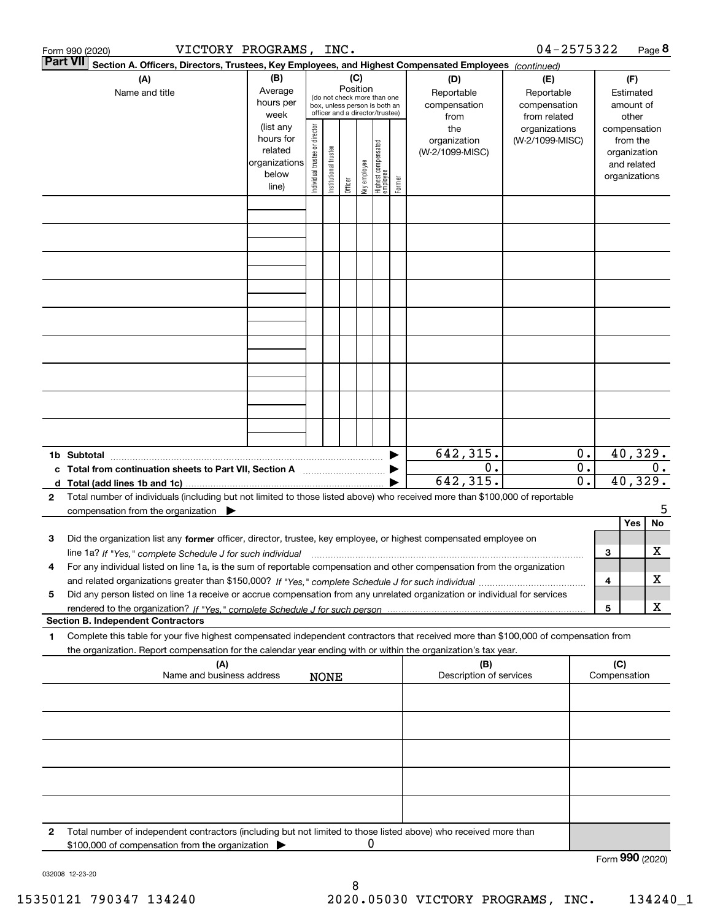|                 | VICTORY PROGRAMS,<br>Form 990 (2020)                                                                                                            |               |                                | INC.                                                         |          |              |                                  |        |                         | 04-2575322      |                  |                 |               | Page 8 |
|-----------------|-------------------------------------------------------------------------------------------------------------------------------------------------|---------------|--------------------------------|--------------------------------------------------------------|----------|--------------|----------------------------------|--------|-------------------------|-----------------|------------------|-----------------|---------------|--------|
| <b>Part VII</b> | Section A. Officers, Directors, Trustees, Key Employees, and Highest Compensated Employees (continued)                                          |               |                                |                                                              |          |              |                                  |        |                         |                 |                  |                 |               |        |
|                 | (A)                                                                                                                                             | (B)           |                                |                                                              | (C)      |              |                                  |        | (D)                     | (E)             |                  |                 | (F)           |        |
|                 | Name and title                                                                                                                                  | Average       |                                |                                                              | Position |              |                                  |        | Reportable              | Reportable      |                  |                 | Estimated     |        |
|                 |                                                                                                                                                 | hours per     |                                | (do not check more than one<br>box, unless person is both an |          |              |                                  |        | compensation            | compensation    |                  |                 | amount of     |        |
|                 |                                                                                                                                                 | week          |                                | officer and a director/trustee)                              |          |              |                                  |        | from                    | from related    |                  |                 | other         |        |
|                 |                                                                                                                                                 | (list any     |                                |                                                              |          |              |                                  |        | the                     | organizations   |                  |                 | compensation  |        |
|                 |                                                                                                                                                 | hours for     | Individual trustee or director |                                                              |          |              |                                  |        | organization            | (W-2/1099-MISC) |                  |                 | from the      |        |
|                 |                                                                                                                                                 | related       |                                | Institutional trustee                                        |          |              |                                  |        | (W-2/1099-MISC)         |                 |                  |                 | organization  |        |
|                 |                                                                                                                                                 | organizations |                                |                                                              |          |              |                                  |        |                         |                 |                  |                 | and related   |        |
|                 |                                                                                                                                                 | below         |                                |                                                              |          | Key employee |                                  |        |                         |                 |                  |                 | organizations |        |
|                 |                                                                                                                                                 | line)         |                                |                                                              | Officer  |              | Highest compensated<br> employee | Former |                         |                 |                  |                 |               |        |
|                 |                                                                                                                                                 |               |                                |                                                              |          |              |                                  |        |                         |                 |                  |                 |               |        |
|                 |                                                                                                                                                 |               |                                |                                                              |          |              |                                  |        |                         |                 |                  |                 |               |        |
|                 |                                                                                                                                                 |               |                                |                                                              |          |              |                                  |        |                         |                 |                  |                 |               |        |
|                 |                                                                                                                                                 |               |                                |                                                              |          |              |                                  |        |                         |                 |                  |                 |               |        |
|                 |                                                                                                                                                 |               |                                |                                                              |          |              |                                  |        |                         |                 |                  |                 |               |        |
|                 |                                                                                                                                                 |               |                                |                                                              |          |              |                                  |        |                         |                 |                  |                 |               |        |
|                 |                                                                                                                                                 |               |                                |                                                              |          |              |                                  |        |                         |                 |                  |                 |               |        |
|                 |                                                                                                                                                 |               |                                |                                                              |          |              |                                  |        |                         |                 |                  |                 |               |        |
|                 |                                                                                                                                                 |               |                                |                                                              |          |              |                                  |        |                         |                 |                  |                 |               |        |
|                 |                                                                                                                                                 |               |                                |                                                              |          |              |                                  |        |                         |                 |                  |                 |               |        |
|                 |                                                                                                                                                 |               |                                |                                                              |          |              |                                  |        |                         |                 |                  |                 |               |        |
|                 |                                                                                                                                                 |               |                                |                                                              |          |              |                                  |        |                         |                 |                  |                 |               |        |
|                 |                                                                                                                                                 |               |                                |                                                              |          |              |                                  |        |                         |                 |                  |                 |               |        |
|                 |                                                                                                                                                 |               |                                |                                                              |          |              |                                  |        |                         |                 |                  |                 |               |        |
|                 |                                                                                                                                                 |               |                                |                                                              |          |              |                                  |        |                         |                 |                  |                 |               |        |
|                 |                                                                                                                                                 |               |                                |                                                              |          |              |                                  |        |                         |                 |                  |                 |               |        |
|                 |                                                                                                                                                 |               |                                |                                                              |          |              |                                  |        |                         |                 |                  |                 |               |        |
|                 |                                                                                                                                                 |               |                                |                                                              |          |              |                                  |        |                         |                 |                  |                 |               |        |
|                 |                                                                                                                                                 |               |                                |                                                              |          |              |                                  |        |                         |                 |                  |                 |               |        |
|                 |                                                                                                                                                 |               |                                |                                                              |          |              |                                  |        | 642, 315.               |                 | $0$ .            |                 | 40,329.       |        |
|                 | c Total from continuation sheets to Part VII, Section A manufactured by                                                                         |               |                                |                                                              |          |              |                                  |        | 0.                      |                 | $\overline{0}$ . |                 |               | 0.     |
|                 |                                                                                                                                                 |               |                                |                                                              |          |              |                                  |        | 642, 315.               |                 | 0.               |                 | 40,329.       |        |
| 2               | Total number of individuals (including but not limited to those listed above) who received more than \$100,000 of reportable                    |               |                                |                                                              |          |              |                                  |        |                         |                 |                  |                 |               |        |
|                 | compensation from the organization $\blacktriangleright$                                                                                        |               |                                |                                                              |          |              |                                  |        |                         |                 |                  |                 |               | 5      |
|                 |                                                                                                                                                 |               |                                |                                                              |          |              |                                  |        |                         |                 |                  |                 | Yes           | No     |
|                 |                                                                                                                                                 |               |                                |                                                              |          |              |                                  |        |                         |                 |                  |                 |               |        |
| 3               | Did the organization list any former officer, director, trustee, key employee, or highest compensated employee on                               |               |                                |                                                              |          |              |                                  |        |                         |                 |                  |                 |               | х      |
|                 | line 1a? If "Yes," complete Schedule J for such individual manufactured contained and the 1a? If "Yes," complete Schedule J for such individual |               |                                |                                                              |          |              |                                  |        |                         |                 |                  | 3               |               |        |
|                 | For any individual listed on line 1a, is the sum of reportable compensation and other compensation from the organization                        |               |                                |                                                              |          |              |                                  |        |                         |                 |                  |                 |               |        |
|                 |                                                                                                                                                 |               |                                |                                                              |          |              |                                  |        |                         |                 |                  | 4               |               | х      |
| 5               | Did any person listed on line 1a receive or accrue compensation from any unrelated organization or individual for services                      |               |                                |                                                              |          |              |                                  |        |                         |                 |                  |                 |               |        |
|                 |                                                                                                                                                 |               |                                |                                                              |          |              |                                  |        |                         |                 |                  | 5               |               | х      |
|                 | <b>Section B. Independent Contractors</b>                                                                                                       |               |                                |                                                              |          |              |                                  |        |                         |                 |                  |                 |               |        |
| 1.              | Complete this table for your five highest compensated independent contractors that received more than \$100,000 of compensation from            |               |                                |                                                              |          |              |                                  |        |                         |                 |                  |                 |               |        |
|                 | the organization. Report compensation for the calendar year ending with or within the organization's tax year.                                  |               |                                |                                                              |          |              |                                  |        |                         |                 |                  |                 |               |        |
|                 | (A)                                                                                                                                             |               |                                |                                                              |          |              |                                  |        | (B)                     |                 |                  | (C)             |               |        |
|                 | Name and business address                                                                                                                       |               |                                | <b>NONE</b>                                                  |          |              |                                  |        | Description of services |                 |                  | Compensation    |               |        |
|                 |                                                                                                                                                 |               |                                |                                                              |          |              |                                  |        |                         |                 |                  |                 |               |        |
|                 |                                                                                                                                                 |               |                                |                                                              |          |              |                                  |        |                         |                 |                  |                 |               |        |
|                 |                                                                                                                                                 |               |                                |                                                              |          |              |                                  |        |                         |                 |                  |                 |               |        |
|                 |                                                                                                                                                 |               |                                |                                                              |          |              |                                  |        |                         |                 |                  |                 |               |        |
|                 |                                                                                                                                                 |               |                                |                                                              |          |              |                                  |        |                         |                 |                  |                 |               |        |
|                 |                                                                                                                                                 |               |                                |                                                              |          |              |                                  |        |                         |                 |                  |                 |               |        |
|                 |                                                                                                                                                 |               |                                |                                                              |          |              |                                  |        |                         |                 |                  |                 |               |        |
|                 |                                                                                                                                                 |               |                                |                                                              |          |              |                                  |        |                         |                 |                  |                 |               |        |
|                 |                                                                                                                                                 |               |                                |                                                              |          |              |                                  |        |                         |                 |                  |                 |               |        |
|                 |                                                                                                                                                 |               |                                |                                                              |          |              |                                  |        |                         |                 |                  |                 |               |        |
|                 |                                                                                                                                                 |               |                                |                                                              |          |              |                                  |        |                         |                 |                  |                 |               |        |
| 2               | Total number of independent contractors (including but not limited to those listed above) who received more than                                |               |                                |                                                              |          |              |                                  |        |                         |                 |                  |                 |               |        |
|                 | \$100,000 of compensation from the organization                                                                                                 |               |                                |                                                              |          | 0            |                                  |        |                         |                 |                  |                 |               |        |
|                 |                                                                                                                                                 |               |                                |                                                              |          |              |                                  |        |                         |                 |                  | Form 990 (2020) |               |        |

032008 12-23-20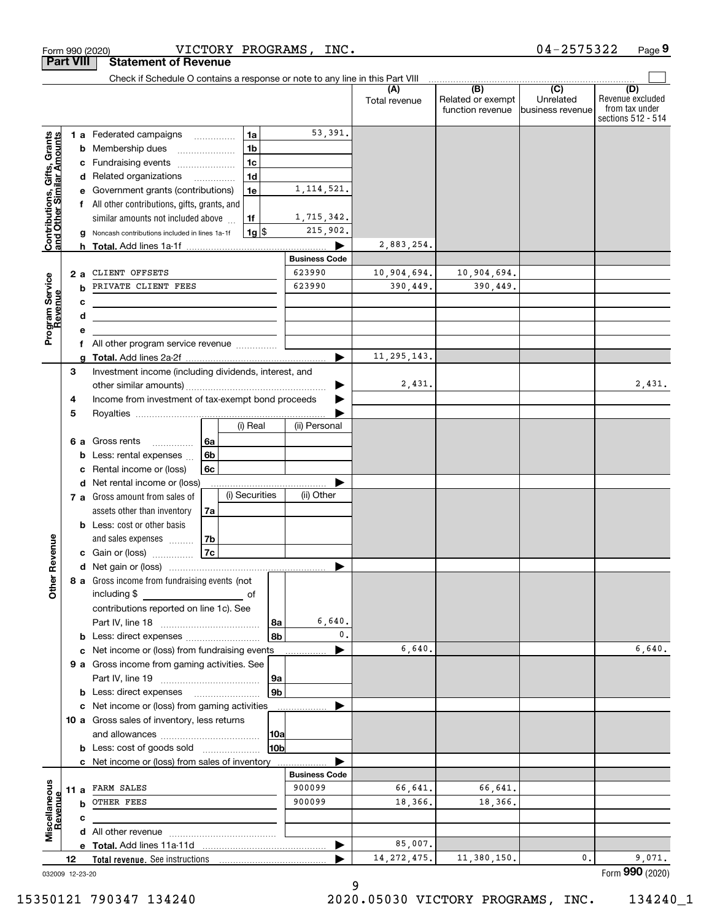| <b>Part VIII</b>                                          |          | Form 990 (2020)<br><b>Statement of Revenue</b>                                | VICTORY PROGRAMS,        |                | INC.                           |                      |                                              | 04-2575322                                        | Page 9                                                          |
|-----------------------------------------------------------|----------|-------------------------------------------------------------------------------|--------------------------|----------------|--------------------------------|----------------------|----------------------------------------------|---------------------------------------------------|-----------------------------------------------------------------|
|                                                           |          | Check if Schedule O contains a response or note to any line in this Part VIII |                          |                |                                |                      |                                              |                                                   |                                                                 |
|                                                           |          |                                                                               |                          |                |                                | (A)<br>Total revenue | (B)<br>Related or exempt<br>function revenue | $\overline{(C)}$<br>Unrelated<br>business revenue | (D)<br>Revenue excluded<br>from tax under<br>sections 512 - 514 |
|                                                           |          | 1 a Federated campaigns                                                       |                          | 1a             | 53,391.                        |                      |                                              |                                                   |                                                                 |
| Contributions, Gifts, Grants<br>and Other Similar Amounts | b        | Membership dues                                                               |                          | 1 <sub>b</sub> |                                |                      |                                              |                                                   |                                                                 |
|                                                           | c        | Fundraising events                                                            |                          | 1 <sub>c</sub> |                                |                      |                                              |                                                   |                                                                 |
|                                                           |          | d Related organizations                                                       | $\overline{\phantom{a}}$ | 1 <sub>d</sub> |                                |                      |                                              |                                                   |                                                                 |
|                                                           | е        | Government grants (contributions)                                             |                          | 1e             | 1, 114, 521.                   |                      |                                              |                                                   |                                                                 |
|                                                           | f        | All other contributions, gifts, grants, and                                   |                          |                |                                |                      |                                              |                                                   |                                                                 |
|                                                           |          | similar amounts not included above                                            |                          | 1f             | 1,715,342.                     |                      |                                              |                                                   |                                                                 |
|                                                           |          | Noncash contributions included in lines 1a-1f                                 |                          | $1g$ \\$       | 215,902.                       |                      |                                              |                                                   |                                                                 |
|                                                           |          |                                                                               |                          |                |                                | 2,883,254.           |                                              |                                                   |                                                                 |
|                                                           |          | CLIENT OFFSETS                                                                |                          |                | <b>Business Code</b><br>623990 | 10,904,694.          | 10,904,694.                                  |                                                   |                                                                 |
| Program Service<br>Revenue                                | 2 a<br>b | PRIVATE CLIENT FEES                                                           |                          |                | 623990                         | 390,449.             | 390,449.                                     |                                                   |                                                                 |
|                                                           |          |                                                                               |                          |                |                                |                      |                                              |                                                   |                                                                 |
|                                                           | с<br>d   |                                                                               |                          |                |                                |                      |                                              |                                                   |                                                                 |
|                                                           |          |                                                                               |                          |                |                                |                      |                                              |                                                   |                                                                 |
|                                                           |          | All other program service revenue                                             |                          |                |                                |                      |                                              |                                                   |                                                                 |
|                                                           | g        |                                                                               |                          |                | ▶                              | 11, 295, 143.        |                                              |                                                   |                                                                 |
|                                                           | 3        | Investment income (including dividends, interest, and                         |                          |                |                                |                      |                                              |                                                   |                                                                 |
|                                                           |          |                                                                               |                          |                |                                | 2,431.               |                                              |                                                   | 2,431.                                                          |
| 4                                                         |          | Income from investment of tax-exempt bond proceeds                            |                          |                |                                |                      |                                              |                                                   |                                                                 |
| 5                                                         |          |                                                                               |                          |                |                                |                      |                                              |                                                   |                                                                 |
|                                                           |          |                                                                               |                          | (i) Real       | (ii) Personal                  |                      |                                              |                                                   |                                                                 |
|                                                           | 6а       | Gross rents<br>.                                                              | 6a                       |                |                                |                      |                                              |                                                   |                                                                 |
|                                                           | b        | Less: rental expenses                                                         | 6 <sub>b</sub>           |                |                                |                      |                                              |                                                   |                                                                 |
|                                                           | с        | Rental income or (loss)                                                       | 6c                       |                |                                |                      |                                              |                                                   |                                                                 |
|                                                           |          | d Net rental income or (loss)                                                 |                          |                |                                |                      |                                              |                                                   |                                                                 |
|                                                           |          | 7 a Gross amount from sales of                                                |                          | (i) Securities | (ii) Other                     |                      |                                              |                                                   |                                                                 |
|                                                           |          | assets other than inventory                                                   | 7a                       |                |                                |                      |                                              |                                                   |                                                                 |
|                                                           |          | <b>b</b> Less: cost or other basis                                            |                          |                |                                |                      |                                              |                                                   |                                                                 |
|                                                           |          | and sales expenses<br>c Gain or (loss)                                        | 7b<br>7c                 |                |                                |                      |                                              |                                                   |                                                                 |
| evenue                                                    |          | d Net gain or (loss)                                                          |                          |                |                                |                      |                                              |                                                   |                                                                 |
| ᄄ                                                         |          | 8 a Gross income from fundraising events (not                                 |                          |                |                                |                      |                                              |                                                   |                                                                 |
| Other                                                     |          | including \$                                                                  |                          | of             |                                |                      |                                              |                                                   |                                                                 |
|                                                           |          | contributions reported on line 1c). See                                       |                          |                |                                |                      |                                              |                                                   |                                                                 |
|                                                           |          |                                                                               |                          | 8a             | 6,640.                         |                      |                                              |                                                   |                                                                 |
|                                                           |          | <b>b</b> Less: direct expenses                                                |                          | 8b             | $\mathbf{0}$ .                 |                      |                                              |                                                   |                                                                 |
|                                                           |          | c Net income or (loss) from fundraising events                                |                          |                |                                | 6,640.               |                                              |                                                   | 6,640.                                                          |
|                                                           |          | 9 a Gross income from gaming activities. See                                  |                          |                |                                |                      |                                              |                                                   |                                                                 |
|                                                           |          |                                                                               |                          | 9a             |                                |                      |                                              |                                                   |                                                                 |
|                                                           |          | <b>b</b> Less: direct expenses                                                |                          | 9 <sub>b</sub> |                                |                      |                                              |                                                   |                                                                 |
|                                                           |          | c Net income or (loss) from gaming activities                                 |                          |                |                                |                      |                                              |                                                   |                                                                 |
|                                                           |          | 10 a Gross sales of inventory, less returns                                   |                          |                |                                |                      |                                              |                                                   |                                                                 |
|                                                           |          |                                                                               |                          | 10a            |                                |                      |                                              |                                                   |                                                                 |
|                                                           |          | <b>b</b> Less: cost of goods sold                                             |                          | 10b            |                                |                      |                                              |                                                   |                                                                 |
|                                                           |          | c Net income or (loss) from sales of inventory                                |                          |                |                                |                      |                                              |                                                   |                                                                 |
|                                                           |          |                                                                               |                          |                | <b>Business Code</b><br>900099 |                      |                                              |                                                   |                                                                 |
|                                                           | 11 a     | FARM SALES                                                                    |                          |                | 900099                         | 66,641.              | 66,641.                                      |                                                   |                                                                 |
| Revenue                                                   | b        | OTHER FEES                                                                    |                          |                |                                | 18,366.              | 18,366.                                      |                                                   |                                                                 |
|                                                           | с        |                                                                               |                          |                |                                |                      |                                              |                                                   |                                                                 |
| Miscellaneous                                             |          |                                                                               |                          |                |                                | 85,007.              |                                              |                                                   |                                                                 |
|                                                           |          |                                                                               |                          |                | ▶                              | 14, 272, 475.        |                                              | 0.                                                | 9,071.                                                          |
| 12                                                        |          |                                                                               |                          |                |                                |                      | 11,380,150.                                  |                                                   | Form 990 (2020)                                                 |

9

032009 12-23-20

**9** 04-2575322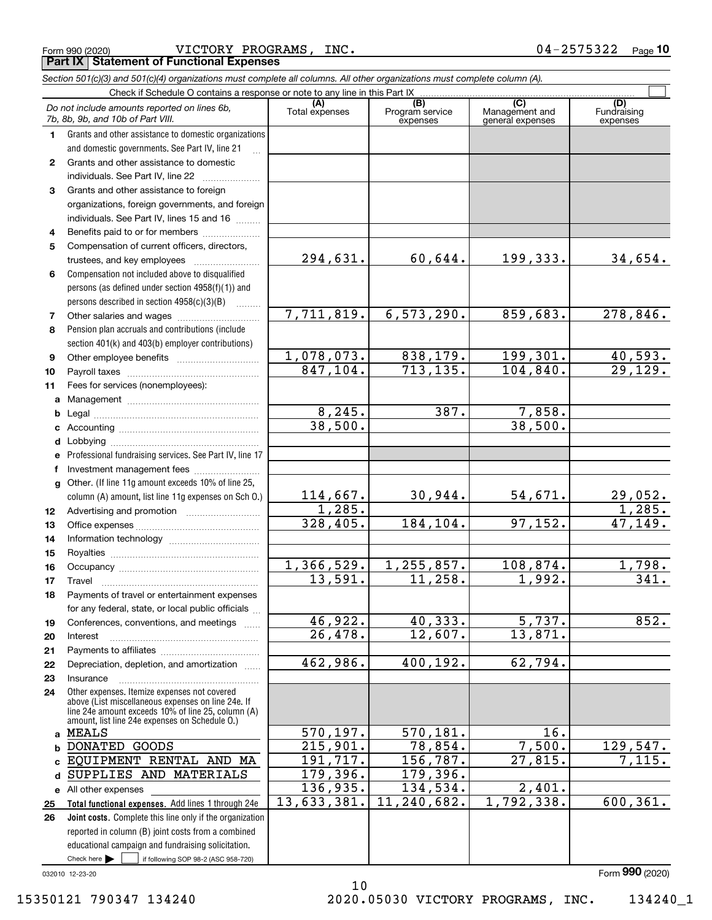|  | Form 990 (2020) |
|--|-----------------|
|  |                 |

Form 990 (2020) Page **Part IX Statement of Functional Expenses** <code>VICTORY PROGRAMS</code> , <code>INC</code> .  $04-2575322$ 

*Section 501(c)(3) and 501(c)(4) organizations must complete all columns. All other organizations must complete column (A).*

|              | Do not include amounts reported on lines 6b,<br>7b, 8b, 9b, and 10b of Part VIII.                  | (A)<br>Total expenses | $\overline{(B)}$<br>Program service<br>expenses | (C)<br>Management and<br>general expenses | (D)<br>Fundraising<br>expenses |
|--------------|----------------------------------------------------------------------------------------------------|-----------------------|-------------------------------------------------|-------------------------------------------|--------------------------------|
| 1.           | Grants and other assistance to domestic organizations                                              |                       |                                                 |                                           |                                |
|              | and domestic governments. See Part IV, line 21                                                     |                       |                                                 |                                           |                                |
| $\mathbf{2}$ | Grants and other assistance to domestic                                                            |                       |                                                 |                                           |                                |
|              | individuals. See Part IV, line 22                                                                  |                       |                                                 |                                           |                                |
| 3            | Grants and other assistance to foreign                                                             |                       |                                                 |                                           |                                |
|              | organizations, foreign governments, and foreign                                                    |                       |                                                 |                                           |                                |
|              | individuals. See Part IV, lines 15 and 16                                                          |                       |                                                 |                                           |                                |
| 4            | Benefits paid to or for members                                                                    |                       |                                                 |                                           |                                |
| 5            | Compensation of current officers, directors,                                                       |                       |                                                 |                                           |                                |
|              | trustees, and key employees                                                                        | 294,631.              | 60,644.                                         | 199,333.                                  | 34,654.                        |
| 6            | Compensation not included above to disqualified                                                    |                       |                                                 |                                           |                                |
|              | persons (as defined under section 4958(f)(1)) and                                                  |                       |                                                 |                                           |                                |
|              | persons described in section 4958(c)(3)(B)                                                         |                       |                                                 |                                           |                                |
| 7            |                                                                                                    | 7,711,819.            | 6, 573, 290.                                    | 859,683.                                  | 278,846.                       |
| 8            | Pension plan accruals and contributions (include                                                   |                       |                                                 |                                           |                                |
|              | section 401(k) and 403(b) employer contributions)                                                  |                       |                                                 |                                           |                                |
| 9            |                                                                                                    | 1,078,073.            | 838,179.                                        | 199,301.                                  | 40,593.                        |
| 10           |                                                                                                    | 847, 104.             | 713, 135.                                       | 104,840.                                  | 29, 129.                       |
| 11           | Fees for services (nonemployees):                                                                  |                       |                                                 |                                           |                                |
|              |                                                                                                    |                       |                                                 |                                           |                                |
|              |                                                                                                    | 8, 245.               | 387.                                            | 7,858.                                    |                                |
|              |                                                                                                    | 38,500.               |                                                 | 38,500.                                   |                                |
|              |                                                                                                    |                       |                                                 |                                           |                                |
|              | e Professional fundraising services. See Part IV, line 17                                          |                       |                                                 |                                           |                                |
| f            | Investment management fees                                                                         |                       |                                                 |                                           |                                |
|              | g Other. (If line 11g amount exceeds 10% of line 25,                                               |                       |                                                 |                                           |                                |
|              | column (A) amount, list line 11g expenses on Sch O.)                                               | 114,667.              | 30,944.                                         | 54,671.                                   | 29,052.                        |
| 12           |                                                                                                    | 1,285.                |                                                 |                                           | $\overline{1,285.}$            |
| 13           |                                                                                                    | 328,405.              | 184,104.                                        | 97, 152.                                  | 47, 149.                       |
| 14           |                                                                                                    |                       |                                                 |                                           |                                |
| 15           |                                                                                                    |                       |                                                 |                                           |                                |
| 16           |                                                                                                    | 1,366,529.            | 1,255,857.                                      | 108,874.                                  | 1,798.                         |
| 17           |                                                                                                    | 13,591.               | 11,258.                                         | 1,992.                                    | 341.                           |
| 18           | Payments of travel or entertainment expenses                                                       |                       |                                                 |                                           |                                |
|              | for any federal, state, or local public officials                                                  |                       |                                                 |                                           |                                |
| 19           | Conferences, conventions, and meetings                                                             | 46,922.               | 40, 333.                                        | $\overline{5,737.}$                       | 852.                           |
| 20           | Interest                                                                                           | 26,478.               | 12,607.                                         | 13,871.                                   |                                |
| 21           |                                                                                                    | 462,986.              | 400,192.                                        | 62,794.                                   |                                |
| 22           | Depreciation, depletion, and amortization                                                          |                       |                                                 |                                           |                                |
| 23           | Insurance                                                                                          |                       |                                                 |                                           |                                |
| 24           | Other expenses. Itemize expenses not covered<br>above (List miscellaneous expenses on line 24e. If |                       |                                                 |                                           |                                |
|              | line 24e amount exceeds 10% of line 25, column (A)                                                 |                       |                                                 |                                           |                                |
|              | amount, list line 24e expenses on Schedule O.)<br>a MEALS                                          | 570,197.              | 570, 181.                                       | $\overline{16}$ .                         |                                |
|              | <b>b DONATED GOODS</b>                                                                             | 215,901.              | 78,854.                                         | 7,500.                                    | 129,547.                       |
| c            | EQUIPMENT RENTAL AND MA                                                                            | 191,717.              | 156,787.                                        | $\overline{27,815}$ .                     | 7,115.                         |
| d            | SUPPLIES AND MATERIALS                                                                             | 179,396.              | 179,396.                                        |                                           |                                |
|              | e All other expenses                                                                               | 136,935.              | 134,534.                                        | 2,401.                                    |                                |
| 25           | Total functional expenses. Add lines 1 through 24e                                                 | 13,633,381.           | 11,240,682.                                     | 1,792,338.                                | 600, 361.                      |
| 26           | Joint costs. Complete this line only if the organization                                           |                       |                                                 |                                           |                                |
|              | reported in column (B) joint costs from a combined                                                 |                       |                                                 |                                           |                                |
|              | educational campaign and fundraising solicitation.                                                 |                       |                                                 |                                           |                                |
|              | Check here $\blacktriangleright$<br>if following SOP 98-2 (ASC 958-720)                            |                       |                                                 |                                           |                                |

10

032010 12-23-20

15350121 790347 134240 2020.05030 VICTORY PROGRAMS, INC. 134240\_1

Form (2020) **990**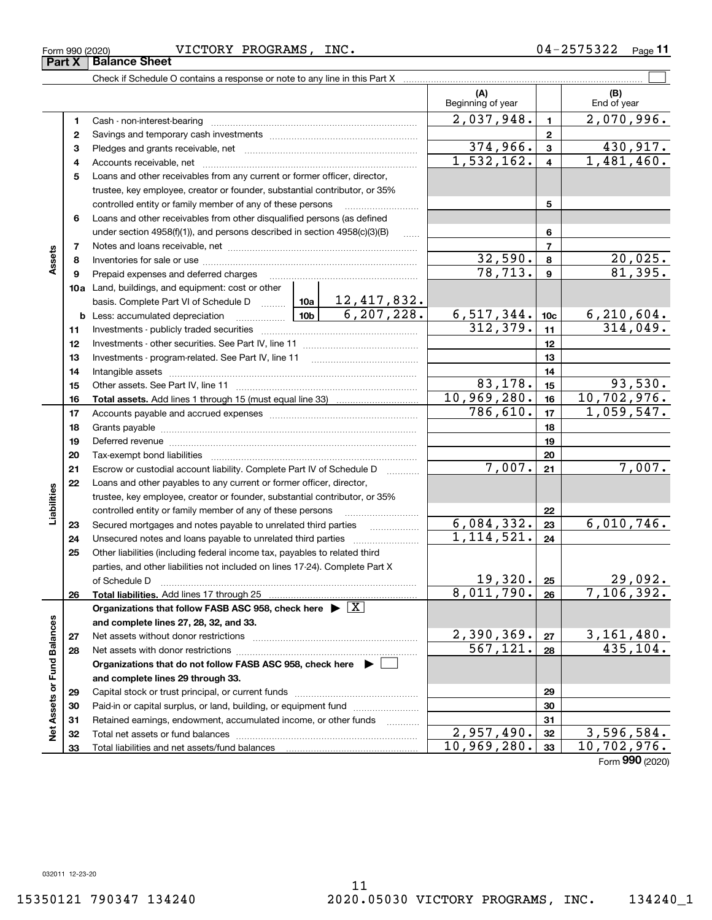Total liabilities and net assets/fund balances

# 11 15350121 790347 134240 2020.05030 VICTORY PROGRAMS, INC. 134240\_1

 $2,957,490.$   $32 \mid 3,596,584.$ 10,969,280. 33 10,702,976.

Form (2020) **990**

|                             |              | Check if Schedule O contains a response or note to any line in this Part X                                                   |                          |                         |                          |                   |                       |
|-----------------------------|--------------|------------------------------------------------------------------------------------------------------------------------------|--------------------------|-------------------------|--------------------------|-------------------|-----------------------|
|                             |              |                                                                                                                              |                          |                         | (A)<br>Beginning of year |                   | (B)<br>End of year    |
|                             | 1            |                                                                                                                              |                          |                         | 2,037,948.               | $\blacksquare$    | 2,070,996.            |
|                             | $\mathbf{2}$ |                                                                                                                              |                          |                         |                          | $\mathbf{2}$      |                       |
|                             | з            |                                                                                                                              |                          |                         | 374,966.                 | $\mathbf{3}$      | 430,917.              |
|                             | 4            |                                                                                                                              | $\overline{1,532,162}$ . | $\overline{\mathbf{4}}$ | 1,481,460.               |                   |                       |
|                             | 5            | Loans and other receivables from any current or former officer, director,                                                    |                          |                         |                          |                   |                       |
|                             |              | trustee, key employee, creator or founder, substantial contributor, or 35%                                                   |                          |                         |                          |                   |                       |
|                             |              | controlled entity or family member of any of these persons                                                                   |                          |                         | 5                        |                   |                       |
|                             | 6            | Loans and other receivables from other disqualified persons (as defined                                                      |                          |                         |                          |                   |                       |
|                             |              | under section 4958(f)(1)), and persons described in section 4958(c)(3)(B)                                                    |                          | .                       |                          | 6                 |                       |
|                             | 7            |                                                                                                                              |                          |                         |                          | $\overline{7}$    |                       |
| Assets                      | 8            |                                                                                                                              |                          |                         | 32,590.                  | 8                 | 20,025.               |
|                             | 9            | Prepaid expenses and deferred charges                                                                                        | 78,713.                  | $\boldsymbol{9}$        | 81,395.                  |                   |                       |
|                             |              | 10a Land, buildings, and equipment: cost or other                                                                            |                          |                         |                          |                   |                       |
|                             |              | basis. Complete Part VI of Schedule D                                                                                        |                          | $10a$ 12, 417, 832.     |                          |                   |                       |
|                             |              | <b>b</b> Less: accumulated depreciation                                                                                      | 10 <sub>b</sub>          | $\overline{6,207,228.}$ | 6, 517, 344.             | 10 <sub>c</sub>   | 6, 210, 604.          |
|                             | 11           |                                                                                                                              |                          |                         | 312, 379.                | 11                | 314,049.              |
|                             | 12           |                                                                                                                              |                          |                         |                          | 12                |                       |
|                             | 13           |                                                                                                                              |                          |                         |                          | 13                |                       |
|                             | 14           |                                                                                                                              |                          |                         |                          | 14                |                       |
|                             | 15           |                                                                                                                              |                          |                         | 83,178.                  | 15                | 93,530.               |
|                             | 16           |                                                                                                                              |                          |                         | 10,969,280.              | 16                | 10,702,976.           |
|                             | 17           |                                                                                                                              |                          | 786, 610.               | 17                       | 1,059,547.        |                       |
|                             | 18           |                                                                                                                              |                          |                         | 18                       |                   |                       |
|                             | 19           | Deferred revenue manual contracts and contracts are all the manual contracts and contracts are all the contracts of          |                          |                         |                          | 19                |                       |
|                             | 20           |                                                                                                                              |                          |                         |                          | 20                |                       |
|                             | 21           | Escrow or custodial account liability. Complete Part IV of Schedule D                                                        |                          |                         | 7,007.                   | 21                | 7,007.                |
|                             | 22           | Loans and other payables to any current or former officer, director,                                                         |                          |                         |                          |                   |                       |
| Liabilities                 |              | trustee, key employee, creator or founder, substantial contributor, or 35%                                                   |                          |                         |                          |                   |                       |
|                             |              | controlled entity or family member of any of these persons                                                                   |                          |                         |                          | 22                |                       |
|                             | 23           | Secured mortgages and notes payable to unrelated third parties                                                               |                          |                         | 6,084,332.               | 23                | 6,010,746.            |
|                             | 24           | Unsecured notes and loans payable to unrelated third parties                                                                 |                          |                         | 1, 114, 521.             | 24                |                       |
|                             | 25           | Other liabilities (including federal income tax, payables to related third                                                   |                          |                         |                          |                   |                       |
|                             |              | parties, and other liabilities not included on lines 17-24). Complete Part X                                                 |                          |                         | 19,320.                  |                   |                       |
|                             |              |                                                                                                                              |                          |                         | 8,011,790.               | 25<br>26          | 29,092.<br>7,106,392. |
|                             | 26           | Total liabilities. Add lines 17 through 25                                                                                   |                          |                         |                          |                   |                       |
|                             |              | Organizations that follow FASB ASC 958, check here $\blacktriangleright \boxed{X}$<br>and complete lines 27, 28, 32, and 33. |                          |                         |                          |                   |                       |
|                             |              | Net assets without donor restrictions                                                                                        |                          | 2,390,369.              | 27                       | <u>3,161,480.</u> |                       |
|                             | 27<br>28     |                                                                                                                              | 567,121.                 | 28                      | 435, 104.                |                   |                       |
|                             |              | Organizations that do not follow FASB ASC 958, check here ▶ □                                                                |                          |                         |                          |                   |                       |
|                             |              | and complete lines 29 through 33.                                                                                            |                          |                         |                          |                   |                       |
|                             | 29           |                                                                                                                              |                          |                         |                          | 29                |                       |
|                             | 30           | Paid-in or capital surplus, or land, building, or equipment fund                                                             |                          |                         |                          | 30                |                       |
| Net Assets or Fund Balances | 31           | Retained earnings, endowment, accumulated income, or other funds                                                             |                          |                         |                          | 31                |                       |
|                             | 32           |                                                                                                                              |                          |                         | $\overline{2,957,490}$ . | 32                | 3,596,584.            |
|                             |              |                                                                                                                              |                          |                         |                          |                   |                       |

Form 990 (2020) VICTORY PROGRAMS,INC. 0 4-2575322 <sub>Page</sub>

**Part X** | Balance Sheet

**11**

 $\mathcal{L}^{\text{max}}$ 

 $\overline{\phantom{0}}$  $\overline{a}$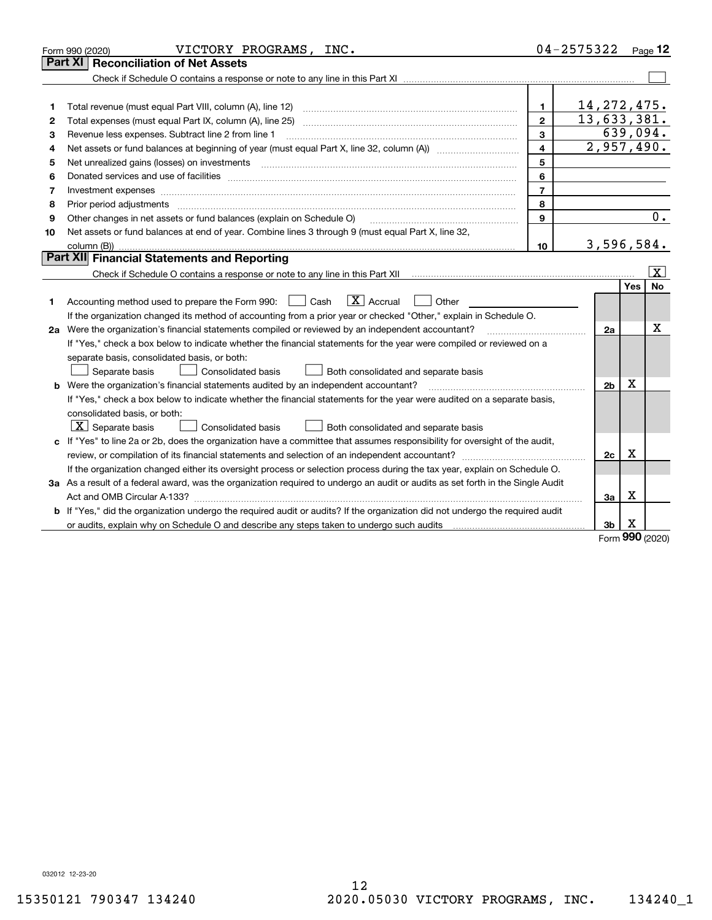|    | VICTORY PROGRAMS, INC.<br>Form 990 (2020)                                                                                                                                                                                      |                         | 04-2575322     |             | Page $12$ |
|----|--------------------------------------------------------------------------------------------------------------------------------------------------------------------------------------------------------------------------------|-------------------------|----------------|-------------|-----------|
|    | <b>Reconciliation of Net Assets</b><br>Part XI                                                                                                                                                                                 |                         |                |             |           |
|    |                                                                                                                                                                                                                                |                         |                |             |           |
|    |                                                                                                                                                                                                                                |                         |                |             |           |
| 1  | Total revenue (must equal Part VIII, column (A), line 12)                                                                                                                                                                      | $\mathbf{1}$            | 14, 272, 475.  |             |           |
| 2  |                                                                                                                                                                                                                                | $\mathbf{2}$            | 13,633,381.    |             |           |
| З  | Revenue less expenses. Subtract line 2 from line 1                                                                                                                                                                             | 3                       |                |             | 639,094.  |
| 4  |                                                                                                                                                                                                                                | $\overline{\mathbf{4}}$ | 2,957,490.     |             |           |
| 5  |                                                                                                                                                                                                                                | 5                       |                |             |           |
| 6  | Donated services and use of facilities [111] matter contracts and the service of facilities [11] matter contracts and use of facilities [11] matter contracts and the service of facilities [11] matter contracts and the serv | 6                       |                |             |           |
| 7  | Investment expenses www.communication.communication.com/www.communication.com/www.communication.com                                                                                                                            | $\overline{7}$          |                |             |           |
| 8  | Prior period adjustments                                                                                                                                                                                                       | 8                       |                |             |           |
| 9  | Other changes in net assets or fund balances (explain on Schedule O)                                                                                                                                                           | 9                       |                |             | 0.        |
| 10 | Net assets or fund balances at end of year. Combine lines 3 through 9 (must equal Part X, line 32,                                                                                                                             |                         |                |             |           |
|    | column (B))                                                                                                                                                                                                                    | 10                      | 3,596,584.     |             |           |
|    | Part XII Financial Statements and Reporting                                                                                                                                                                                    |                         |                |             |           |
|    |                                                                                                                                                                                                                                |                         |                |             | Ιx.       |
|    |                                                                                                                                                                                                                                |                         |                | Yes         | No        |
| 1  | $\boxed{\mathbf{X}}$ Accrual<br>Accounting method used to prepare the Form 990: <u>June</u> Cash<br>Other                                                                                                                      |                         |                |             |           |
|    | If the organization changed its method of accounting from a prior year or checked "Other," explain in Schedule O.                                                                                                              |                         |                |             |           |
|    | 2a Were the organization's financial statements compiled or reviewed by an independent accountant?                                                                                                                             |                         | 2a             |             | х         |
|    | If "Yes," check a box below to indicate whether the financial statements for the year were compiled or reviewed on a                                                                                                           |                         |                |             |           |
|    | separate basis, consolidated basis, or both:                                                                                                                                                                                   |                         |                |             |           |
|    | Separate basis<br><b>Consolidated basis</b><br>Both consolidated and separate basis                                                                                                                                            |                         |                |             |           |
|    | <b>b</b> Were the organization's financial statements audited by an independent accountant?                                                                                                                                    |                         | 2 <sub>b</sub> | X           |           |
|    | If "Yes," check a box below to indicate whether the financial statements for the year were audited on a separate basis,                                                                                                        |                         |                |             |           |
|    | consolidated basis, or both:                                                                                                                                                                                                   |                         |                |             |           |
|    | $\vert$ X $\vert$ Separate basis<br>Consolidated basis<br>Both consolidated and separate basis                                                                                                                                 |                         |                |             |           |
|    | c If "Yes" to line 2a or 2b, does the organization have a committee that assumes responsibility for oversight of the audit,                                                                                                    |                         |                |             |           |
|    |                                                                                                                                                                                                                                |                         | 2c             | x           |           |
|    | If the organization changed either its oversight process or selection process during the tax year, explain on Schedule O.                                                                                                      |                         |                |             |           |
|    | 3a As a result of a federal award, was the organization required to undergo an audit or audits as set forth in the Single Audit                                                                                                |                         |                |             |           |
|    |                                                                                                                                                                                                                                |                         | 3a             | x           |           |
|    | b If "Yes," did the organization undergo the required audit or audits? If the organization did not undergo the required audit                                                                                                  |                         |                |             |           |
|    | or audits, explain why on Schedule O and describe any steps taken to undergo such audits [11] outcommunically contained and the schedule O and describe any steps taken to undergo such audits [11] outcomes contained and the |                         | 3b             | x<br>$\sim$ |           |

Form (2020) **990**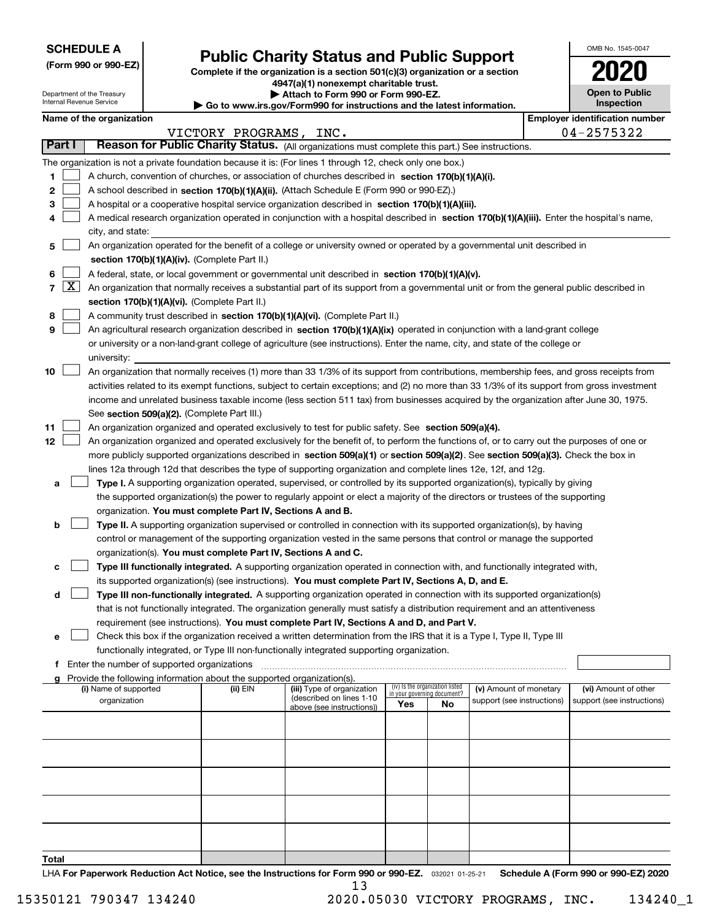| <b>SCHEDULE A</b> |
|-------------------|
|-------------------|

Department of the Treasury Internal Revenue Service

**(Form 990 or 990-EZ)**

# **Public Charity Status and Public Support**

**Complete if the organization is a section 501(c)(3) organization or a section 4947(a)(1) nonexempt charitable trust.**

**| Attach to Form 990 or Form 990-EZ.** 

**| Go to www.irs.gov/Form990 for instructions and the latest information.**

| OMB No. 1545-0047                   |
|-------------------------------------|
| 2020                                |
| <b>Open to Public</b><br>Inspection |

# **Name of the organization Employer identification** number

|                   |                                                                                                                                                                                                                                 | VICTORY PROGRAMS, INC. |                                                       |                             |                                 |                            |  | 04-2575322                 |  |
|-------------------|---------------------------------------------------------------------------------------------------------------------------------------------------------------------------------------------------------------------------------|------------------------|-------------------------------------------------------|-----------------------------|---------------------------------|----------------------------|--|----------------------------|--|
| Part I            | Reason for Public Charity Status. (All organizations must complete this part.) See instructions.                                                                                                                                |                        |                                                       |                             |                                 |                            |  |                            |  |
|                   | The organization is not a private foundation because it is: (For lines 1 through 12, check only one box.)                                                                                                                       |                        |                                                       |                             |                                 |                            |  |                            |  |
| 1                 | A church, convention of churches, or association of churches described in section 170(b)(1)(A)(i).                                                                                                                              |                        |                                                       |                             |                                 |                            |  |                            |  |
| 2                 | A school described in section 170(b)(1)(A)(ii). (Attach Schedule E (Form 990 or 990-EZ).)                                                                                                                                       |                        |                                                       |                             |                                 |                            |  |                            |  |
| 3                 | A hospital or a cooperative hospital service organization described in section 170(b)(1)(A)(iii).                                                                                                                               |                        |                                                       |                             |                                 |                            |  |                            |  |
| 4                 | A medical research organization operated in conjunction with a hospital described in section 170(b)(1)(A)(iii). Enter the hospital's name,                                                                                      |                        |                                                       |                             |                                 |                            |  |                            |  |
|                   | city, and state:                                                                                                                                                                                                                |                        |                                                       |                             |                                 |                            |  |                            |  |
| 5                 | An organization operated for the benefit of a college or university owned or operated by a governmental unit described in                                                                                                       |                        |                                                       |                             |                                 |                            |  |                            |  |
|                   | section 170(b)(1)(A)(iv). (Complete Part II.)                                                                                                                                                                                   |                        |                                                       |                             |                                 |                            |  |                            |  |
| 6                 | A federal, state, or local government or governmental unit described in section 170(b)(1)(A)(v).                                                                                                                                |                        |                                                       |                             |                                 |                            |  |                            |  |
| $\mathbf{X}$<br>7 | An organization that normally receives a substantial part of its support from a governmental unit or from the general public described in                                                                                       |                        |                                                       |                             |                                 |                            |  |                            |  |
|                   | section 170(b)(1)(A)(vi). (Complete Part II.)                                                                                                                                                                                   |                        |                                                       |                             |                                 |                            |  |                            |  |
| 8                 | A community trust described in section 170(b)(1)(A)(vi). (Complete Part II.)                                                                                                                                                    |                        |                                                       |                             |                                 |                            |  |                            |  |
| 9                 | An agricultural research organization described in section 170(b)(1)(A)(ix) operated in conjunction with a land-grant college                                                                                                   |                        |                                                       |                             |                                 |                            |  |                            |  |
|                   | or university or a non-land-grant college of agriculture (see instructions). Enter the name, city, and state of the college or                                                                                                  |                        |                                                       |                             |                                 |                            |  |                            |  |
|                   | university:                                                                                                                                                                                                                     |                        |                                                       |                             |                                 |                            |  |                            |  |
| 10                | An organization that normally receives (1) more than 33 1/3% of its support from contributions, membership fees, and gross receipts from                                                                                        |                        |                                                       |                             |                                 |                            |  |                            |  |
|                   | activities related to its exempt functions, subject to certain exceptions; and (2) no more than 33 1/3% of its support from gross investment                                                                                    |                        |                                                       |                             |                                 |                            |  |                            |  |
|                   | income and unrelated business taxable income (less section 511 tax) from businesses acquired by the organization after June 30, 1975.                                                                                           |                        |                                                       |                             |                                 |                            |  |                            |  |
|                   | See section 509(a)(2). (Complete Part III.)                                                                                                                                                                                     |                        |                                                       |                             |                                 |                            |  |                            |  |
| 11                | An organization organized and operated exclusively to test for public safety. See section 509(a)(4).                                                                                                                            |                        |                                                       |                             |                                 |                            |  |                            |  |
| 12                | An organization organized and operated exclusively for the benefit of, to perform the functions of, or to carry out the purposes of one or                                                                                      |                        |                                                       |                             |                                 |                            |  |                            |  |
|                   | more publicly supported organizations described in section 509(a)(1) or section 509(a)(2). See section 509(a)(3). Check the box in                                                                                              |                        |                                                       |                             |                                 |                            |  |                            |  |
|                   | lines 12a through 12d that describes the type of supporting organization and complete lines 12e, 12f, and 12g.                                                                                                                  |                        |                                                       |                             |                                 |                            |  |                            |  |
| a                 | Type I. A supporting organization operated, supervised, or controlled by its supported organization(s), typically by giving                                                                                                     |                        |                                                       |                             |                                 |                            |  |                            |  |
|                   | the supported organization(s) the power to regularly appoint or elect a majority of the directors or trustees of the supporting                                                                                                 |                        |                                                       |                             |                                 |                            |  |                            |  |
|                   | organization. You must complete Part IV, Sections A and B.                                                                                                                                                                      |                        |                                                       |                             |                                 |                            |  |                            |  |
| b                 | Type II. A supporting organization supervised or controlled in connection with its supported organization(s), by having                                                                                                         |                        |                                                       |                             |                                 |                            |  |                            |  |
|                   | control or management of the supporting organization vested in the same persons that control or manage the supported                                                                                                            |                        |                                                       |                             |                                 |                            |  |                            |  |
|                   | organization(s). You must complete Part IV, Sections A and C.                                                                                                                                                                   |                        |                                                       |                             |                                 |                            |  |                            |  |
| c                 | Type III functionally integrated. A supporting organization operated in connection with, and functionally integrated with,                                                                                                      |                        |                                                       |                             |                                 |                            |  |                            |  |
| d                 | its supported organization(s) (see instructions). You must complete Part IV, Sections A, D, and E.<br>Type III non-functionally integrated. A supporting organization operated in connection with its supported organization(s) |                        |                                                       |                             |                                 |                            |  |                            |  |
|                   | that is not functionally integrated. The organization generally must satisfy a distribution requirement and an attentiveness                                                                                                    |                        |                                                       |                             |                                 |                            |  |                            |  |
|                   | requirement (see instructions). You must complete Part IV, Sections A and D, and Part V.                                                                                                                                        |                        |                                                       |                             |                                 |                            |  |                            |  |
| е                 | Check this box if the organization received a written determination from the IRS that it is a Type I, Type II, Type III                                                                                                         |                        |                                                       |                             |                                 |                            |  |                            |  |
|                   | functionally integrated, or Type III non-functionally integrated supporting organization.                                                                                                                                       |                        |                                                       |                             |                                 |                            |  |                            |  |
| f                 | Enter the number of supported organizations                                                                                                                                                                                     |                        |                                                       |                             |                                 |                            |  |                            |  |
| a                 | Provide the following information about the supported organization(s).                                                                                                                                                          |                        |                                                       |                             |                                 |                            |  |                            |  |
|                   | (i) Name of supported                                                                                                                                                                                                           | (ii) EIN               | (iii) Type of organization                            | in your governing document? | (iv) Is the organization listed | (v) Amount of monetary     |  | (vi) Amount of other       |  |
|                   | organization                                                                                                                                                                                                                    |                        | (described on lines 1-10<br>above (see instructions)) | Yes                         | No                              | support (see instructions) |  | support (see instructions) |  |
|                   |                                                                                                                                                                                                                                 |                        |                                                       |                             |                                 |                            |  |                            |  |
|                   |                                                                                                                                                                                                                                 |                        |                                                       |                             |                                 |                            |  |                            |  |
|                   |                                                                                                                                                                                                                                 |                        |                                                       |                             |                                 |                            |  |                            |  |
|                   |                                                                                                                                                                                                                                 |                        |                                                       |                             |                                 |                            |  |                            |  |
|                   |                                                                                                                                                                                                                                 |                        |                                                       |                             |                                 |                            |  |                            |  |
|                   |                                                                                                                                                                                                                                 |                        |                                                       |                             |                                 |                            |  |                            |  |
|                   |                                                                                                                                                                                                                                 |                        |                                                       |                             |                                 |                            |  |                            |  |
|                   |                                                                                                                                                                                                                                 |                        |                                                       |                             |                                 |                            |  |                            |  |
|                   |                                                                                                                                                                                                                                 |                        |                                                       |                             |                                 |                            |  |                            |  |
|                   |                                                                                                                                                                                                                                 |                        |                                                       |                             |                                 |                            |  |                            |  |
| <b>Total</b>      |                                                                                                                                                                                                                                 |                        |                                                       |                             |                                 |                            |  |                            |  |

LHA For Paperwork Reduction Act Notice, see the Instructions for Form 990 or 990-EZ. <sub>032021</sub> o1-25-21 Schedule A (Form 990 or 990-EZ) 2020 13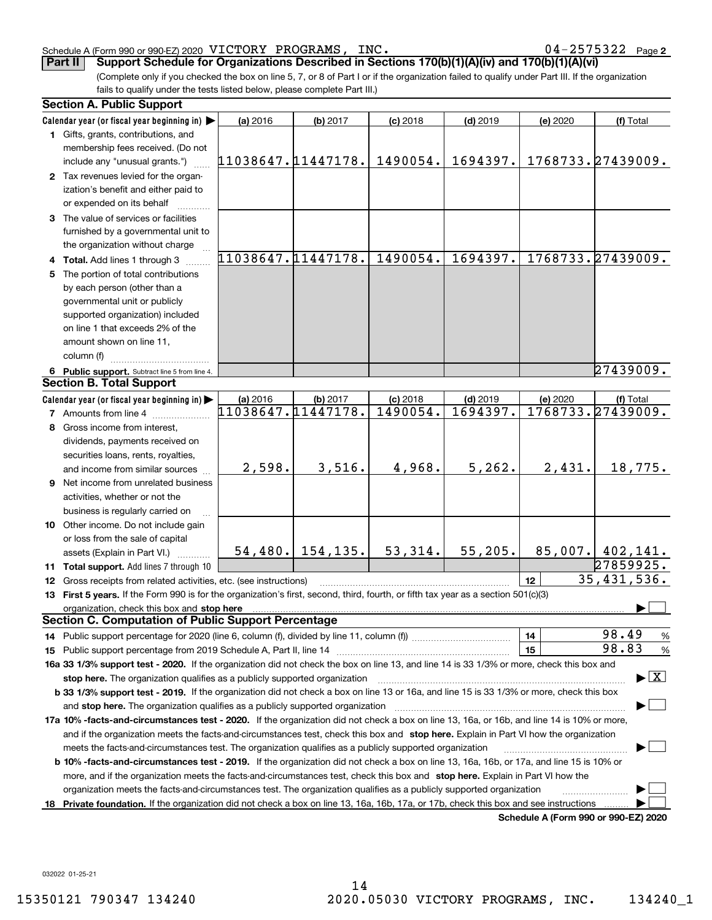#### Schedule A (Form 990 or 990-EZ) 2020 Page

VICTORY PROGRAMS, INC. 04-2575322

04-2575322 Page 2

(Complete only if you checked the box on line 5, 7, or 8 of Part I or if the organization failed to qualify under Part III. If the organization fails to qualify under the tests listed below, please complete Part III.) **Part II Support Schedule for Organizations Described in Sections 170(b)(1)(A)(iv) and 170(b)(1)(A)(vi)**

|     | <b>Section A. Public Support</b>                                                                                                               |                    |                      |            |            |          |                                          |
|-----|------------------------------------------------------------------------------------------------------------------------------------------------|--------------------|----------------------|------------|------------|----------|------------------------------------------|
|     | Calendar year (or fiscal year beginning in) $\blacktriangleright$                                                                              | (a) 2016           | (b) 2017             | $(c)$ 2018 | $(d)$ 2019 | (e) 2020 | (f) Total                                |
|     | 1 Gifts, grants, contributions, and                                                                                                            |                    |                      |            |            |          |                                          |
|     | membership fees received. (Do not                                                                                                              |                    |                      |            |            |          |                                          |
|     | include any "unusual grants.")                                                                                                                 | 11038647.11447178. |                      | 1490054.   | 1694397.   |          | 1768733.27439009.                        |
|     | 2 Tax revenues levied for the organ-                                                                                                           |                    |                      |            |            |          |                                          |
|     | ization's benefit and either paid to                                                                                                           |                    |                      |            |            |          |                                          |
|     | or expended on its behalf                                                                                                                      |                    |                      |            |            |          |                                          |
|     | 3 The value of services or facilities                                                                                                          |                    |                      |            |            |          |                                          |
|     | furnished by a governmental unit to                                                                                                            |                    |                      |            |            |          |                                          |
|     | the organization without charge                                                                                                                |                    |                      |            |            |          |                                          |
|     | 4 Total. Add lines 1 through 3                                                                                                                 | 11038647.11447178. |                      | 1490054.   | 1694397.   |          | 1768733.27439009.                        |
| 5.  | The portion of total contributions                                                                                                             |                    |                      |            |            |          |                                          |
|     | by each person (other than a                                                                                                                   |                    |                      |            |            |          |                                          |
|     | governmental unit or publicly                                                                                                                  |                    |                      |            |            |          |                                          |
|     | supported organization) included                                                                                                               |                    |                      |            |            |          |                                          |
|     | on line 1 that exceeds 2% of the                                                                                                               |                    |                      |            |            |          |                                          |
|     | amount shown on line 11,                                                                                                                       |                    |                      |            |            |          |                                          |
|     | column (f)                                                                                                                                     |                    |                      |            |            |          |                                          |
|     | 6 Public support. Subtract line 5 from line 4.                                                                                                 |                    |                      |            |            |          | 27439009.                                |
|     | <b>Section B. Total Support</b>                                                                                                                |                    |                      |            |            |          |                                          |
|     | Calendar year (or fiscal year beginning in)                                                                                                    | (a) 2016           | (b) 2017             | $(c)$ 2018 | $(d)$ 2019 | (e) 2020 | (f) Total                                |
|     | 7 Amounts from line 4                                                                                                                          | 11038647.11447178. |                      | 1490054.   | 1694397.   |          | 1768733.27439009.                        |
| 8   | Gross income from interest,                                                                                                                    |                    |                      |            |            |          |                                          |
|     | dividends, payments received on                                                                                                                |                    |                      |            |            |          |                                          |
|     | securities loans, rents, royalties,                                                                                                            |                    |                      |            |            |          |                                          |
|     | and income from similar sources                                                                                                                | 2,598.             | 3,516.               | 4,968.     | 5, 262.    | 2,431.   | 18,775.                                  |
|     | <b>9</b> Net income from unrelated business                                                                                                    |                    |                      |            |            |          |                                          |
|     | activities, whether or not the                                                                                                                 |                    |                      |            |            |          |                                          |
|     | business is regularly carried on                                                                                                               |                    |                      |            |            |          |                                          |
|     | 10 Other income. Do not include gain                                                                                                           |                    |                      |            |            |          |                                          |
|     | or loss from the sale of capital                                                                                                               |                    |                      |            |            |          |                                          |
|     | assets (Explain in Part VI.)                                                                                                                   |                    | $54, 480.$ 154, 135. | 53, 314.   | 55, 205.   |          | 85,007. 402,141.                         |
|     | 11 Total support. Add lines 7 through 10                                                                                                       |                    |                      |            |            |          | 27859925.                                |
|     | 12 Gross receipts from related activities, etc. (see instructions)                                                                             |                    |                      |            |            | 12       | 35, 431, 536.                            |
|     | 13 First 5 years. If the Form 990 is for the organization's first, second, third, fourth, or fifth tax year as a section 501(c)(3)             |                    |                      |            |            |          |                                          |
|     | organization, check this box and stop here                                                                                                     |                    |                      |            |            |          |                                          |
|     | <b>Section C. Computation of Public Support Percentage</b>                                                                                     |                    |                      |            |            |          |                                          |
|     |                                                                                                                                                |                    |                      |            |            | 14       | 98.49<br>%                               |
|     |                                                                                                                                                |                    |                      |            |            | 15       | 98.83<br>%                               |
|     | 16a 33 1/3% support test - 2020. If the organization did not check the box on line 13, and line 14 is 33 1/3% or more, check this box and      |                    |                      |            |            |          |                                          |
|     | stop here. The organization qualifies as a publicly supported organization                                                                     |                    |                      |            |            |          | $\blacktriangleright$ $\boxed{\text{X}}$ |
|     | b 33 1/3% support test - 2019. If the organization did not check a box on line 13 or 16a, and line 15 is 33 1/3% or more, check this box       |                    |                      |            |            |          |                                          |
|     | and stop here. The organization qualifies as a publicly supported organization                                                                 |                    |                      |            |            |          |                                          |
|     | 17a 10% -facts-and-circumstances test - 2020. If the organization did not check a box on line 13, 16a, or 16b, and line 14 is 10% or more,     |                    |                      |            |            |          |                                          |
|     | and if the organization meets the facts-and-circumstances test, check this box and stop here. Explain in Part VI how the organization          |                    |                      |            |            |          |                                          |
|     | meets the facts-and-circumstances test. The organization qualifies as a publicly supported organization                                        |                    |                      |            |            |          |                                          |
|     | <b>b 10% -facts-and-circumstances test - 2019.</b> If the organization did not check a box on line 13, 16a, 16b, or 17a, and line 15 is 10% or |                    |                      |            |            |          |                                          |
|     | more, and if the organization meets the facts-and-circumstances test, check this box and stop here. Explain in Part VI how the                 |                    |                      |            |            |          |                                          |
|     | organization meets the facts-and-circumstances test. The organization qualifies as a publicly supported organization                           |                    |                      |            |            |          |                                          |
| 18. | Private foundation. If the organization did not check a box on line 13, 16a, 16b, 17a, or 17b, check this box and see instructions             |                    |                      |            |            |          |                                          |
|     |                                                                                                                                                |                    |                      |            |            |          | Schedule A (Form 990 or 990-EZ) 2020     |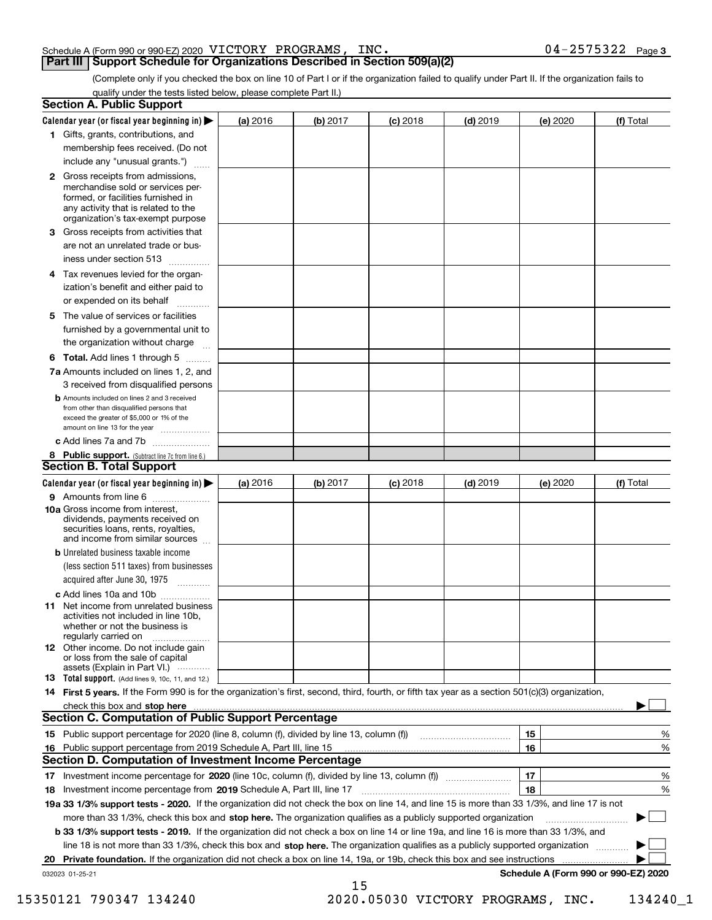### Schedule A (Form 990 or 990-EZ) 2020 Page VICTORY PROGRAMS, INC. 04-2575322

## **Part III Support Schedule for Organizations Described in Section 509(a)(2)**

**3**

(Complete only if you checked the box on line 10 of Part I or if the organization failed to qualify under Part II. If the organization fails to qualify under the tests listed below, please complete Part II.)

|     | <b>Section A. Public Support</b>                                                                                                                                                                                               |          |          |                 |            |          |                                      |
|-----|--------------------------------------------------------------------------------------------------------------------------------------------------------------------------------------------------------------------------------|----------|----------|-----------------|------------|----------|--------------------------------------|
|     | Calendar year (or fiscal year beginning in) $\blacktriangleright$                                                                                                                                                              | (a) 2016 | (b) 2017 | <b>(c)</b> 2018 | $(d)$ 2019 | (e) 2020 | (f) Total                            |
|     | 1 Gifts, grants, contributions, and                                                                                                                                                                                            |          |          |                 |            |          |                                      |
|     | membership fees received. (Do not                                                                                                                                                                                              |          |          |                 |            |          |                                      |
|     | include any "unusual grants.")                                                                                                                                                                                                 |          |          |                 |            |          |                                      |
|     | <b>2</b> Gross receipts from admissions,<br>merchandise sold or services per-<br>formed, or facilities furnished in<br>any activity that is related to the<br>organization's tax-exempt purpose                                |          |          |                 |            |          |                                      |
|     | 3 Gross receipts from activities that<br>are not an unrelated trade or bus-                                                                                                                                                    |          |          |                 |            |          |                                      |
|     | iness under section 513                                                                                                                                                                                                        |          |          |                 |            |          |                                      |
|     | 4 Tax revenues levied for the organ-<br>ization's benefit and either paid to<br>or expended on its behalf<br>.                                                                                                                 |          |          |                 |            |          |                                      |
|     | 5 The value of services or facilities<br>furnished by a governmental unit to                                                                                                                                                   |          |          |                 |            |          |                                      |
|     | the organization without charge                                                                                                                                                                                                |          |          |                 |            |          |                                      |
|     | <b>6 Total.</b> Add lines 1 through 5 $\dots$                                                                                                                                                                                  |          |          |                 |            |          |                                      |
|     | 7a Amounts included on lines 1, 2, and<br>3 received from disqualified persons                                                                                                                                                 |          |          |                 |            |          |                                      |
|     | <b>b</b> Amounts included on lines 2 and 3 received<br>from other than disqualified persons that<br>exceed the greater of \$5,000 or 1% of the<br>amount on line 13 for the year                                               |          |          |                 |            |          |                                      |
|     | c Add lines 7a and 7b                                                                                                                                                                                                          |          |          |                 |            |          |                                      |
|     | 8 Public support. (Subtract line 7c from line 6.)                                                                                                                                                                              |          |          |                 |            |          |                                      |
|     | <b>Section B. Total Support</b>                                                                                                                                                                                                |          |          |                 |            |          |                                      |
|     | Calendar year (or fiscal year beginning in)                                                                                                                                                                                    | (a) 2016 | (b) 2017 | <b>(c)</b> 2018 | $(d)$ 2019 | (e) 2020 | (f) Total                            |
|     | 9 Amounts from line 6                                                                                                                                                                                                          |          |          |                 |            |          |                                      |
|     | 10a Gross income from interest,<br>dividends, payments received on<br>securities loans, rents, royalties,<br>and income from similar sources                                                                                   |          |          |                 |            |          |                                      |
|     | <b>b</b> Unrelated business taxable income<br>(less section 511 taxes) from businesses<br>acquired after June 30, 1975 [10001]                                                                                                 |          |          |                 |            |          |                                      |
|     | c Add lines 10a and 10b                                                                                                                                                                                                        |          |          |                 |            |          |                                      |
|     | 11 Net income from unrelated business<br>activities not included in line 10b,<br>whether or not the business is<br>regularly carried on                                                                                        |          |          |                 |            |          |                                      |
|     | <b>12</b> Other income. Do not include gain<br>or loss from the sale of capital<br>assets (Explain in Part VI.)                                                                                                                |          |          |                 |            |          |                                      |
|     | 13 Total support. (Add lines 9, 10c, 11, and 12.)                                                                                                                                                                              |          |          |                 |            |          |                                      |
|     | 14 First 5 years. If the Form 990 is for the organization's first, second, third, fourth, or fifth tax year as a section 501(c)(3) organization,                                                                               |          |          |                 |            |          |                                      |
|     | check this box and stop here measurements and content to the state of the state of the state of the state of the state of the state of the state of the state of the state of the state of the state of the state of the state |          |          |                 |            |          |                                      |
|     | <b>Section C. Computation of Public Support Percentage</b>                                                                                                                                                                     |          |          |                 |            |          |                                      |
|     |                                                                                                                                                                                                                                |          |          |                 |            | 15       | %                                    |
| 16. | Public support percentage from 2019 Schedule A, Part III, line 15                                                                                                                                                              |          |          |                 |            | 16       | %                                    |
|     | <b>Section D. Computation of Investment Income Percentage</b>                                                                                                                                                                  |          |          |                 |            |          |                                      |
|     | 17 Investment income percentage for 2020 (line 10c, column (f), divided by line 13, column (f))                                                                                                                                |          |          |                 |            | 17       | %                                    |
|     | 18 Investment income percentage from 2019 Schedule A, Part III, line 17                                                                                                                                                        |          |          |                 |            | 18       | %                                    |
|     | 19a 33 1/3% support tests - 2020. If the organization did not check the box on line 14, and line 15 is more than 33 1/3%, and line 17 is not                                                                                   |          |          |                 |            |          |                                      |
|     | more than 33 1/3%, check this box and stop here. The organization qualifies as a publicly supported organization                                                                                                               |          |          |                 |            |          | $\sim$ 1                             |
|     | b 33 1/3% support tests - 2019. If the organization did not check a box on line 14 or line 19a, and line 16 is more than 33 1/3%, and                                                                                          |          |          |                 |            |          |                                      |
|     | line 18 is not more than 33 1/3%, check this box and stop here. The organization qualifies as a publicly supported organization                                                                                                |          |          |                 |            |          |                                      |
| 20  | Private foundation. If the organization did not check a box on line 14, 19a, or 19b, check this box and see instructions                                                                                                       |          |          |                 |            |          |                                      |
|     | 032023 01-25-21                                                                                                                                                                                                                |          | 15       |                 |            |          | Schedule A (Form 990 or 990-EZ) 2020 |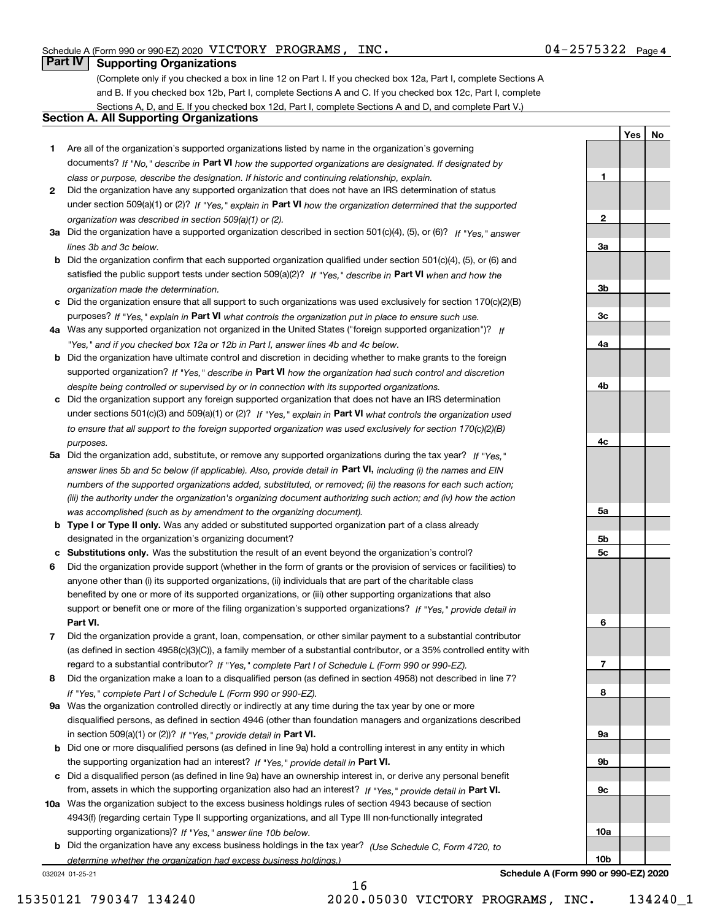**1**

**2**

**3a**

**3b**

**3c**

**4a**

**4b**

**4c**

**5a**

**5b5c**

**6**

**7**

**8**

**9a**

**9b**

**9c**

**10a**

**10b**

**YesNo**

# **Part IV Supporting Organizations**

(Complete only if you checked a box in line 12 on Part I. If you checked box 12a, Part I, complete Sections A and B. If you checked box 12b, Part I, complete Sections A and C. If you checked box 12c, Part I, complete Sections A, D, and E. If you checked box 12d, Part I, complete Sections A and D, and complete Part V.)

#### **Section A. All Supporting Organizations**

- **1** Are all of the organization's supported organizations listed by name in the organization's governing documents? If "No," describe in **Part VI** how the supported organizations are designated. If designated by *class or purpose, describe the designation. If historic and continuing relationship, explain.*
- **2** Did the organization have any supported organization that does not have an IRS determination of status under section 509(a)(1) or (2)? If "Yes," explain in Part VI how the organization determined that the supported *organization was described in section 509(a)(1) or (2).*
- **3a** Did the organization have a supported organization described in section 501(c)(4), (5), or (6)? If "Yes," answer *lines 3b and 3c below.*
- **b** Did the organization confirm that each supported organization qualified under section 501(c)(4), (5), or (6) and satisfied the public support tests under section 509(a)(2)? If "Yes," describe in **Part VI** when and how the *organization made the determination.*
- **c**Did the organization ensure that all support to such organizations was used exclusively for section 170(c)(2)(B) purposes? If "Yes," explain in **Part VI** what controls the organization put in place to ensure such use.
- **4a***If* Was any supported organization not organized in the United States ("foreign supported organization")? *"Yes," and if you checked box 12a or 12b in Part I, answer lines 4b and 4c below.*
- **b** Did the organization have ultimate control and discretion in deciding whether to make grants to the foreign supported organization? If "Yes," describe in **Part VI** how the organization had such control and discretion *despite being controlled or supervised by or in connection with its supported organizations.*
- **c** Did the organization support any foreign supported organization that does not have an IRS determination under sections 501(c)(3) and 509(a)(1) or (2)? If "Yes," explain in **Part VI** what controls the organization used *to ensure that all support to the foreign supported organization was used exclusively for section 170(c)(2)(B) purposes.*
- **5a** Did the organization add, substitute, or remove any supported organizations during the tax year? If "Yes," answer lines 5b and 5c below (if applicable). Also, provide detail in **Part VI,** including (i) the names and EIN *numbers of the supported organizations added, substituted, or removed; (ii) the reasons for each such action; (iii) the authority under the organization's organizing document authorizing such action; and (iv) how the action was accomplished (such as by amendment to the organizing document).*
- **b** Type I or Type II only. Was any added or substituted supported organization part of a class already designated in the organization's organizing document?
- **cSubstitutions only.**  Was the substitution the result of an event beyond the organization's control?
- **6** Did the organization provide support (whether in the form of grants or the provision of services or facilities) to **Part VI.** *If "Yes," provide detail in* support or benefit one or more of the filing organization's supported organizations? anyone other than (i) its supported organizations, (ii) individuals that are part of the charitable class benefited by one or more of its supported organizations, or (iii) other supporting organizations that also
- **7**Did the organization provide a grant, loan, compensation, or other similar payment to a substantial contributor *If "Yes," complete Part I of Schedule L (Form 990 or 990-EZ).* regard to a substantial contributor? (as defined in section 4958(c)(3)(C)), a family member of a substantial contributor, or a 35% controlled entity with
- **8** Did the organization make a loan to a disqualified person (as defined in section 4958) not described in line 7? *If "Yes," complete Part I of Schedule L (Form 990 or 990-EZ).*
- **9a** Was the organization controlled directly or indirectly at any time during the tax year by one or more in section 509(a)(1) or (2))? If "Yes," *provide detail in* <code>Part VI.</code> disqualified persons, as defined in section 4946 (other than foundation managers and organizations described
- **b** Did one or more disqualified persons (as defined in line 9a) hold a controlling interest in any entity in which the supporting organization had an interest? If "Yes," provide detail in P**art VI**.
- **c**Did a disqualified person (as defined in line 9a) have an ownership interest in, or derive any personal benefit from, assets in which the supporting organization also had an interest? If "Yes," provide detail in P**art VI.**
- **10a** Was the organization subject to the excess business holdings rules of section 4943 because of section supporting organizations)? If "Yes," answer line 10b below. 4943(f) (regarding certain Type II supporting organizations, and all Type III non-functionally integrated
- **b** Did the organization have any excess business holdings in the tax year? (Use Schedule C, Form 4720, to *determine whether the organization had excess business holdings.)*

16

032024 01-25-21

**Schedule A (Form 990 or 990-EZ) 2020**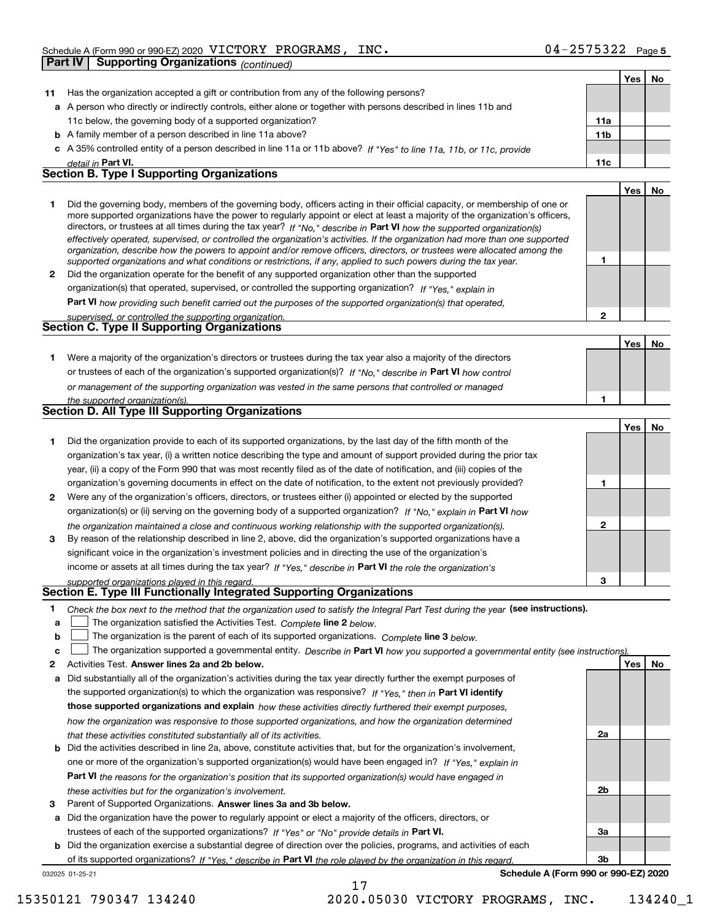|    | Part IV | <b>Supporting Organizations (continued)</b>                                                                                                                                                                                                                 |                 |     |    |
|----|---------|-------------------------------------------------------------------------------------------------------------------------------------------------------------------------------------------------------------------------------------------------------------|-----------------|-----|----|
|    |         |                                                                                                                                                                                                                                                             |                 | Yes | No |
| 11 |         | Has the organization accepted a gift or contribution from any of the following persons?                                                                                                                                                                     |                 |     |    |
|    |         | a A person who directly or indirectly controls, either alone or together with persons described in lines 11b and                                                                                                                                            |                 |     |    |
|    |         | 11c below, the governing body of a supported organization?                                                                                                                                                                                                  | 11a             |     |    |
|    |         | <b>b</b> A family member of a person described in line 11a above?                                                                                                                                                                                           | 11 <sub>b</sub> |     |    |
|    |         | c A 35% controlled entity of a person described in line 11a or 11b above? If "Yes" to line 11a, 11b, or 11c, provide                                                                                                                                        |                 |     |    |
|    |         | detail in Part VI.                                                                                                                                                                                                                                          | 11c             |     |    |
|    |         | <b>Section B. Type I Supporting Organizations</b>                                                                                                                                                                                                           |                 |     |    |
|    |         |                                                                                                                                                                                                                                                             |                 | Yes | No |
| 1. |         | Did the governing body, members of the governing body, officers acting in their official capacity, or membership of one or<br>more supported organizations have the power to regularly appoint or elect at least a majority of the organization's officers, |                 |     |    |
|    |         | directors, or trustees at all times during the tax year? If "No," describe in Part VI how the supported organization(s)<br>effectively operated, supervised, or controlled the organization's activities. If the organization had more than one supported   |                 |     |    |
|    |         | organization, describe how the powers to appoint and/or remove officers, directors, or trustees were allocated among the                                                                                                                                    |                 |     |    |
|    |         | supported organizations and what conditions or restrictions, if any, applied to such powers during the tax year.                                                                                                                                            | 1               |     |    |
| 2  |         | Did the organization operate for the benefit of any supported organization other than the supported                                                                                                                                                         |                 |     |    |
|    |         | organization(s) that operated, supervised, or controlled the supporting organization? If "Yes," explain in                                                                                                                                                  |                 |     |    |
|    |         | Part VI how providing such benefit carried out the purposes of the supported organization(s) that operated,                                                                                                                                                 |                 |     |    |
|    |         | supervised, or controlled the supporting organization.<br>Section C. Type II Supporting Organizations                                                                                                                                                       | $\overline{2}$  |     |    |
|    |         |                                                                                                                                                                                                                                                             |                 |     |    |
|    |         |                                                                                                                                                                                                                                                             |                 | Yes | No |
| 1. |         | Were a majority of the organization's directors or trustees during the tax year also a majority of the directors                                                                                                                                            |                 |     |    |
|    |         | or trustees of each of the organization's supported organization(s)? If "No," describe in Part VI how control                                                                                                                                               |                 |     |    |
|    |         | or management of the supporting organization was vested in the same persons that controlled or managed                                                                                                                                                      | 1               |     |    |
|    |         | the supported organization(s).<br>Section D. All Type III Supporting Organizations                                                                                                                                                                          |                 |     |    |
|    |         |                                                                                                                                                                                                                                                             |                 | Yes | No |
| 1. |         | Did the organization provide to each of its supported organizations, by the last day of the fifth month of the                                                                                                                                              |                 |     |    |
|    |         | organization's tax year, (i) a written notice describing the type and amount of support provided during the prior tax                                                                                                                                       |                 |     |    |
|    |         | year, (ii) a copy of the Form 990 that was most recently filed as of the date of notification, and (iii) copies of the                                                                                                                                      |                 |     |    |
|    |         | organization's governing documents in effect on the date of notification, to the extent not previously provided?                                                                                                                                            | 1               |     |    |
| 2  |         | Were any of the organization's officers, directors, or trustees either (i) appointed or elected by the supported                                                                                                                                            |                 |     |    |
|    |         | organization(s) or (ii) serving on the governing body of a supported organization? If "No," explain in Part VI how                                                                                                                                          |                 |     |    |
|    |         | the organization maintained a close and continuous working relationship with the supported organization(s).                                                                                                                                                 | $\mathbf{2}$    |     |    |
| 3  |         | By reason of the relationship described in line 2, above, did the organization's supported organizations have a                                                                                                                                             |                 |     |    |
|    |         | significant voice in the organization's investment policies and in directing the use of the organization's                                                                                                                                                  |                 |     |    |
|    |         | income or assets at all times during the tax year? If "Yes," describe in Part VI the role the organization's                                                                                                                                                |                 |     |    |
|    |         | supported organizations played in this regard.                                                                                                                                                                                                              | 3               |     |    |
|    |         | Section E. Type III Functionally Integrated Supporting Organizations                                                                                                                                                                                        |                 |     |    |
| 1  |         | Check the box next to the method that the organization used to satisfy the Integral Part Test during the year (see instructions).                                                                                                                           |                 |     |    |
| а  |         | The organization satisfied the Activities Test. Complete line 2 below.                                                                                                                                                                                      |                 |     |    |
| b  |         | The organization is the parent of each of its supported organizations. Complete line 3 below.                                                                                                                                                               |                 |     |    |
| c  |         | The organization supported a governmental entity. Describe in Part VI how you supported a governmental entity (see instructions).                                                                                                                           |                 |     |    |
| 2  |         | Activities Test. Answer lines 2a and 2b below.                                                                                                                                                                                                              |                 | Yes | No |
| а  |         | Did substantially all of the organization's activities during the tax year directly further the exempt purposes of                                                                                                                                          |                 |     |    |
|    |         | the supported organization(s) to which the organization was responsive? If "Yes." then in Part VI identify                                                                                                                                                  |                 |     |    |
|    |         | those supported organizations and explain how these activities directly furthered their exempt purposes,                                                                                                                                                    |                 |     |    |
|    |         | how the organization was responsive to those supported organizations, and how the organization determined                                                                                                                                                   |                 |     |    |
|    |         | that these activities constituted substantially all of its activities.                                                                                                                                                                                      | 2a              |     |    |
| b  |         | Did the activities described in line 2a, above, constitute activities that, but for the organization's involvement,                                                                                                                                         |                 |     |    |
|    |         | one or more of the organization's supported organization(s) would have been engaged in? If "Yes," explain in                                                                                                                                                |                 |     |    |

**Part VI**  *the reasons for the organization's position that its supported organization(s) would have engaged in these activities but for the organization's involvement.*

**3** Parent of Supported Organizations. Answer lines 3a and 3b below.

**a** Did the organization have the power to regularly appoint or elect a majority of the officers, directors, or trustees of each of the supported organizations? If "Yes" or "No" provide details in P**art VI.** 

**b** Did the organization exercise a substantial degree of direction over the policies, programs, and activities of each of its supported organizations? If "Yes," describe in Part VI the role played by the organization in this regard.

17

032025 01-25-21

**Schedule A (Form 990 or 990-EZ) 2020**

**2b**

**3a**

**3b**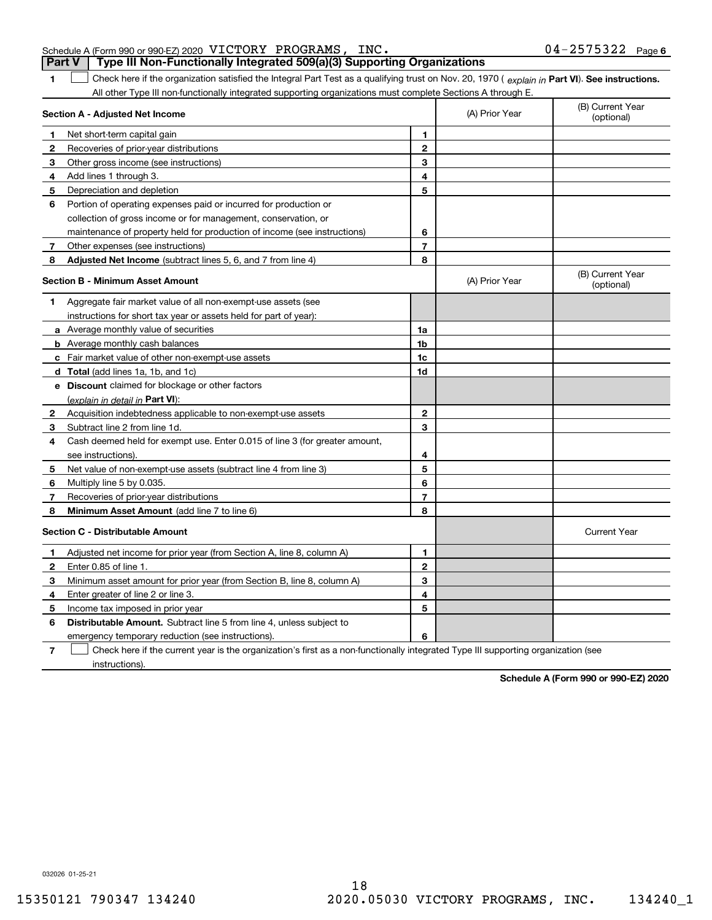#### Schedule A (Form 990 or 990-EZ) 2020 Page VICTORY PROGRAMS, INC. 04-2575322 **Part V Type III Non-Functionally Integrated 509(a)(3) Supporting Organizations**

**1**1 Check here if the organization satisfied the Integral Part Test as a qualifying trust on Nov. 20, 1970 (explain in Part VI). See instructions. All other Type III non-functionally integrated supporting organizations must complete Sections A through E.

|   | Section A - Adjusted Net Income                                                                                                   |                | (A) Prior Year | (B) Current Year<br>(optional) |
|---|-----------------------------------------------------------------------------------------------------------------------------------|----------------|----------------|--------------------------------|
| 1 | Net short-term capital gain                                                                                                       | 1              |                |                                |
| 2 | Recoveries of prior-year distributions                                                                                            | $\overline{2}$ |                |                                |
| 3 | Other gross income (see instructions)                                                                                             | 3              |                |                                |
| 4 | Add lines 1 through 3.                                                                                                            | 4              |                |                                |
| 5 | Depreciation and depletion                                                                                                        | 5              |                |                                |
| 6 | Portion of operating expenses paid or incurred for production or                                                                  |                |                |                                |
|   | collection of gross income or for management, conservation, or                                                                    |                |                |                                |
|   | maintenance of property held for production of income (see instructions)                                                          | 6              |                |                                |
| 7 | Other expenses (see instructions)                                                                                                 | $\overline{7}$ |                |                                |
| 8 | Adjusted Net Income (subtract lines 5, 6, and 7 from line 4)                                                                      | 8              |                |                                |
|   | <b>Section B - Minimum Asset Amount</b>                                                                                           |                | (A) Prior Year | (B) Current Year<br>(optional) |
| 1 | Aggregate fair market value of all non-exempt-use assets (see                                                                     |                |                |                                |
|   | instructions for short tax year or assets held for part of year):                                                                 |                |                |                                |
|   | <b>a</b> Average monthly value of securities                                                                                      | 1a             |                |                                |
|   | <b>b</b> Average monthly cash balances                                                                                            | 1b             |                |                                |
|   | c Fair market value of other non-exempt-use assets                                                                                | 1c             |                |                                |
|   | d Total (add lines 1a, 1b, and 1c)                                                                                                | 1d             |                |                                |
|   | e Discount claimed for blockage or other factors                                                                                  |                |                |                                |
|   | (explain in detail in Part VI):                                                                                                   |                |                |                                |
| 2 | Acquisition indebtedness applicable to non-exempt-use assets                                                                      | $\mathbf{2}$   |                |                                |
| 3 | Subtract line 2 from line 1d.                                                                                                     | 3              |                |                                |
| 4 | Cash deemed held for exempt use. Enter 0.015 of line 3 (for greater amount,                                                       |                |                |                                |
|   | see instructions)                                                                                                                 | 4              |                |                                |
| 5 | Net value of non-exempt-use assets (subtract line 4 from line 3)                                                                  | 5              |                |                                |
| 6 | Multiply line 5 by 0.035.                                                                                                         | 6              |                |                                |
| 7 | Recoveries of prior-year distributions                                                                                            | $\overline{7}$ |                |                                |
| 8 | Minimum Asset Amount (add line 7 to line 6)                                                                                       | 8              |                |                                |
|   | <b>Section C - Distributable Amount</b>                                                                                           |                |                | <b>Current Year</b>            |
| 1 | Adjusted net income for prior year (from Section A, line 8, column A)                                                             | 1              |                |                                |
| 2 | Enter 0.85 of line 1.                                                                                                             | $\overline{2}$ |                |                                |
| з | Minimum asset amount for prior year (from Section B, line 8, column A)                                                            | 3              |                |                                |
| 4 | Enter greater of line 2 or line 3.                                                                                                | 4              |                |                                |
| 5 | Income tax imposed in prior year                                                                                                  | 5              |                |                                |
| 6 | <b>Distributable Amount.</b> Subtract line 5 from line 4, unless subject to                                                       |                |                |                                |
|   | emergency temporary reduction (see instructions).                                                                                 | 6              |                |                                |
| 7 | Check here if the current year is the organization's first as a non-functionally integrated Type III supporting organization (see |                |                |                                |

instructions).

**Schedule A (Form 990 or 990-EZ) 2020**

032026 01-25-21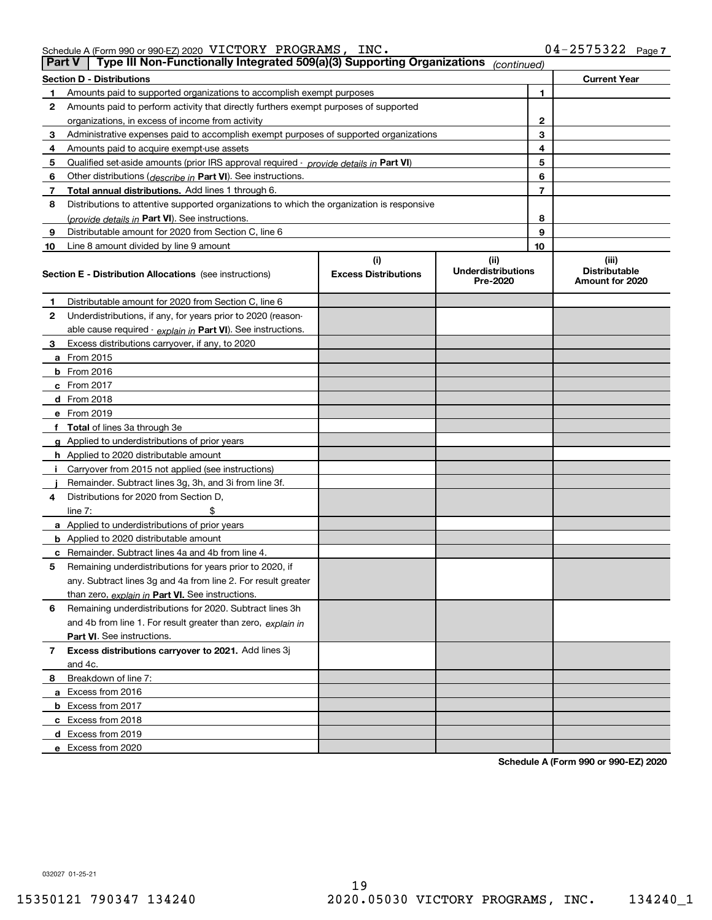Schedule A (Form 990 or 990-EZ) 2020 Page VICTORY PROGRAMS, INC. 04-2575322

| <b>Part V</b> | Type III Non-Functionally Integrated 509(a)(3) Supporting Organizations                    |                             | (continued)                           |                                         |  |
|---------------|--------------------------------------------------------------------------------------------|-----------------------------|---------------------------------------|-----------------------------------------|--|
|               | <b>Section D - Distributions</b>                                                           |                             |                                       | <b>Current Year</b>                     |  |
| 1             | Amounts paid to supported organizations to accomplish exempt purposes                      |                             |                                       | 1                                       |  |
| 2             | Amounts paid to perform activity that directly furthers exempt purposes of supported       |                             |                                       |                                         |  |
|               | organizations, in excess of income from activity                                           |                             |                                       | 2                                       |  |
| 3             | Administrative expenses paid to accomplish exempt purposes of supported organizations      |                             | 3                                     |                                         |  |
| 4             | Amounts paid to acquire exempt-use assets                                                  |                             |                                       | 4                                       |  |
| 5             | Qualified set-aside amounts (prior IRS approval required - provide details in Part VI)     |                             |                                       | 5                                       |  |
| 6             | Other distributions (describe in Part VI). See instructions.                               |                             |                                       | 6                                       |  |
| 7             | Total annual distributions. Add lines 1 through 6.                                         |                             |                                       | 7                                       |  |
| 8             | Distributions to attentive supported organizations to which the organization is responsive |                             |                                       |                                         |  |
|               | (provide details in Part VI). See instructions.                                            |                             |                                       | 8                                       |  |
| 9             | Distributable amount for 2020 from Section C, line 6                                       |                             |                                       | 9                                       |  |
| 10            | Line 8 amount divided by line 9 amount                                                     |                             | 10                                    |                                         |  |
|               |                                                                                            | (i)                         | (ii)                                  | (iii)                                   |  |
|               | <b>Section E - Distribution Allocations</b> (see instructions)                             | <b>Excess Distributions</b> | <b>Underdistributions</b><br>Pre-2020 | <b>Distributable</b><br>Amount for 2020 |  |
| 1             | Distributable amount for 2020 from Section C, line 6                                       |                             |                                       |                                         |  |
| 2             | Underdistributions, if any, for years prior to 2020 (reason-                               |                             |                                       |                                         |  |
|               | able cause required - explain in Part VI). See instructions.                               |                             |                                       |                                         |  |
| 3             | Excess distributions carryover, if any, to 2020                                            |                             |                                       |                                         |  |
|               | <b>a</b> From 2015                                                                         |                             |                                       |                                         |  |
|               | <b>b</b> From 2016                                                                         |                             |                                       |                                         |  |
|               | c From 2017                                                                                |                             |                                       |                                         |  |
|               | <b>d</b> From 2018                                                                         |                             |                                       |                                         |  |
|               | e From 2019                                                                                |                             |                                       |                                         |  |
|               | f Total of lines 3a through 3e                                                             |                             |                                       |                                         |  |
|               | g Applied to underdistributions of prior years                                             |                             |                                       |                                         |  |
|               | <b>h</b> Applied to 2020 distributable amount                                              |                             |                                       |                                         |  |
|               | Carryover from 2015 not applied (see instructions)                                         |                             |                                       |                                         |  |
|               | Remainder. Subtract lines 3g, 3h, and 3i from line 3f.                                     |                             |                                       |                                         |  |
| 4             | Distributions for 2020 from Section D,                                                     |                             |                                       |                                         |  |
|               | line $7:$                                                                                  |                             |                                       |                                         |  |
|               | a Applied to underdistributions of prior years                                             |                             |                                       |                                         |  |
|               | <b>b</b> Applied to 2020 distributable amount                                              |                             |                                       |                                         |  |
|               | c Remainder. Subtract lines 4a and 4b from line 4.                                         |                             |                                       |                                         |  |
| 5             | Remaining underdistributions for years prior to 2020, if                                   |                             |                                       |                                         |  |
|               | any. Subtract lines 3g and 4a from line 2. For result greater                              |                             |                                       |                                         |  |
|               | than zero, explain in Part VI. See instructions.                                           |                             |                                       |                                         |  |
| 6             | Remaining underdistributions for 2020. Subtract lines 3h                                   |                             |                                       |                                         |  |
|               | and 4b from line 1. For result greater than zero, explain in                               |                             |                                       |                                         |  |
|               | Part VI. See instructions.                                                                 |                             |                                       |                                         |  |
| 7             | Excess distributions carryover to 2021. Add lines 3j                                       |                             |                                       |                                         |  |
|               | and 4c.                                                                                    |                             |                                       |                                         |  |
| 8             | Breakdown of line 7:                                                                       |                             |                                       |                                         |  |
|               | a Excess from 2016                                                                         |                             |                                       |                                         |  |
|               | <b>b</b> Excess from 2017                                                                  |                             |                                       |                                         |  |
|               | c Excess from 2018                                                                         |                             |                                       |                                         |  |
|               | d Excess from 2019                                                                         |                             |                                       |                                         |  |
|               | e Excess from 2020                                                                         |                             |                                       |                                         |  |

**Schedule A (Form 990 or 990-EZ) 2020**

032027 01-25-21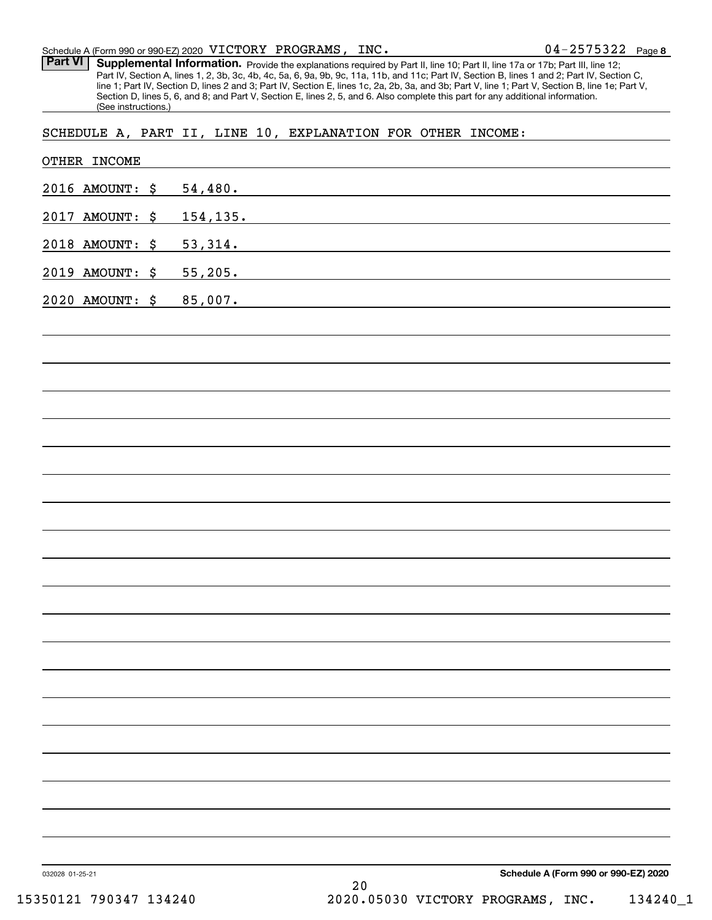Schedule A (Form 990 or 990-EZ) 2020 Page VICTORY PROGRAMS, INC.

Part VI | Supplemental Information. Provide the explanations required by Part II, line 10; Part II, line 17a or 17b; Part III, line 12; Part IV, Section A, lines 1, 2, 3b, 3c, 4b, 4c, 5a, 6, 9a, 9b, 9c, 11a, 11b, and 11c; Part IV, Section B, lines 1 and 2; Part IV, Section C, line 1; Part IV, Section D, lines 2 and 3; Part IV, Section E, lines 1c, 2a, 2b, 3a, and 3b; Part V, line 1; Part V, Section B, line 1e; Part V, Section D, lines 5, 6, and 8; and Part V, Section E, lines 2, 5, and 6. Also complete this part for any additional information. (See instructions.)

SCHEDULE A, PART II, LINE 10, EXPLANATION FOR OTHER INCOME:

|                 | OTHER INCOME    |                 |                                                                                                                     |                                      |
|-----------------|-----------------|-----------------|---------------------------------------------------------------------------------------------------------------------|--------------------------------------|
|                 | 2016 AMOUNT: \$ | 54,480.         |                                                                                                                     |                                      |
|                 | 2017 AMOUNT: \$ | <u>154,135.</u> |                                                                                                                     |                                      |
|                 | 2018 AMOUNT: \$ | 53,314.         | <u> 1989 - Johann John Stone, markin film yn y brening yn y brening yn y brening yn y brening yn y brening yn y</u> |                                      |
|                 | 2019 AMOUNT: \$ | 55,205.         |                                                                                                                     |                                      |
|                 | 2020 AMOUNT: \$ | 85,007.         |                                                                                                                     |                                      |
|                 |                 |                 |                                                                                                                     |                                      |
|                 |                 |                 |                                                                                                                     |                                      |
|                 |                 |                 |                                                                                                                     |                                      |
|                 |                 |                 |                                                                                                                     |                                      |
|                 |                 |                 |                                                                                                                     |                                      |
|                 |                 |                 |                                                                                                                     |                                      |
|                 |                 |                 |                                                                                                                     |                                      |
|                 |                 |                 |                                                                                                                     |                                      |
|                 |                 |                 |                                                                                                                     |                                      |
|                 |                 |                 |                                                                                                                     |                                      |
|                 |                 |                 |                                                                                                                     |                                      |
|                 |                 |                 |                                                                                                                     |                                      |
|                 |                 |                 |                                                                                                                     |                                      |
|                 |                 |                 |                                                                                                                     |                                      |
|                 |                 |                 |                                                                                                                     |                                      |
|                 |                 |                 |                                                                                                                     |                                      |
|                 |                 |                 |                                                                                                                     |                                      |
|                 |                 |                 |                                                                                                                     |                                      |
|                 |                 |                 |                                                                                                                     |                                      |
|                 |                 |                 |                                                                                                                     |                                      |
| 032028 01-25-21 |                 |                 | 20                                                                                                                  | Schedule A (Form 990 or 990-EZ) 2020 |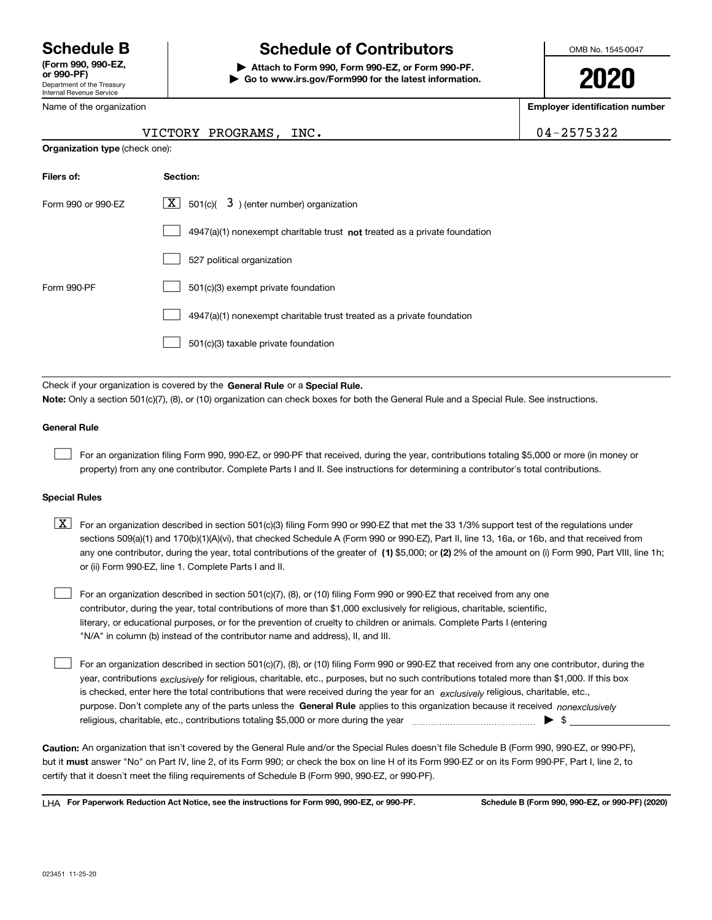Department of the Treasury Internal Revenue Service **(Form 990, 990-EZ, or 990-PF)**

Name of the organization

# **Schedule B Schedule of Contributors**

**| Attach to Form 990, Form 990-EZ, or Form 990-PF. | Go to www.irs.gov/Form990 for the latest information.** OMB No. 1545-0047

**2020**

**Employer identification number**

| 2575322 |  |
|---------|--|
|---------|--|

|                                       | VICTORY PROGRAMS, INC. |  |
|---------------------------------------|------------------------|--|
| <b>Organization type (check one):</b> |                        |  |

| Section:                                                                           |
|------------------------------------------------------------------------------------|
| $\boxed{\textbf{X}}$ 501(c)( 3) (enter number) organization                        |
| $4947(a)(1)$ nonexempt charitable trust <b>not</b> treated as a private foundation |
| 527 political organization                                                         |
| 501(c)(3) exempt private foundation                                                |
| 4947(a)(1) nonexempt charitable trust treated as a private foundation              |
| 501(c)(3) taxable private foundation                                               |
|                                                                                    |

Check if your organization is covered by the **General Rule** or a **Special Rule. Note:**  Only a section 501(c)(7), (8), or (10) organization can check boxes for both the General Rule and a Special Rule. See instructions.

#### **General Rule**

 $\mathcal{L}^{\text{max}}$ 

For an organization filing Form 990, 990-EZ, or 990-PF that received, during the year, contributions totaling \$5,000 or more (in money or property) from any one contributor. Complete Parts I and II. See instructions for determining a contributor's total contributions.

#### **Special Rules**

any one contributor, during the year, total contributions of the greater of  $\,$  (1) \$5,000; or **(2)** 2% of the amount on (i) Form 990, Part VIII, line 1h;  $\boxed{\textbf{X}}$  For an organization described in section 501(c)(3) filing Form 990 or 990-EZ that met the 33 1/3% support test of the regulations under sections 509(a)(1) and 170(b)(1)(A)(vi), that checked Schedule A (Form 990 or 990-EZ), Part II, line 13, 16a, or 16b, and that received from or (ii) Form 990-EZ, line 1. Complete Parts I and II.

For an organization described in section 501(c)(7), (8), or (10) filing Form 990 or 990-EZ that received from any one contributor, during the year, total contributions of more than \$1,000 exclusively for religious, charitable, scientific, literary, or educational purposes, or for the prevention of cruelty to children or animals. Complete Parts I (entering "N/A" in column (b) instead of the contributor name and address), II, and III.  $\mathcal{L}^{\text{max}}$ 

purpose. Don't complete any of the parts unless the **General Rule** applies to this organization because it received *nonexclusively* year, contributions <sub>exclusively</sub> for religious, charitable, etc., purposes, but no such contributions totaled more than \$1,000. If this box is checked, enter here the total contributions that were received during the year for an  $\;$ exclusively religious, charitable, etc., For an organization described in section 501(c)(7), (8), or (10) filing Form 990 or 990-EZ that received from any one contributor, during the religious, charitable, etc., contributions totaling \$5,000 or more during the year  $\Box$ — $\Box$   $\Box$  $\mathcal{L}^{\text{max}}$ 

**Caution:**  An organization that isn't covered by the General Rule and/or the Special Rules doesn't file Schedule B (Form 990, 990-EZ, or 990-PF),  **must** but it answer "No" on Part IV, line 2, of its Form 990; or check the box on line H of its Form 990-EZ or on its Form 990-PF, Part I, line 2, to certify that it doesn't meet the filing requirements of Schedule B (Form 990, 990-EZ, or 990-PF).

**For Paperwork Reduction Act Notice, see the instructions for Form 990, 990-EZ, or 990-PF. Schedule B (Form 990, 990-EZ, or 990-PF) (2020)** LHA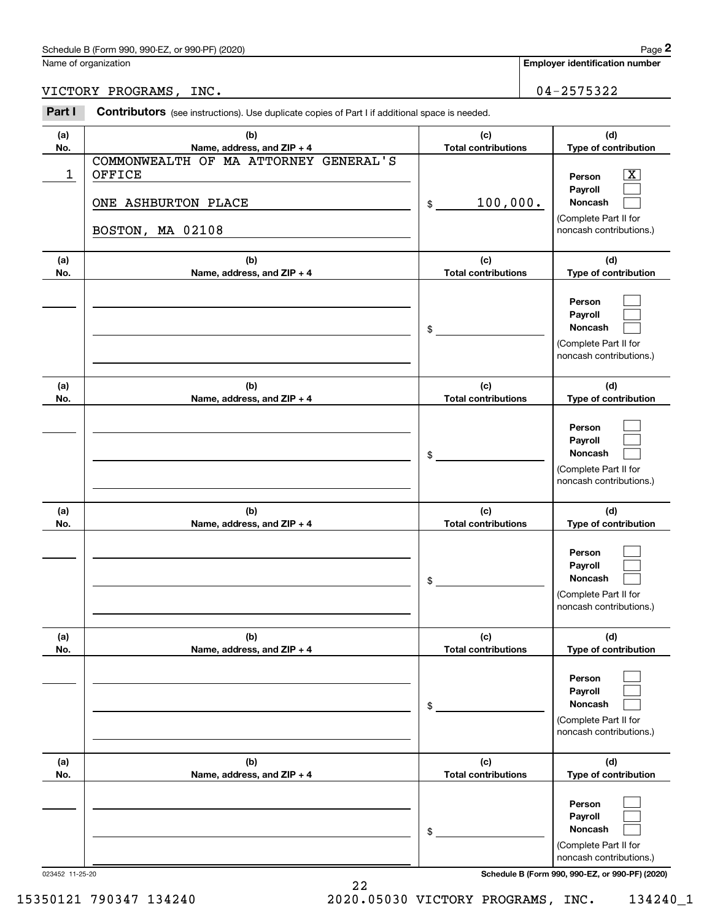## VICTORY PROGRAMS, INC. 2575322

| Schedule B (Form 990, 990-EZ, or 990-PF) (2020)                                                                 |                                     |                                       |                |                             |  |  |
|-----------------------------------------------------------------------------------------------------------------|-------------------------------------|---------------------------------------|----------------|-----------------------------|--|--|
|                                                                                                                 | Name of organization                | <b>Employer identification number</b> |                |                             |  |  |
|                                                                                                                 | VICTORY PROGRAMS.<br>INC.           |                                       | $04 - 2575322$ |                             |  |  |
| Part I<br><b>Contributors</b> (see instructions). Use duplicate copies of Part I if additional space is needed. |                                     |                                       |                |                             |  |  |
| (a)<br>No.                                                                                                      | (b)<br>Name, address, and $ZIP + 4$ | (c)<br><b>Total contributions</b>     |                | (d)<br>Type of contribution |  |  |

| 1               | COMMONWEALTH OF MA ATTORNEY GENERAL'S<br>OFFICE |                                   | Person                                                                                                                              |
|-----------------|-------------------------------------------------|-----------------------------------|-------------------------------------------------------------------------------------------------------------------------------------|
|                 | ONE ASHBURTON PLACE                             | 100,000.<br>\$                    | Payroll<br>Noncash                                                                                                                  |
|                 | BOSTON, MA 02108                                |                                   | (Complete Part II for<br>noncash contributions.)                                                                                    |
| (a)<br>No.      | (b)<br>Name, address, and ZIP + 4               | (c)<br><b>Total contributions</b> | (d)<br>Type of contribution                                                                                                         |
|                 |                                                 | \$                                | Person<br>Payroll<br>Noncash<br>(Complete Part II for<br>noncash contributions.)                                                    |
| (a)<br>No.      | (b)<br>Name, address, and ZIP + 4               | (c)<br><b>Total contributions</b> | (d)<br>Type of contribution                                                                                                         |
|                 |                                                 | \$                                | Person<br>Payroll<br>Noncash<br>(Complete Part II for<br>noncash contributions.)                                                    |
| (a)<br>No.      | (b)<br>Name, address, and ZIP + 4               | (c)<br><b>Total contributions</b> | (d)<br>Type of contribution                                                                                                         |
|                 |                                                 | \$                                | Person<br>Payroll<br>Noncash<br>(Complete Part II for<br>noncash contributions.)                                                    |
| (a)<br>No.      | (b)<br>Name, address, and ZIP + 4               | (c)<br><b>Total contributions</b> | (d)<br>Type of contribution                                                                                                         |
|                 |                                                 | \$                                | $\overline{\phantom{0}}$<br>Person<br>Payroll<br>Noncash<br>(Complete Part II for<br>noncash contributions.)                        |
| (a)<br>No.      | (b)<br>Name, address, and ZIP + 4               | (c)<br><b>Total contributions</b> | (d)<br>Type of contribution                                                                                                         |
| 023452 11-25-20 |                                                 | \$                                | Person<br>Payroll<br>Noncash<br>(Complete Part II for<br>noncash contributions.)<br>Schedule B (Form 990, 990-EZ, or 990-PF) (2020) |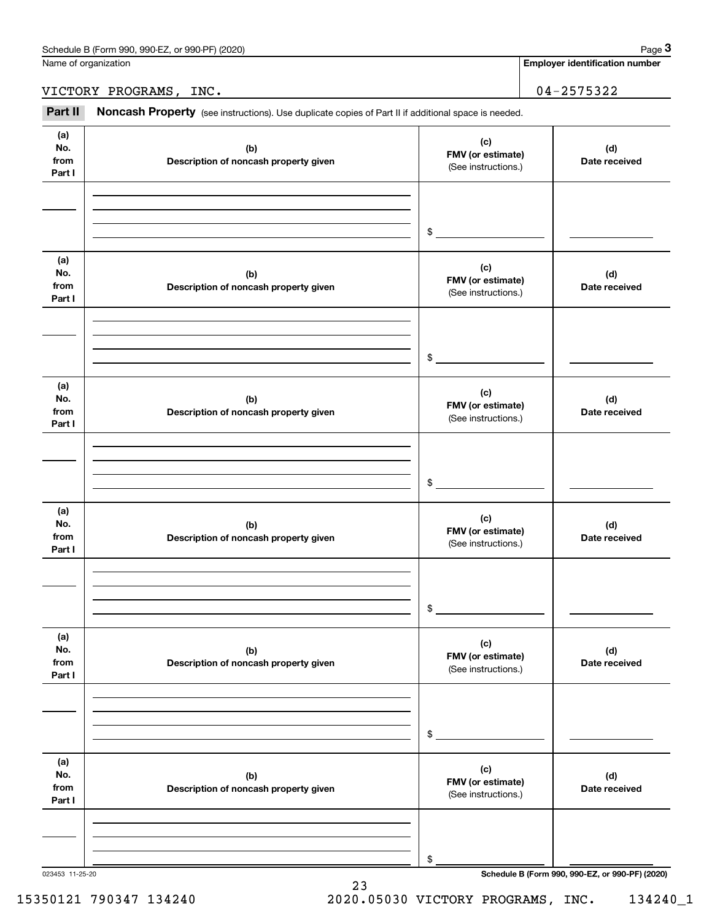**Employer identification number**

# VICTORY PROGRAMS, INC. 2575322

Chedule B (Form 990, 990-EZ, or 990-PF) (2020)<br>
lame of organization<br> **3Part II Noncash Property** (see instructions). Use duplicate copies of Part II if additional space is needed.<br> **3Part II Noncash Property** (see ins

| (a)<br>No.<br>from<br>Part I | (b)<br>Description of noncash property given | (c)<br>FMV (or estimate)<br>(See instructions.) | (d)<br>Date received                            |
|------------------------------|----------------------------------------------|-------------------------------------------------|-------------------------------------------------|
|                              |                                              | $\frac{1}{2}$                                   |                                                 |
| (a)<br>No.<br>from<br>Part I | (b)<br>Description of noncash property given | (c)<br>FMV (or estimate)<br>(See instructions.) | (d)<br>Date received                            |
|                              |                                              | $\mathfrak s$                                   |                                                 |
| (a)<br>No.<br>from<br>Part I | (b)<br>Description of noncash property given | (c)<br>FMV (or estimate)<br>(See instructions.) | (d)<br>Date received                            |
|                              |                                              | $\mathfrak s$                                   |                                                 |
| (a)<br>No.<br>from<br>Part I | (b)<br>Description of noncash property given | (c)<br>FMV (or estimate)<br>(See instructions.) | (d)<br>Date received                            |
|                              |                                              | $\sim$                                          |                                                 |
| (a)<br>No.<br>from<br>Part I | (b)<br>Description of noncash property given | (c)<br>FMV (or estimate)<br>(See instructions.) | (d)<br>Date received                            |
|                              |                                              | \$                                              |                                                 |
| (a)<br>No.<br>from<br>Part I | (b)<br>Description of noncash property given | (c)<br>FMV (or estimate)<br>(See instructions.) | (d)<br>Date received                            |
| 023453 11-25-20              |                                              | \$                                              | Schedule B (Form 990, 990-EZ, or 990-PF) (2020) |

23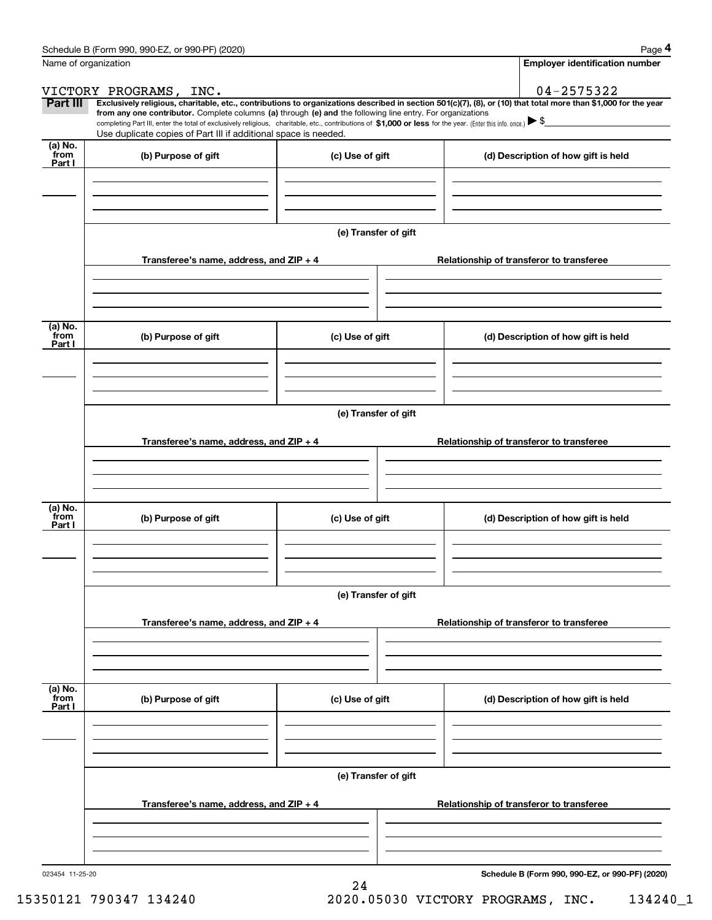|                           | Schedule B (Form 990, 990-EZ, or 990-PF) (2020)                                                                                                                                                                                                                                                 |                      | Page 4                                                                                                                                                         |
|---------------------------|-------------------------------------------------------------------------------------------------------------------------------------------------------------------------------------------------------------------------------------------------------------------------------------------------|----------------------|----------------------------------------------------------------------------------------------------------------------------------------------------------------|
| Name of organization      |                                                                                                                                                                                                                                                                                                 |                      | <b>Employer identification number</b>                                                                                                                          |
|                           | VICTORY PROGRAMS, INC.                                                                                                                                                                                                                                                                          |                      | 04-2575322                                                                                                                                                     |
| Part III                  | from any one contributor. Complete columns (a) through (e) and the following line entry. For organizations<br>completing Part III, enter the total of exclusively religious, charitable, etc., contributions of \$1,000 or less for the year. (Enter this info. once.) $\blacktriangleright$ \$ |                      | Exclusively religious, charitable, etc., contributions to organizations described in section 501(c)(7), (8), or (10) that total more than \$1,000 for the year |
|                           | Use duplicate copies of Part III if additional space is needed.                                                                                                                                                                                                                                 |                      |                                                                                                                                                                |
| (a) No.<br>from<br>Part I | (b) Purpose of gift                                                                                                                                                                                                                                                                             | (c) Use of gift      | (d) Description of how gift is held                                                                                                                            |
|                           |                                                                                                                                                                                                                                                                                                 |                      |                                                                                                                                                                |
|                           |                                                                                                                                                                                                                                                                                                 |                      |                                                                                                                                                                |
|                           |                                                                                                                                                                                                                                                                                                 | (e) Transfer of gift |                                                                                                                                                                |
|                           | Transferee's name, address, and ZIP + 4                                                                                                                                                                                                                                                         |                      | Relationship of transferor to transferee                                                                                                                       |
|                           |                                                                                                                                                                                                                                                                                                 |                      |                                                                                                                                                                |
| (a) No.<br>from           |                                                                                                                                                                                                                                                                                                 |                      |                                                                                                                                                                |
| Part I                    | (b) Purpose of gift                                                                                                                                                                                                                                                                             | (c) Use of gift      | (d) Description of how gift is held                                                                                                                            |
|                           |                                                                                                                                                                                                                                                                                                 |                      |                                                                                                                                                                |
|                           |                                                                                                                                                                                                                                                                                                 | (e) Transfer of gift |                                                                                                                                                                |
|                           | Transferee's name, address, and ZIP + 4                                                                                                                                                                                                                                                         |                      | Relationship of transferor to transferee                                                                                                                       |
|                           |                                                                                                                                                                                                                                                                                                 |                      |                                                                                                                                                                |
|                           |                                                                                                                                                                                                                                                                                                 |                      |                                                                                                                                                                |
| (a) No.<br>from<br>Part I | (b) Purpose of gift                                                                                                                                                                                                                                                                             | (c) Use of gift      | (d) Description of how gift is held                                                                                                                            |
|                           |                                                                                                                                                                                                                                                                                                 |                      |                                                                                                                                                                |
|                           |                                                                                                                                                                                                                                                                                                 | (e) Transfer of gift |                                                                                                                                                                |
|                           | Transferee's name, address, and $ZIP + 4$                                                                                                                                                                                                                                                       |                      | Relationship of transferor to transferee                                                                                                                       |
|                           |                                                                                                                                                                                                                                                                                                 |                      |                                                                                                                                                                |
|                           |                                                                                                                                                                                                                                                                                                 |                      |                                                                                                                                                                |
| (a) No.<br>from<br>Part I | (b) Purpose of gift                                                                                                                                                                                                                                                                             | (c) Use of gift      | (d) Description of how gift is held                                                                                                                            |
|                           |                                                                                                                                                                                                                                                                                                 |                      |                                                                                                                                                                |
|                           |                                                                                                                                                                                                                                                                                                 |                      |                                                                                                                                                                |
|                           |                                                                                                                                                                                                                                                                                                 | (e) Transfer of gift |                                                                                                                                                                |
|                           | Transferee's name, address, and $ZIP + 4$                                                                                                                                                                                                                                                       |                      | Relationship of transferor to transferee                                                                                                                       |
|                           |                                                                                                                                                                                                                                                                                                 |                      |                                                                                                                                                                |
|                           |                                                                                                                                                                                                                                                                                                 |                      |                                                                                                                                                                |

24

**Schedule B (Form 990, 990-EZ, or 990-PF) (2020)**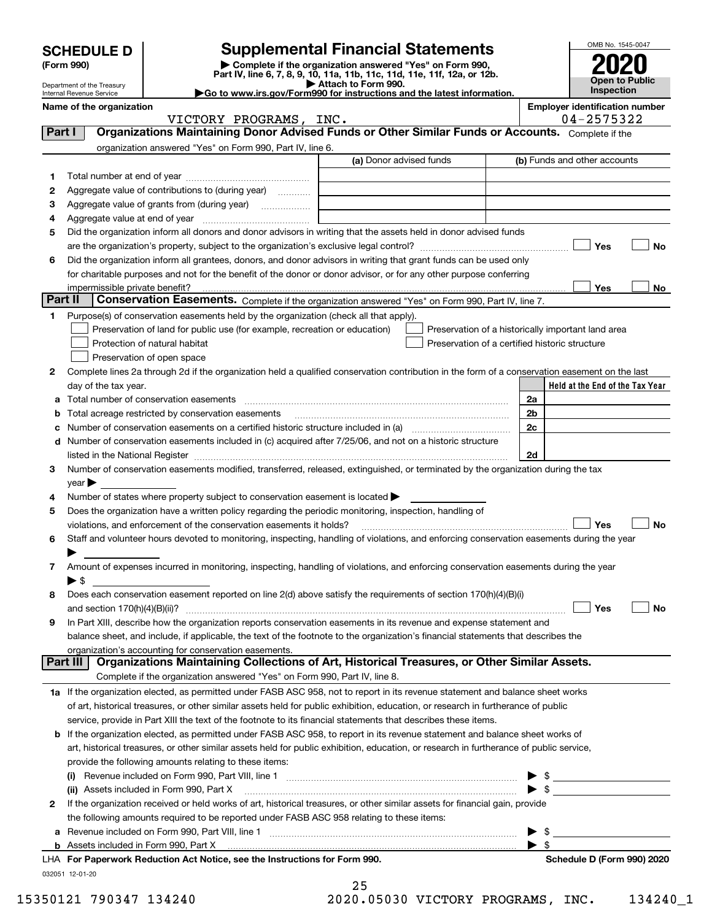|         | <b>SCHEDULE D</b>              |                                                                                                        | <b>Supplemental Financial Statements</b>                                                                                                                                                                                                |                |                              | OMB No. 1545-0047                                   |
|---------|--------------------------------|--------------------------------------------------------------------------------------------------------|-----------------------------------------------------------------------------------------------------------------------------------------------------------------------------------------------------------------------------------------|----------------|------------------------------|-----------------------------------------------------|
|         | (Form 990)                     |                                                                                                        | Complete if the organization answered "Yes" on Form 990,                                                                                                                                                                                |                |                              |                                                     |
|         | Department of the Treasury     |                                                                                                        | Part IV, line 6, 7, 8, 9, 10, 11a, 11b, 11c, 11d, 11e, 11f, 12a, or 12b.<br>Attach to Form 990.                                                                                                                                         |                |                              | Open to Public                                      |
|         | Internal Revenue Service       |                                                                                                        | Go to www.irs.gov/Form990 for instructions and the latest information.                                                                                                                                                                  |                |                              | <b>Inspection</b>                                   |
|         | Name of the organization       | VICTORY PROGRAMS, INC.                                                                                 |                                                                                                                                                                                                                                         |                |                              | <b>Employer identification number</b><br>04-2575322 |
| Part I  |                                |                                                                                                        | Organizations Maintaining Donor Advised Funds or Other Similar Funds or Accounts. Complete if the                                                                                                                                       |                |                              |                                                     |
|         |                                | organization answered "Yes" on Form 990, Part IV, line 6.                                              |                                                                                                                                                                                                                                         |                |                              |                                                     |
|         |                                |                                                                                                        | (a) Donor advised funds                                                                                                                                                                                                                 |                | (b) Funds and other accounts |                                                     |
| 1       |                                |                                                                                                        |                                                                                                                                                                                                                                         |                |                              |                                                     |
| 2       |                                | Aggregate value of contributions to (during year)                                                      |                                                                                                                                                                                                                                         |                |                              |                                                     |
| з       |                                |                                                                                                        |                                                                                                                                                                                                                                         |                |                              |                                                     |
| 4       |                                |                                                                                                        |                                                                                                                                                                                                                                         |                |                              |                                                     |
| 5       |                                |                                                                                                        | Did the organization inform all donors and donor advisors in writing that the assets held in donor advised funds                                                                                                                        |                |                              |                                                     |
|         |                                |                                                                                                        |                                                                                                                                                                                                                                         |                |                              | Yes<br>No                                           |
| 6       |                                |                                                                                                        | Did the organization inform all grantees, donors, and donor advisors in writing that grant funds can be used only<br>for charitable purposes and not for the benefit of the donor or donor advisor, or for any other purpose conferring |                |                              |                                                     |
|         | impermissible private benefit? |                                                                                                        |                                                                                                                                                                                                                                         |                |                              | Yes<br>No.                                          |
| Part II |                                |                                                                                                        | Conservation Easements. Complete if the organization answered "Yes" on Form 990, Part IV, line 7.                                                                                                                                       |                |                              |                                                     |
| 1.      |                                | Purpose(s) of conservation easements held by the organization (check all that apply).                  |                                                                                                                                                                                                                                         |                |                              |                                                     |
|         |                                | Preservation of land for public use (for example, recreation or education)                             | Preservation of a historically important land area                                                                                                                                                                                      |                |                              |                                                     |
|         |                                | Protection of natural habitat                                                                          | Preservation of a certified historic structure                                                                                                                                                                                          |                |                              |                                                     |
|         |                                | Preservation of open space                                                                             |                                                                                                                                                                                                                                         |                |                              |                                                     |
| 2       |                                |                                                                                                        | Complete lines 2a through 2d if the organization held a qualified conservation contribution in the form of a conservation easement on the last                                                                                          |                |                              |                                                     |
|         | day of the tax year.           |                                                                                                        |                                                                                                                                                                                                                                         |                |                              | Held at the End of the Tax Year                     |
| а       |                                |                                                                                                        |                                                                                                                                                                                                                                         | 2a             |                              |                                                     |
|         |                                | Total acreage restricted by conservation easements                                                     |                                                                                                                                                                                                                                         | 2 <sub>b</sub> |                              |                                                     |
| с       |                                |                                                                                                        | Number of conservation easements on a certified historic structure included in (a) manufacture included in (a)                                                                                                                          | 2 <sub>c</sub> |                              |                                                     |
| d       |                                |                                                                                                        | Number of conservation easements included in (c) acquired after 7/25/06, and not on a historic structure                                                                                                                                |                |                              |                                                     |
|         |                                |                                                                                                        |                                                                                                                                                                                                                                         | 2d             |                              |                                                     |
| з       | $\vee$ ear                     |                                                                                                        | Number of conservation easements modified, transferred, released, extinguished, or terminated by the organization during the tax                                                                                                        |                |                              |                                                     |
| 4       |                                | Number of states where property subject to conservation easement is located                            |                                                                                                                                                                                                                                         |                |                              |                                                     |
| 5       |                                | Does the organization have a written policy regarding the periodic monitoring, inspection, handling of |                                                                                                                                                                                                                                         |                |                              |                                                     |
|         |                                | violations, and enforcement of the conservation easements it holds?                                    |                                                                                                                                                                                                                                         |                |                              | Yes<br>No                                           |
| 6       |                                |                                                                                                        | Staff and volunteer hours devoted to monitoring, inspecting, handling of violations, and enforcing conservation easements during the year                                                                                               |                |                              |                                                     |
|         |                                |                                                                                                        |                                                                                                                                                                                                                                         |                |                              |                                                     |
| 7       |                                |                                                                                                        | Amount of expenses incurred in monitoring, inspecting, handling of violations, and enforcing conservation easements during the year                                                                                                     |                |                              |                                                     |
|         | $\blacktriangleright$ \$       |                                                                                                        |                                                                                                                                                                                                                                         |                |                              |                                                     |
| 8       |                                |                                                                                                        | Does each conservation easement reported on line 2(d) above satisfy the requirements of section 170(h)(4)(B)(i)                                                                                                                         |                |                              |                                                     |
|         |                                |                                                                                                        |                                                                                                                                                                                                                                         |                |                              | Yes<br>No                                           |
| 9       |                                |                                                                                                        | In Part XIII, describe how the organization reports conservation easements in its revenue and expense statement and                                                                                                                     |                |                              |                                                     |
|         |                                |                                                                                                        | balance sheet, and include, if applicable, the text of the footnote to the organization's financial statements that describes the                                                                                                       |                |                              |                                                     |
|         | Part III                       | organization's accounting for conservation easements.                                                  | Organizations Maintaining Collections of Art, Historical Treasures, or Other Similar Assets.                                                                                                                                            |                |                              |                                                     |
|         |                                | Complete if the organization answered "Yes" on Form 990, Part IV, line 8.                              |                                                                                                                                                                                                                                         |                |                              |                                                     |
|         |                                |                                                                                                        | 1a If the organization elected, as permitted under FASB ASC 958, not to report in its revenue statement and balance sheet works                                                                                                         |                |                              |                                                     |
|         |                                |                                                                                                        | of art, historical treasures, or other similar assets held for public exhibition, education, or research in furtherance of public                                                                                                       |                |                              |                                                     |
|         |                                |                                                                                                        | service, provide in Part XIII the text of the footnote to its financial statements that describes these items.                                                                                                                          |                |                              |                                                     |
|         |                                |                                                                                                        | <b>b</b> If the organization elected, as permitted under FASB ASC 958, to report in its revenue statement and balance sheet works of                                                                                                    |                |                              |                                                     |
|         |                                |                                                                                                        | art, historical treasures, or other similar assets held for public exhibition, education, or research in furtherance of public service,                                                                                                 |                |                              |                                                     |
|         |                                | provide the following amounts relating to these items:                                                 |                                                                                                                                                                                                                                         |                |                              |                                                     |
|         |                                |                                                                                                        |                                                                                                                                                                                                                                         |                |                              |                                                     |
|         |                                | (ii) Assets included in Form 990, Part X                                                               |                                                                                                                                                                                                                                         |                |                              | $\triangleright$ \$                                 |
| 2       |                                |                                                                                                        | If the organization received or held works of art, historical treasures, or other similar assets for financial gain, provide                                                                                                            |                |                              |                                                     |
|         |                                | the following amounts required to be reported under FASB ASC 958 relating to these items:              |                                                                                                                                                                                                                                         |                |                              |                                                     |
| а       |                                |                                                                                                        |                                                                                                                                                                                                                                         |                |                              |                                                     |
|         |                                |                                                                                                        |                                                                                                                                                                                                                                         |                |                              |                                                     |
|         |                                | LHA For Paperwork Reduction Act Notice, see the Instructions for Form 990.                             |                                                                                                                                                                                                                                         |                |                              | Schedule D (Form 990) 2020                          |
|         | 032051 12-01-20                |                                                                                                        | っに                                                                                                                                                                                                                                      |                |                              |                                                     |

| 25       |  |  |  |
|----------|--|--|--|
| ON NENSN |  |  |  |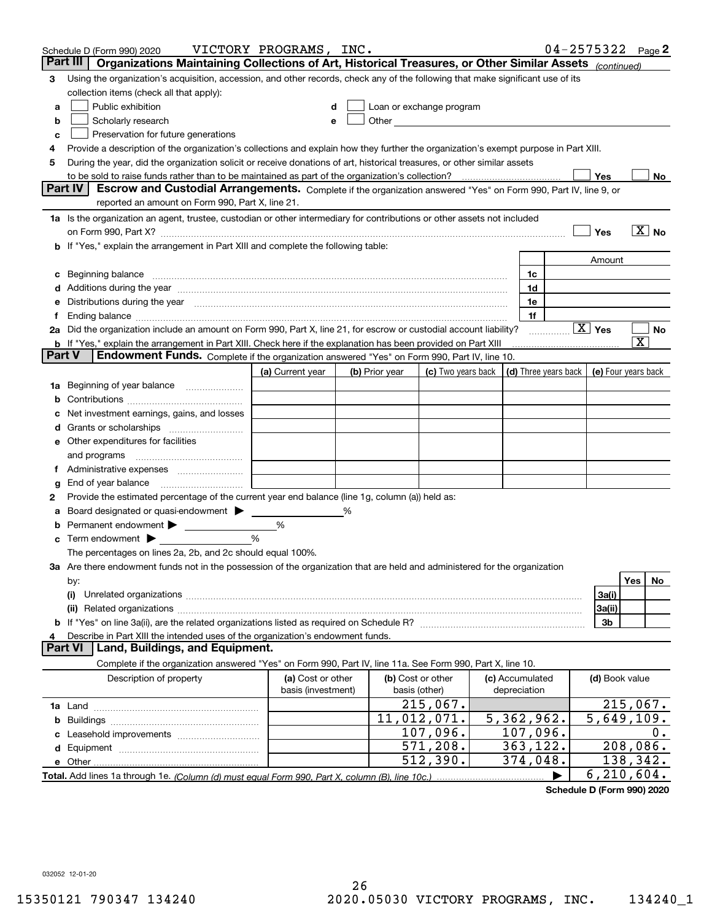|        | Schedule D (Form 990) 2020                                                                                                                                                                                                                                                                                                  | VICTORY PROGRAMS, INC. |   |                |                                                                                                                                                                                                                               |                 |   |                        | $04 - 2575322$ Page 2       |
|--------|-----------------------------------------------------------------------------------------------------------------------------------------------------------------------------------------------------------------------------------------------------------------------------------------------------------------------------|------------------------|---|----------------|-------------------------------------------------------------------------------------------------------------------------------------------------------------------------------------------------------------------------------|-----------------|---|------------------------|-----------------------------|
|        | Part III<br>Organizations Maintaining Collections of Art, Historical Treasures, or Other Similar Assets (continued)                                                                                                                                                                                                         |                        |   |                |                                                                                                                                                                                                                               |                 |   |                        |                             |
| 3      | Using the organization's acquisition, accession, and other records, check any of the following that make significant use of its                                                                                                                                                                                             |                        |   |                |                                                                                                                                                                                                                               |                 |   |                        |                             |
|        | collection items (check all that apply):                                                                                                                                                                                                                                                                                    |                        |   |                |                                                                                                                                                                                                                               |                 |   |                        |                             |
| a      | Public exhibition                                                                                                                                                                                                                                                                                                           |                        |   |                | Loan or exchange program                                                                                                                                                                                                      |                 |   |                        |                             |
| b      | Scholarly research                                                                                                                                                                                                                                                                                                          |                        |   |                | Other and the contract of the contract of the contract of the contract of the contract of the contract of the contract of the contract of the contract of the contract of the contract of the contract of the contract of the |                 |   |                        |                             |
| с      | Preservation for future generations                                                                                                                                                                                                                                                                                         |                        |   |                |                                                                                                                                                                                                                               |                 |   |                        |                             |
| 4      | Provide a description of the organization's collections and explain how they further the organization's exempt purpose in Part XIII.                                                                                                                                                                                        |                        |   |                |                                                                                                                                                                                                                               |                 |   |                        |                             |
| 5      | During the year, did the organization solicit or receive donations of art, historical treasures, or other similar assets                                                                                                                                                                                                    |                        |   |                |                                                                                                                                                                                                                               |                 |   |                        |                             |
|        | to be sold to raise funds rather than to be maintained as part of the organization's collection?                                                                                                                                                                                                                            |                        |   |                |                                                                                                                                                                                                                               |                 |   | Yes                    | $N_{0}$                     |
|        | Escrow and Custodial Arrangements. Complete if the organization answered "Yes" on Form 990, Part IV, line 9, or<br><b>Part IV</b><br>reported an amount on Form 990, Part X, line 21.                                                                                                                                       |                        |   |                |                                                                                                                                                                                                                               |                 |   |                        |                             |
|        |                                                                                                                                                                                                                                                                                                                             |                        |   |                |                                                                                                                                                                                                                               |                 |   |                        |                             |
|        | 1a Is the organization an agent, trustee, custodian or other intermediary for contributions or other assets not included                                                                                                                                                                                                    |                        |   |                |                                                                                                                                                                                                                               |                 |   | Yes                    | $\lfloor$ X $\rfloor$ No    |
|        | on Form 990, Part X? [11] matter contracts and contracts and contracts are contracted to the contract of the contract of the contract of the contract of the contract of the contract of the contract of the contract of the c<br><b>b</b> If "Yes," explain the arrangement in Part XIII and complete the following table: |                        |   |                |                                                                                                                                                                                                                               |                 |   |                        |                             |
|        |                                                                                                                                                                                                                                                                                                                             |                        |   |                |                                                                                                                                                                                                                               |                 |   | Amount                 |                             |
| c      | Beginning balance <u>www.marent.com married was contracted</u> and the contracted and the contracted and the contracted                                                                                                                                                                                                     |                        |   |                |                                                                                                                                                                                                                               | 1c              |   |                        |                             |
|        |                                                                                                                                                                                                                                                                                                                             |                        |   |                |                                                                                                                                                                                                                               | 1d              |   |                        |                             |
| е      | Distributions during the year manufactured and an account of the year manufactured and the year manufactured and the year manufactured and the year manufactured and the year manufactured and the year manufactured and the y                                                                                              |                        |   |                |                                                                                                                                                                                                                               | 1e              |   |                        |                             |
|        |                                                                                                                                                                                                                                                                                                                             |                        |   |                |                                                                                                                                                                                                                               | 1f              |   |                        |                             |
|        | 2a Did the organization include an amount on Form 990, Part X, line 21, for escrow or custodial account liability?                                                                                                                                                                                                          |                        |   |                |                                                                                                                                                                                                                               |                 | . | $\boxed{\text{X}}$ Yes | No                          |
|        | <b>b</b> If "Yes," explain the arrangement in Part XIII. Check here if the explanation has been provided on Part XIII                                                                                                                                                                                                       |                        |   |                |                                                                                                                                                                                                                               |                 |   |                        | $\overline{\textnormal{x}}$ |
| Part V | Endowment Funds. Complete if the organization answered "Yes" on Form 990, Part IV, line 10.                                                                                                                                                                                                                                 |                        |   |                |                                                                                                                                                                                                                               |                 |   |                        |                             |
|        |                                                                                                                                                                                                                                                                                                                             | (a) Current year       |   | (b) Prior year | (c) Two years back $\vert$ (d) Three years back $\vert$ (e) Four years back                                                                                                                                                   |                 |   |                        |                             |
|        | 1a Beginning of year balance                                                                                                                                                                                                                                                                                                |                        |   |                |                                                                                                                                                                                                                               |                 |   |                        |                             |
| b      |                                                                                                                                                                                                                                                                                                                             |                        |   |                |                                                                                                                                                                                                                               |                 |   |                        |                             |
|        | Net investment earnings, gains, and losses                                                                                                                                                                                                                                                                                  |                        |   |                |                                                                                                                                                                                                                               |                 |   |                        |                             |
|        |                                                                                                                                                                                                                                                                                                                             |                        |   |                |                                                                                                                                                                                                                               |                 |   |                        |                             |
|        | e Other expenditures for facilities                                                                                                                                                                                                                                                                                         |                        |   |                |                                                                                                                                                                                                                               |                 |   |                        |                             |
|        | and programs                                                                                                                                                                                                                                                                                                                |                        |   |                |                                                                                                                                                                                                                               |                 |   |                        |                             |
|        | f Administrative expenses                                                                                                                                                                                                                                                                                                   |                        |   |                |                                                                                                                                                                                                                               |                 |   |                        |                             |
| g      | End of year balance <i>manually contained</i>                                                                                                                                                                                                                                                                               |                        |   |                |                                                                                                                                                                                                                               |                 |   |                        |                             |
| 2      | Provide the estimated percentage of the current year end balance (line 1g, column (a)) held as:                                                                                                                                                                                                                             |                        |   |                |                                                                                                                                                                                                                               |                 |   |                        |                             |
| а      | Board designated or quasi-endowment                                                                                                                                                                                                                                                                                         |                        | % |                |                                                                                                                                                                                                                               |                 |   |                        |                             |
| b      | Permanent endowment >                                                                                                                                                                                                                                                                                                       | %                      |   |                |                                                                                                                                                                                                                               |                 |   |                        |                             |
| c      | Term endowment $\blacktriangleright$                                                                                                                                                                                                                                                                                        | %                      |   |                |                                                                                                                                                                                                                               |                 |   |                        |                             |
|        | The percentages on lines 2a, 2b, and 2c should equal 100%.                                                                                                                                                                                                                                                                  |                        |   |                |                                                                                                                                                                                                                               |                 |   |                        |                             |
|        | 3a Are there endowment funds not in the possession of the organization that are held and administered for the organization                                                                                                                                                                                                  |                        |   |                |                                                                                                                                                                                                                               |                 |   |                        |                             |
|        | by:                                                                                                                                                                                                                                                                                                                         |                        |   |                |                                                                                                                                                                                                                               |                 |   |                        | Yes<br>No                   |
|        | (i)                                                                                                                                                                                                                                                                                                                         |                        |   |                |                                                                                                                                                                                                                               |                 |   | 3a(i)                  |                             |
|        |                                                                                                                                                                                                                                                                                                                             |                        |   |                |                                                                                                                                                                                                                               |                 |   | 3a(ii)<br>3b           |                             |
|        | Describe in Part XIII the intended uses of the organization's endowment funds.                                                                                                                                                                                                                                              |                        |   |                |                                                                                                                                                                                                                               |                 |   |                        |                             |
|        | <b>Part VI</b><br>Land, Buildings, and Equipment.                                                                                                                                                                                                                                                                           |                        |   |                |                                                                                                                                                                                                                               |                 |   |                        |                             |
|        | Complete if the organization answered "Yes" on Form 990, Part IV, line 11a. See Form 990, Part X, line 10.                                                                                                                                                                                                                  |                        |   |                |                                                                                                                                                                                                                               |                 |   |                        |                             |
|        | Description of property                                                                                                                                                                                                                                                                                                     | (a) Cost or other      |   |                | (b) Cost or other                                                                                                                                                                                                             | (c) Accumulated |   | (d) Book value         |                             |
|        |                                                                                                                                                                                                                                                                                                                             | basis (investment)     |   | basis (other)  |                                                                                                                                                                                                                               | depreciation    |   |                        |                             |
|        |                                                                                                                                                                                                                                                                                                                             |                        |   |                | 215,067.                                                                                                                                                                                                                      |                 |   |                        | 215,067.                    |
| b      |                                                                                                                                                                                                                                                                                                                             |                        |   |                | 11,012,071.                                                                                                                                                                                                                   | 5,362,962.      |   |                        | 5,649,109.                  |
|        |                                                                                                                                                                                                                                                                                                                             |                        |   |                | 107,096.                                                                                                                                                                                                                      | 107,096.        |   |                        | 0.                          |
|        |                                                                                                                                                                                                                                                                                                                             |                        |   |                | 571,208.                                                                                                                                                                                                                      | 363,122.        |   |                        | 208,086.                    |
|        |                                                                                                                                                                                                                                                                                                                             |                        |   |                | 512,390.                                                                                                                                                                                                                      | 374,048.        |   |                        | 138,342.                    |
|        | Total. Add lines 1a through 1e. (Column (d) must equal Form 990. Part X, column (B), line 10c.)                                                                                                                                                                                                                             |                        |   |                |                                                                                                                                                                                                                               |                 |   |                        | 6, 210, 604.                |

**Schedule D (Form 990) 2020**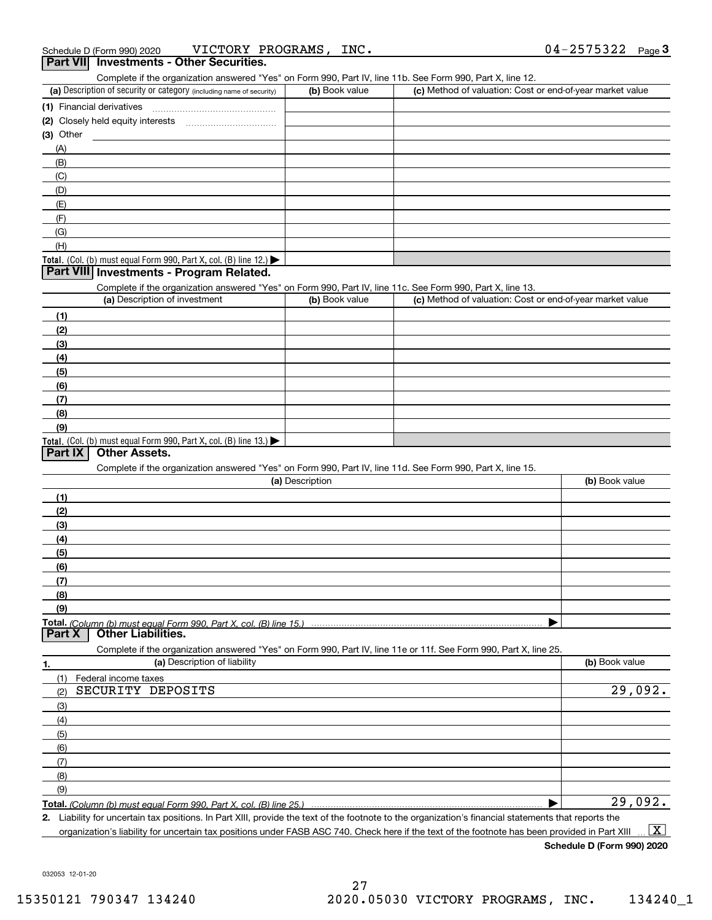| VICTORY PROGRAMS, INC.<br>Schedule D (Form 990) 2020                                                              |                 |                                                           | 04-2575322 $_{Page}$ 3 |
|-------------------------------------------------------------------------------------------------------------------|-----------------|-----------------------------------------------------------|------------------------|
| <b>Part VII</b><br><b>Investments - Other Securities.</b>                                                         |                 |                                                           |                        |
| Complete if the organization answered "Yes" on Form 990, Part IV, line 11b. See Form 990, Part X, line 12.        |                 |                                                           |                        |
| (a) Description of security or category (including name of security)                                              | (b) Book value  | (c) Method of valuation: Cost or end-of-year market value |                        |
|                                                                                                                   |                 |                                                           |                        |
| (2) Closely held equity interests                                                                                 |                 |                                                           |                        |
| (3) Other                                                                                                         |                 |                                                           |                        |
|                                                                                                                   |                 |                                                           |                        |
| (A)                                                                                                               |                 |                                                           |                        |
| (B)                                                                                                               |                 |                                                           |                        |
| (C)                                                                                                               |                 |                                                           |                        |
| (D)                                                                                                               |                 |                                                           |                        |
| (E)                                                                                                               |                 |                                                           |                        |
| (F)                                                                                                               |                 |                                                           |                        |
| (G)                                                                                                               |                 |                                                           |                        |
| (H)                                                                                                               |                 |                                                           |                        |
| Total. (Col. (b) must equal Form 990, Part X, col. (B) line 12.)                                                  |                 |                                                           |                        |
| Part VIII Investments - Program Related.                                                                          |                 |                                                           |                        |
| Complete if the organization answered "Yes" on Form 990, Part IV, line 11c. See Form 990, Part X, line 13.        |                 |                                                           |                        |
| (a) Description of investment                                                                                     | (b) Book value  | (c) Method of valuation: Cost or end-of-year market value |                        |
| (1)                                                                                                               |                 |                                                           |                        |
| (2)                                                                                                               |                 |                                                           |                        |
| (3)                                                                                                               |                 |                                                           |                        |
| (4)                                                                                                               |                 |                                                           |                        |
| (5)                                                                                                               |                 |                                                           |                        |
| (6)                                                                                                               |                 |                                                           |                        |
| (7)                                                                                                               |                 |                                                           |                        |
|                                                                                                                   |                 |                                                           |                        |
| (8)                                                                                                               |                 |                                                           |                        |
| (9)                                                                                                               |                 |                                                           |                        |
| Total. (Col. (b) must equal Form 990, Part X, col. (B) line 13.)<br>Part IX<br><b>Other Assets.</b>               |                 |                                                           |                        |
| Complete if the organization answered "Yes" on Form 990, Part IV, line 11d. See Form 990, Part X, line 15.        |                 |                                                           |                        |
|                                                                                                                   | (a) Description |                                                           | (b) Book value         |
| (1)                                                                                                               |                 |                                                           |                        |
| (2)                                                                                                               |                 |                                                           |                        |
| (3)                                                                                                               |                 |                                                           |                        |
| (4)                                                                                                               |                 |                                                           |                        |
| (5)                                                                                                               |                 |                                                           |                        |
| (6)                                                                                                               |                 |                                                           |                        |
| (7)                                                                                                               |                 |                                                           |                        |
| (8)                                                                                                               |                 |                                                           |                        |
| (9)                                                                                                               |                 |                                                           |                        |
| Total. (Column (b) must equal Form 990. Part X, col. (B) line 15.)                                                |                 |                                                           |                        |
| <b>Other Liabilities.</b><br>Part <sub>X</sub>                                                                    |                 |                                                           |                        |
| Complete if the organization answered "Yes" on Form 990, Part IV, line 11e or 11f. See Form 990, Part X, line 25. |                 |                                                           |                        |
| (a) Description of liability<br>1.                                                                                |                 |                                                           | (b) Book value         |
| (1)<br>Federal income taxes                                                                                       |                 |                                                           |                        |
| SECURITY DEPOSITS<br>(2)                                                                                          |                 |                                                           | 29,092.                |
| (3)                                                                                                               |                 |                                                           |                        |
| (4)                                                                                                               |                 |                                                           |                        |
|                                                                                                                   |                 |                                                           |                        |
| (5)                                                                                                               |                 |                                                           |                        |
| (6)                                                                                                               |                 |                                                           |                        |
| (7)                                                                                                               |                 |                                                           |                        |
| (8)                                                                                                               |                 |                                                           |                        |
| (9)                                                                                                               |                 |                                                           |                        |
| Total. (Column (b) must equal Form 990, Part X, col. (B) line 25.)                                                |                 |                                                           | 29,092.                |

**2.** Liability for uncertain tax positions. In Part XIII, provide the text of the footnote to the organization's financial statements that reports the organization's liability for uncertain tax positions under FASB ASC 740. Check here if the text of the footnote has been provided in Part XIII  $\boxed{\text{X}}$ 

**Schedule D (Form 990) 2020**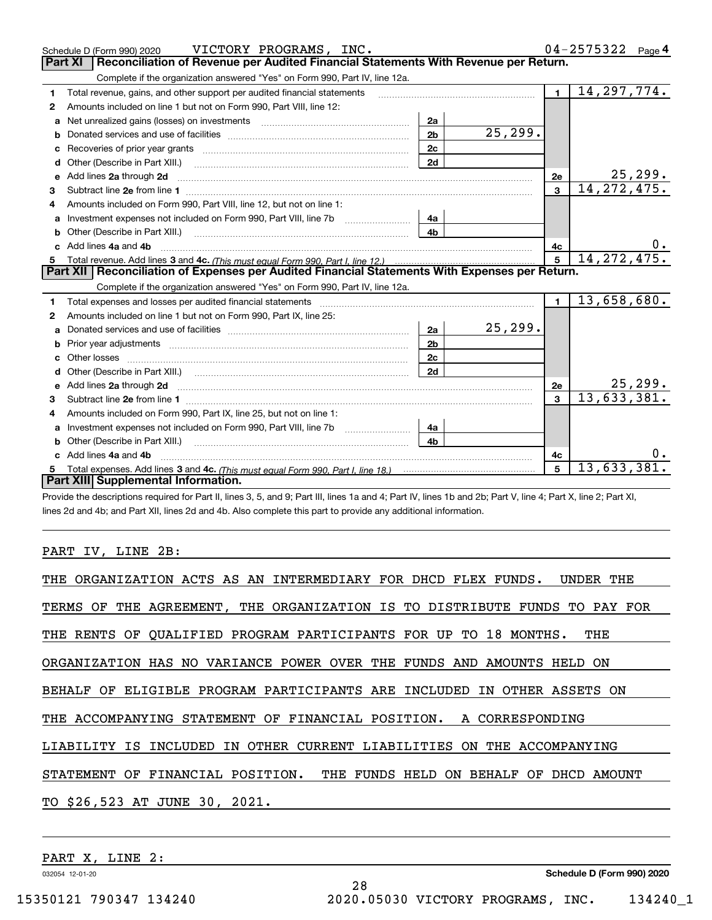|    | VICTORY PROGRAMS, INC.<br>Schedule D (Form 990) 2020                                                                                                                                                                                |                |          |                | $04 - 2575322$ Page 4 |
|----|-------------------------------------------------------------------------------------------------------------------------------------------------------------------------------------------------------------------------------------|----------------|----------|----------------|-----------------------|
|    | Reconciliation of Revenue per Audited Financial Statements With Revenue per Return.<br>Part XI                                                                                                                                      |                |          |                |                       |
|    | Complete if the organization answered "Yes" on Form 990, Part IV, line 12a.                                                                                                                                                         |                |          |                |                       |
| 1  | Total revenue, gains, and other support per audited financial statements                                                                                                                                                            |                |          | $\blacksquare$ | 14, 297, 774.         |
| 2  | Amounts included on line 1 but not on Form 990, Part VIII, line 12:                                                                                                                                                                 |                |          |                |                       |
|    | Net unrealized gains (losses) on investments [11] matter contracts and the unrealized gains (losses) on investments                                                                                                                 | 2a             |          |                |                       |
| b  |                                                                                                                                                                                                                                     | 2 <sub>b</sub> | 25, 299. |                |                       |
| c  | Recoveries of prior year grants [11] Recoveries of prior year grants [11] Recoveries of prior year grants                                                                                                                           | 2c             |          |                |                       |
| d  | Other (Describe in Part XIII.)                                                                                                                                                                                                      | 2d             |          |                |                       |
| е  | Add lines 2a through 2d                                                                                                                                                                                                             |                |          | <b>2e</b>      | 25,299.               |
| 3  |                                                                                                                                                                                                                                     |                |          | $\mathbf{3}$   | 14, 272, 475.         |
|    | Amounts included on Form 990, Part VIII, line 12, but not on line 1:                                                                                                                                                                |                |          |                |                       |
| a  | Investment expenses not included on Form 990, Part VIII, line 7b                                                                                                                                                                    | 4a             |          |                |                       |
| b  | Other (Describe in Part XIII.) <b>Construction Contract Construction</b> Chemical Construction Chemical Chemical Chemical Chemical Chemical Chemical Chemical Chemical Chemical Chemical Chemical Chemical Chemical Chemical Chemic | 4b             |          |                |                       |
|    | Add lines 4a and 4b                                                                                                                                                                                                                 |                |          | 4c             |                       |
| 5  |                                                                                                                                                                                                                                     |                |          | 5              | 14, 272, 475.         |
|    | Part XII   Reconciliation of Expenses per Audited Financial Statements With Expenses per Return.                                                                                                                                    |                |          |                |                       |
|    | Complete if the organization answered "Yes" on Form 990, Part IV, line 12a.                                                                                                                                                         |                |          |                |                       |
| 1. | Total expenses and losses per audited financial statements [11] [12] contain an intervention and contain a statements [13] [13] and the statements [13] [13] and the statements [13] and the statements [13] and the statement      |                |          | $\mathbf{1}$   | 13,658,680.           |
| 2  | Amounts included on line 1 but not on Form 990, Part IX, line 25:                                                                                                                                                                   |                |          |                |                       |
| a  |                                                                                                                                                                                                                                     | 2a             | 25, 299. |                |                       |
| b  |                                                                                                                                                                                                                                     | 2 <sub>b</sub> |          |                |                       |
| c  |                                                                                                                                                                                                                                     | 2c             |          |                |                       |
|    | Other (Describe in Part XIII.) (2000) (2000) (2000) (2010) (2010) (2010) (2010) (2010) (2010) (2010) (2010) (20                                                                                                                     | 2d             |          |                |                       |
| e  |                                                                                                                                                                                                                                     |                |          |                |                       |
|    | Add lines 2a through 2d <b>contained a contained a contained a contained a</b> contained a contained a contained a contained a contained a contained a contained a contained a contained a contained a contained a contained a cont |                |          | 2e             | 25, 299.              |
| 3  |                                                                                                                                                                                                                                     |                |          | $\mathbf{R}$   | 13,633,381.           |
| 4  | Amounts included on Form 990, Part IX, line 25, but not on line 1:                                                                                                                                                                  |                |          |                |                       |
| a  |                                                                                                                                                                                                                                     | 4a             |          |                |                       |
| b  |                                                                                                                                                                                                                                     | 4b             |          |                |                       |
|    | Add lines 4a and 4b                                                                                                                                                                                                                 |                |          | 4c             |                       |
|    | Part XIII Supplemental Information.                                                                                                                                                                                                 |                |          | 5              | 13,633,381.           |

Provide the descriptions required for Part II, lines 3, 5, and 9; Part III, lines 1a and 4; Part IV, lines 1b and 2b; Part V, line 4; Part X, line 2; Part XI, lines 2d and 4b; and Part XII, lines 2d and 4b. Also complete this part to provide any additional information.

#### PART IV, LINE 2B:

| THE ORGANIZATION ACTS AS AN INTERMEDIARY FOR DHCD FLEX FUNDS. UNDER THE     |
|-----------------------------------------------------------------------------|
| TERMS OF THE AGREEMENT, THE ORGANIZATION IS TO DISTRIBUTE FUNDS TO PAY FOR  |
| THE RENTS OF QUALIFIED PROGRAM PARTICIPANTS FOR UP TO 18 MONTHS. THE        |
| ORGANIZATION HAS NO VARIANCE POWER OVER THE FUNDS AND AMOUNTS HELD ON       |
| BEHALF OF ELIGIBLE PROGRAM PARTICIPANTS ARE INCLUDED IN OTHER ASSETS ON     |
| THE ACCOMPANYING STATEMENT OF FINANCIAL POSITION. A CORRESPONDING           |
| LIABILITY IS INCLUDED IN OTHER CURRENT LIABILITIES ON THE ACCOMPANYING      |
| STATEMENT OF FINANCIAL POSITION. THE FUNDS HELD ON<br>BEHALF OF DHCD AMOUNT |
| TO \$26,523 AT JUNE 30, 2021.                                               |
|                                                                             |

28

PART X, LINE 2: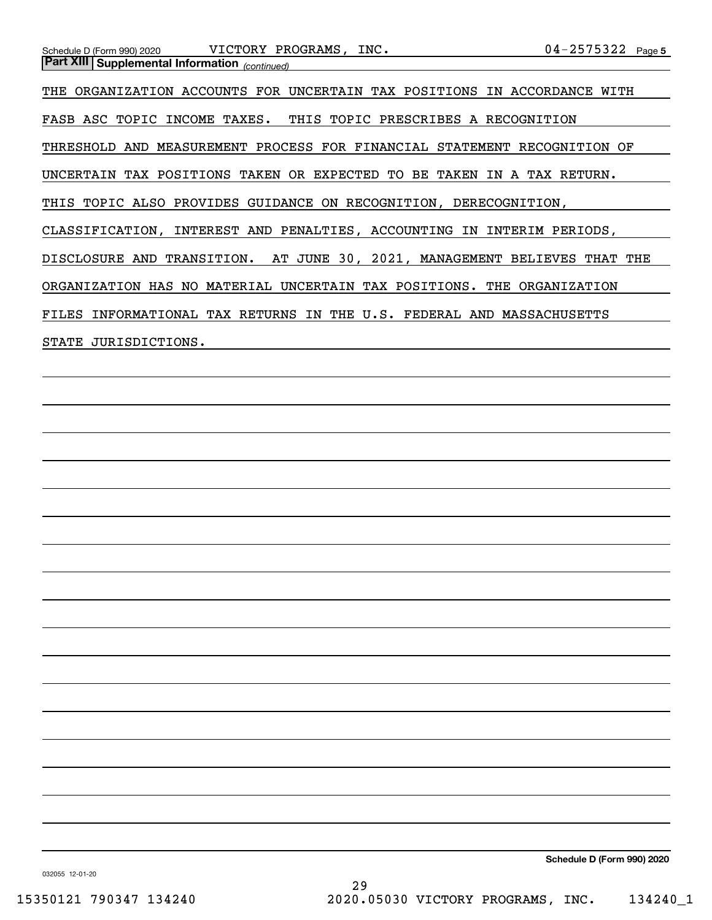| Schedule D (Form 990) 2020 VICTORY PROGRAMS, INC. 04-2575322 Page 5       |  |
|---------------------------------------------------------------------------|--|
| <b>Part XIII Supplemental Information</b> (continued)                     |  |
| THE ORGANIZATION ACCOUNTS FOR UNCERTAIN TAX POSITIONS IN ACCORDANCE WITH  |  |
| FASB ASC TOPIC INCOME TAXES. THIS TOPIC PRESCRIBES A RECOGNITION          |  |
| THRESHOLD AND MEASUREMENT PROCESS FOR FINANCIAL STATEMENT RECOGNITION OF  |  |
| UNCERTAIN TAX POSITIONS TAKEN OR EXPECTED TO BE TAKEN IN A TAX RETURN.    |  |
| THIS TOPIC ALSO PROVIDES GUIDANCE ON RECOGNITION, DERECOGNITION,          |  |
| CLASSIFICATION, INTEREST AND PENALTIES, ACCOUNTING IN INTERIM PERIODS,    |  |
| DISCLOSURE AND TRANSITION. AT JUNE 30, 2021, MANAGEMENT BELIEVES THAT THE |  |
| ORGANIZATION HAS NO MATERIAL UNCERTAIN TAX POSITIONS. THE ORGANIZATION    |  |
| FILES INFORMATIONAL TAX RETURNS IN THE U.S. FEDERAL AND MASSACHUSETTS     |  |
| STATE JURISDICTIONS.                                                      |  |
|                                                                           |  |
|                                                                           |  |
|                                                                           |  |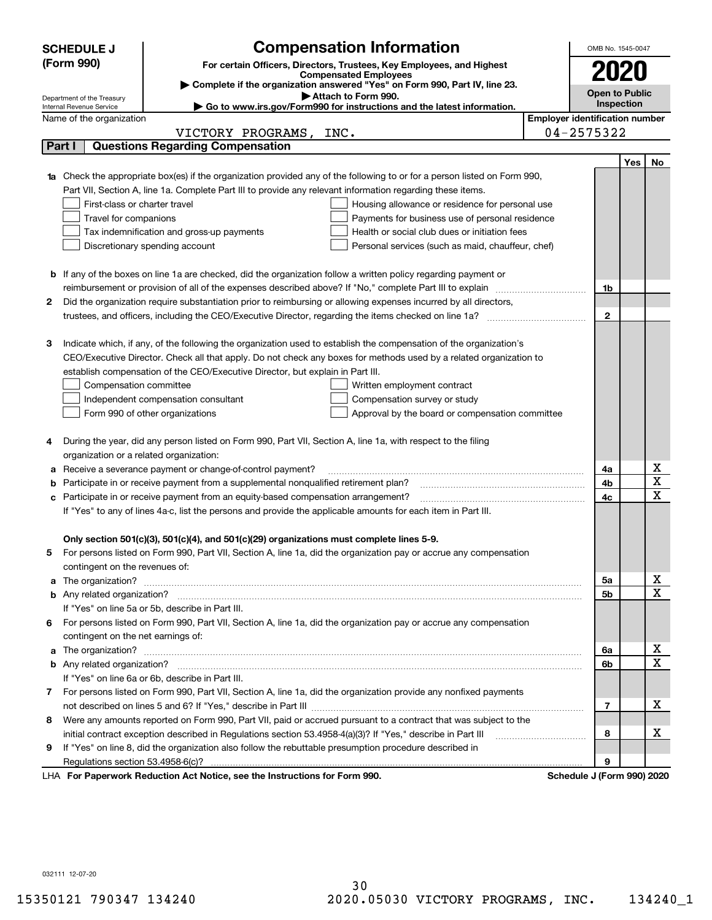|        | <b>Compensation Information</b><br><b>SCHEDULE J</b>                                                                                                                                                                                 |                                       | OMB No. 1545-0047     |            |                         |  |
|--------|--------------------------------------------------------------------------------------------------------------------------------------------------------------------------------------------------------------------------------------|---------------------------------------|-----------------------|------------|-------------------------|--|
|        | (Form 990)<br>For certain Officers, Directors, Trustees, Key Employees, and Highest                                                                                                                                                  |                                       |                       |            |                         |  |
|        | <b>Compensated Employees</b>                                                                                                                                                                                                         |                                       |                       |            |                         |  |
|        | Complete if the organization answered "Yes" on Form 990, Part IV, line 23.                                                                                                                                                           |                                       | <b>Open to Public</b> |            |                         |  |
|        | Attach to Form 990.<br>Department of the Treasury<br>Go to www.irs.gov/Form990 for instructions and the latest information.<br>Internal Revenue Service                                                                              |                                       | Inspection            |            |                         |  |
|        | Name of the organization                                                                                                                                                                                                             | <b>Employer identification number</b> |                       |            |                         |  |
|        | VICTORY PROGRAMS, INC.                                                                                                                                                                                                               | 04-2575322                            |                       |            |                         |  |
| Part I | <b>Questions Regarding Compensation</b>                                                                                                                                                                                              |                                       |                       |            |                         |  |
|        |                                                                                                                                                                                                                                      |                                       |                       | <b>Yes</b> | No                      |  |
|        | <b>1a</b> Check the appropriate box(es) if the organization provided any of the following to or for a person listed on Form 990,                                                                                                     |                                       |                       |            |                         |  |
|        | Part VII, Section A, line 1a. Complete Part III to provide any relevant information regarding these items.                                                                                                                           |                                       |                       |            |                         |  |
|        | First-class or charter travel<br>Housing allowance or residence for personal use                                                                                                                                                     |                                       |                       |            |                         |  |
|        | Payments for business use of personal residence<br>Travel for companions                                                                                                                                                             |                                       |                       |            |                         |  |
|        | Health or social club dues or initiation fees<br>Tax indemnification and gross-up payments                                                                                                                                           |                                       |                       |            |                         |  |
|        | Discretionary spending account<br>Personal services (such as maid, chauffeur, chef)                                                                                                                                                  |                                       |                       |            |                         |  |
|        |                                                                                                                                                                                                                                      |                                       |                       |            |                         |  |
|        | <b>b</b> If any of the boxes on line 1a are checked, did the organization follow a written policy regarding payment or                                                                                                               |                                       |                       |            |                         |  |
|        | reimbursement or provision of all of the expenses described above? If "No," complete Part III to explain                                                                                                                             |                                       | 1b                    |            |                         |  |
| 2      | Did the organization require substantiation prior to reimbursing or allowing expenses incurred by all directors,                                                                                                                     |                                       |                       |            |                         |  |
|        | trustees, and officers, including the CEO/Executive Director, regarding the items checked on line 1a?                                                                                                                                |                                       | $\mathbf{2}$          |            |                         |  |
|        |                                                                                                                                                                                                                                      |                                       |                       |            |                         |  |
| З      | Indicate which, if any, of the following the organization used to establish the compensation of the organization's                                                                                                                   |                                       |                       |            |                         |  |
|        | CEO/Executive Director. Check all that apply. Do not check any boxes for methods used by a related organization to                                                                                                                   |                                       |                       |            |                         |  |
|        | establish compensation of the CEO/Executive Director, but explain in Part III.                                                                                                                                                       |                                       |                       |            |                         |  |
|        | Compensation committee<br>Written employment contract                                                                                                                                                                                |                                       |                       |            |                         |  |
|        | Compensation survey or study<br>Independent compensation consultant                                                                                                                                                                  |                                       |                       |            |                         |  |
|        | Form 990 of other organizations<br>Approval by the board or compensation committee                                                                                                                                                   |                                       |                       |            |                         |  |
|        |                                                                                                                                                                                                                                      |                                       |                       |            |                         |  |
|        | During the year, did any person listed on Form 990, Part VII, Section A, line 1a, with respect to the filing                                                                                                                         |                                       |                       |            |                         |  |
|        | organization or a related organization:                                                                                                                                                                                              |                                       |                       |            |                         |  |
| а      | Receive a severance payment or change-of-control payment?                                                                                                                                                                            |                                       | 4a                    |            | х                       |  |
| b      | Participate in or receive payment from a supplemental nonqualified retirement plan?                                                                                                                                                  |                                       | 4b                    |            | $\overline{\textbf{X}}$ |  |
| с      | Participate in or receive payment from an equity-based compensation arrangement?                                                                                                                                                     |                                       | 4c                    |            | $\overline{\mathbf{x}}$ |  |
|        | If "Yes" to any of lines 4a-c, list the persons and provide the applicable amounts for each item in Part III.                                                                                                                        |                                       |                       |            |                         |  |
|        |                                                                                                                                                                                                                                      |                                       |                       |            |                         |  |
|        | Only section 501(c)(3), 501(c)(4), and 501(c)(29) organizations must complete lines 5-9.                                                                                                                                             |                                       |                       |            |                         |  |
|        | For persons listed on Form 990, Part VII, Section A, line 1a, did the organization pay or accrue any compensation                                                                                                                    |                                       |                       |            |                         |  |
|        | contingent on the revenues of:                                                                                                                                                                                                       |                                       |                       |            |                         |  |
|        | a The organization? <b>Constitution</b> and the organization? <b>Constitution</b> and the organization?                                                                                                                              |                                       | 5а                    |            | х                       |  |
|        |                                                                                                                                                                                                                                      |                                       | 5b                    |            | $\overline{\mathbf{x}}$ |  |
|        | If "Yes" on line 5a or 5b, describe in Part III.                                                                                                                                                                                     |                                       |                       |            |                         |  |
| 6.     | For persons listed on Form 990, Part VII, Section A, line 1a, did the organization pay or accrue any compensation                                                                                                                    |                                       |                       |            |                         |  |
|        | contingent on the net earnings of:                                                                                                                                                                                                   |                                       |                       |            |                         |  |
|        | a The organization? <b>Entitled Strategies and Strategies and Strategies and Strategies and Strategies and Strategies and Strategies and Strategies and Strategies and Strategies and Strategies and Strategies and Strategies a</b> |                                       | 6a                    |            | х                       |  |
|        |                                                                                                                                                                                                                                      |                                       | 6b                    |            | $\overline{\mathbf{x}}$ |  |
|        | If "Yes" on line 6a or 6b, describe in Part III.                                                                                                                                                                                     |                                       |                       |            |                         |  |
|        | 7 For persons listed on Form 990, Part VII, Section A, line 1a, did the organization provide any nonfixed payments                                                                                                                   |                                       |                       |            |                         |  |
|        |                                                                                                                                                                                                                                      |                                       | $\overline{7}$        |            | х                       |  |
| 8      | Were any amounts reported on Form 990, Part VII, paid or accrued pursuant to a contract that was subject to the                                                                                                                      |                                       |                       |            |                         |  |
|        | initial contract exception described in Regulations section 53.4958-4(a)(3)? If "Yes," describe in Part III                                                                                                                          |                                       | 8                     |            | х                       |  |
| 9      | If "Yes" on line 8, did the organization also follow the rebuttable presumption procedure described in                                                                                                                               |                                       |                       |            |                         |  |
|        |                                                                                                                                                                                                                                      |                                       | 9                     |            |                         |  |
|        | For Danorwork Poduction Act Notice, see the Instructions for Form 000                                                                                                                                                                | Schodule I (Form 000) 2020            |                       |            |                         |  |

LHA For Paperwork Reduction Act Notice, see the Instructions for Form 990. Schedule J (Form 990) 2020

032111 12-07-20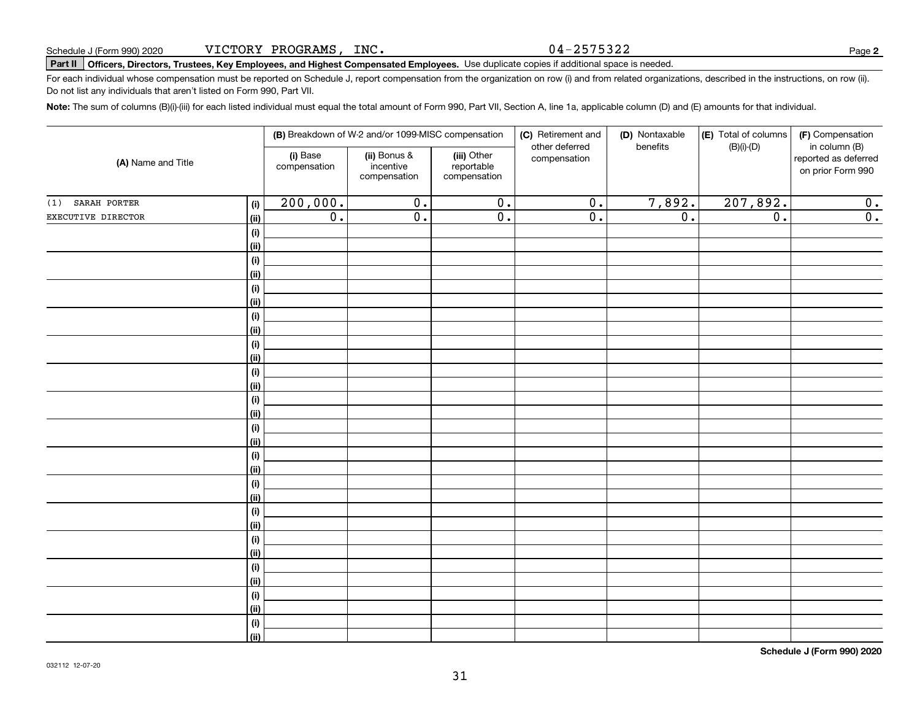04-2575322

**2**

# **Part II Officers, Directors, Trustees, Key Employees, and Highest Compensated Employees.**  Schedule J (Form 990) 2020 Page Use duplicate copies if additional space is needed.

For each individual whose compensation must be reported on Schedule J, report compensation from the organization on row (i) and from related organizations, described in the instructions, on row (ii). Do not list any individuals that aren't listed on Form 990, Part VII.

**Note:**  The sum of columns (B)(i)-(iii) for each listed individual must equal the total amount of Form 990, Part VII, Section A, line 1a, applicable column (D) and (E) amounts for that individual.

|                     |                    | (B) Breakdown of W-2 and/or 1099-MISC compensation |                                           |                                           | (C) Retirement and<br>other deferred | (D) Nontaxable<br>benefits | (E) Total of columns<br>$(B)(i)-(D)$ | (F) Compensation<br>in column (B)         |
|---------------------|--------------------|----------------------------------------------------|-------------------------------------------|-------------------------------------------|--------------------------------------|----------------------------|--------------------------------------|-------------------------------------------|
| (A) Name and Title  |                    | (i) Base<br>compensation                           | (ii) Bonus &<br>incentive<br>compensation | (iii) Other<br>reportable<br>compensation | compensation                         |                            |                                      | reported as deferred<br>on prior Form 990 |
| SARAH PORTER<br>(1) | (i)                | 200,000.                                           | $\overline{0}$ .                          | $\overline{0}$ .                          | $\overline{0}$ .                     | 7,892.                     | 207,892.                             | 0.                                        |
| EXECUTIVE DIRECTOR  | <u>(ii)</u>        | $\overline{0}$ .                                   | $\overline{0}$ .                          | $\overline{0}$ .                          | $\overline{0}$ .                     | $\overline{0}$ .           | $\overline{0}$ .                     | $\overline{0}$ .                          |
|                     | (i)                |                                                    |                                           |                                           |                                      |                            |                                      |                                           |
|                     | <u>(ii)</u>        |                                                    |                                           |                                           |                                      |                            |                                      |                                           |
|                     | (i)                |                                                    |                                           |                                           |                                      |                            |                                      |                                           |
|                     | <u>(ii)</u>        |                                                    |                                           |                                           |                                      |                            |                                      |                                           |
|                     | (i)                |                                                    |                                           |                                           |                                      |                            |                                      |                                           |
|                     | (ii)               |                                                    |                                           |                                           |                                      |                            |                                      |                                           |
|                     | $(\sf{i})$         |                                                    |                                           |                                           |                                      |                            |                                      |                                           |
|                     | (ii)               |                                                    |                                           |                                           |                                      |                            |                                      |                                           |
|                     | $(\sf{i})$<br>(ii) |                                                    |                                           |                                           |                                      |                            |                                      |                                           |
|                     | $(\sf{i})$         |                                                    |                                           |                                           |                                      |                            |                                      |                                           |
|                     | <u>(ii)</u>        |                                                    |                                           |                                           |                                      |                            |                                      |                                           |
|                     | $(\sf{i})$         |                                                    |                                           |                                           |                                      |                            |                                      |                                           |
|                     | <u>(ii)</u>        |                                                    |                                           |                                           |                                      |                            |                                      |                                           |
|                     | $(\sf{i})$         |                                                    |                                           |                                           |                                      |                            |                                      |                                           |
|                     | <u>(ii)</u>        |                                                    |                                           |                                           |                                      |                            |                                      |                                           |
|                     | (i)                |                                                    |                                           |                                           |                                      |                            |                                      |                                           |
|                     | (ii)               |                                                    |                                           |                                           |                                      |                            |                                      |                                           |
|                     | (i)                |                                                    |                                           |                                           |                                      |                            |                                      |                                           |
|                     | (ii)               |                                                    |                                           |                                           |                                      |                            |                                      |                                           |
|                     | (i)                |                                                    |                                           |                                           |                                      |                            |                                      |                                           |
|                     | <u>(ii)</u>        |                                                    |                                           |                                           |                                      |                            |                                      |                                           |
|                     | (i)                |                                                    |                                           |                                           |                                      |                            |                                      |                                           |
|                     | (ii)               |                                                    |                                           |                                           |                                      |                            |                                      |                                           |
|                     | (i)<br>(ii)        |                                                    |                                           |                                           |                                      |                            |                                      |                                           |
|                     | (i)                |                                                    |                                           |                                           |                                      |                            |                                      |                                           |
|                     | <u>(ii)</u>        |                                                    |                                           |                                           |                                      |                            |                                      |                                           |
|                     | (i)                |                                                    |                                           |                                           |                                      |                            |                                      |                                           |
|                     | $\overline{}}$     |                                                    |                                           |                                           |                                      |                            |                                      |                                           |
|                     |                    |                                                    |                                           |                                           |                                      |                            |                                      |                                           |

**Schedule J (Form 990) 2020**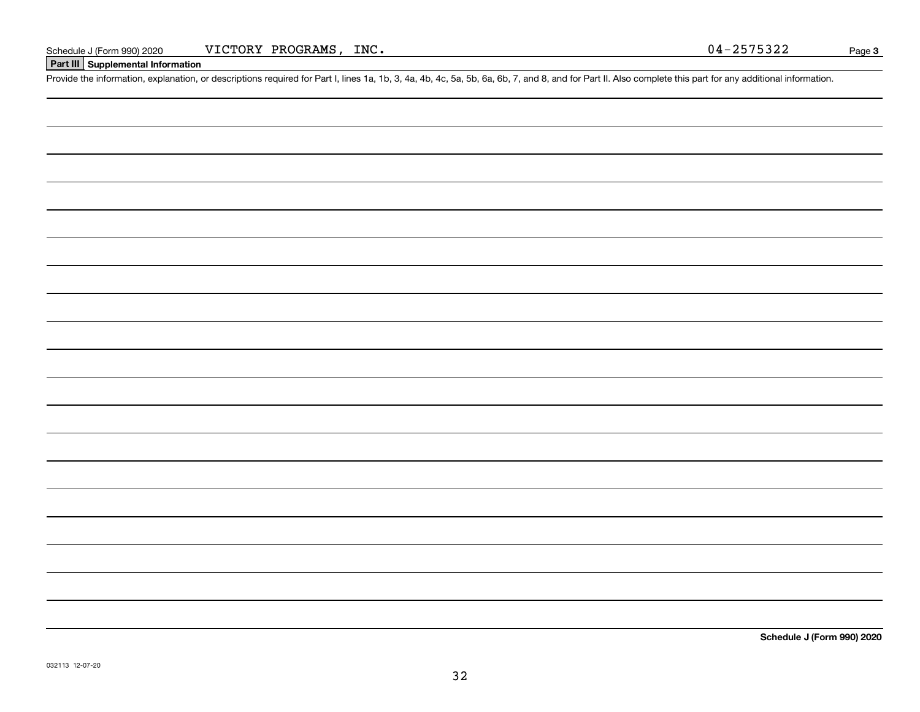#### **Part III Supplemental Information**

Schedule J (Form 990) 2020 VICTORY PROGRAMS, INC.<br>Part III Supplemental Information<br>Provide the information, explanation, or descriptions required for Part I, lines 1a, 1b, 3, 4a, 4b, 4c, 5a, 5b, 6a, 6b, 7, and 8, and for

**Schedule J (Form 990) 2020**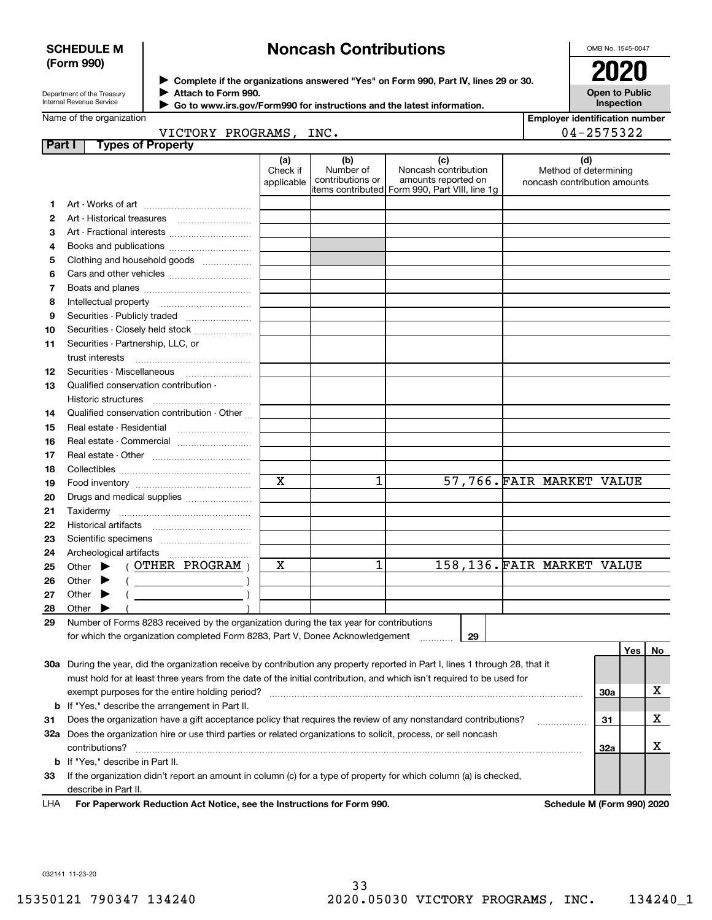#### **SCHEDULE M (Form 990)**

# **Noncash Contributions**

OMB No. 1545-0047

| Department of the Treasury |
|----------------------------|
| Internal Revenue Service   |

**Complete if the organizations answered "Yes" on Form 990, Part IV, lines 29 or 30.** <sup>J</sup>**2020 Attach to Form 990.** J

 $\blacktriangleright$ 

 **Go to www.irs.gov/Form990 for instructions and the latest information.**

| 0                            |
|------------------------------|
| Open to Public<br>Inspection |

| Name of the organization |  |
|--------------------------|--|

|  | <b>Employer identification number</b> |
|--|---------------------------------------|
|  | 04-2575322                            |

|         | VICTORY PROGRAMS, INC. |  |
|---------|------------------------|--|
| onertv: |                        |  |

| Part I | <b>Types of Property</b>                                                                                                                                                                                                                             |                               |                                      |                                                                                                      |                                                              |     |     |    |
|--------|------------------------------------------------------------------------------------------------------------------------------------------------------------------------------------------------------------------------------------------------------|-------------------------------|--------------------------------------|------------------------------------------------------------------------------------------------------|--------------------------------------------------------------|-----|-----|----|
|        |                                                                                                                                                                                                                                                      | (a)<br>Check if<br>applicable | (b)<br>Number of<br>contributions or | (c)<br>Noncash contribution<br>amounts reported on<br>items contributed Form 990, Part VIII, line 1g | (d)<br>Method of determining<br>noncash contribution amounts |     |     |    |
| 1      |                                                                                                                                                                                                                                                      |                               |                                      |                                                                                                      |                                                              |     |     |    |
| 2      |                                                                                                                                                                                                                                                      |                               |                                      |                                                                                                      |                                                              |     |     |    |
| 3      | Art - Fractional interests                                                                                                                                                                                                                           |                               |                                      |                                                                                                      |                                                              |     |     |    |
| 4      |                                                                                                                                                                                                                                                      |                               |                                      |                                                                                                      |                                                              |     |     |    |
| 5      | Clothing and household goods                                                                                                                                                                                                                         |                               |                                      |                                                                                                      |                                                              |     |     |    |
| 6      |                                                                                                                                                                                                                                                      |                               |                                      |                                                                                                      |                                                              |     |     |    |
| 7      |                                                                                                                                                                                                                                                      |                               |                                      |                                                                                                      |                                                              |     |     |    |
| 8      |                                                                                                                                                                                                                                                      |                               |                                      |                                                                                                      |                                                              |     |     |    |
| 9      |                                                                                                                                                                                                                                                      |                               |                                      |                                                                                                      |                                                              |     |     |    |
| 10     | Securities - Closely held stock                                                                                                                                                                                                                      |                               |                                      |                                                                                                      |                                                              |     |     |    |
| 11     | Securities - Partnership, LLC, or                                                                                                                                                                                                                    |                               |                                      |                                                                                                      |                                                              |     |     |    |
|        | trust interests                                                                                                                                                                                                                                      |                               |                                      |                                                                                                      |                                                              |     |     |    |
| 12     | Securities - Miscellaneous                                                                                                                                                                                                                           |                               |                                      |                                                                                                      |                                                              |     |     |    |
| 13     | Qualified conservation contribution -                                                                                                                                                                                                                |                               |                                      |                                                                                                      |                                                              |     |     |    |
|        | Historic structures                                                                                                                                                                                                                                  |                               |                                      |                                                                                                      |                                                              |     |     |    |
| 14     | Qualified conservation contribution - Other                                                                                                                                                                                                          |                               |                                      |                                                                                                      |                                                              |     |     |    |
| 15     | Real estate - Residential                                                                                                                                                                                                                            |                               |                                      |                                                                                                      |                                                              |     |     |    |
| 16     | Real estate - Commercial                                                                                                                                                                                                                             |                               |                                      |                                                                                                      |                                                              |     |     |    |
| 17     |                                                                                                                                                                                                                                                      |                               |                                      |                                                                                                      |                                                              |     |     |    |
| 18     |                                                                                                                                                                                                                                                      |                               |                                      |                                                                                                      |                                                              |     |     |    |
| 19     |                                                                                                                                                                                                                                                      | $\mathbf X$                   | 1                                    |                                                                                                      | 57,766. FAIR MARKET VALUE                                    |     |     |    |
| 20     | Drugs and medical supplies                                                                                                                                                                                                                           |                               |                                      |                                                                                                      |                                                              |     |     |    |
| 21     |                                                                                                                                                                                                                                                      |                               |                                      |                                                                                                      |                                                              |     |     |    |
| 22     |                                                                                                                                                                                                                                                      |                               |                                      |                                                                                                      |                                                              |     |     |    |
| 23     |                                                                                                                                                                                                                                                      |                               |                                      |                                                                                                      |                                                              |     |     |    |
| 24     |                                                                                                                                                                                                                                                      |                               |                                      |                                                                                                      |                                                              |     |     |    |
| 25     | $($ OTHER PROGRAM $)$<br>Other $\blacktriangleright$                                                                                                                                                                                                 | $\mathbf X$                   | $\overline{1}$                       |                                                                                                      | 158,136. FAIR MARKET VALUE                                   |     |     |    |
| 26     | Other $\blacktriangleright$                                                                                                                                                                                                                          |                               |                                      |                                                                                                      |                                                              |     |     |    |
| 27     | Other $\blacktriangleright$                                                                                                                                                                                                                          |                               |                                      |                                                                                                      |                                                              |     |     |    |
| 28     | Other $\blacktriangleright$                                                                                                                                                                                                                          |                               |                                      |                                                                                                      |                                                              |     |     |    |
| 29     | Number of Forms 8283 received by the organization during the tax year for contributions                                                                                                                                                              |                               |                                      |                                                                                                      |                                                              |     |     |    |
|        | for which the organization completed Form 8283, Part V, Donee Acknowledgement                                                                                                                                                                        |                               |                                      | 29<br>.                                                                                              |                                                              |     |     |    |
|        |                                                                                                                                                                                                                                                      |                               |                                      |                                                                                                      |                                                              |     | Yes | No |
|        | 30a During the year, did the organization receive by contribution any property reported in Part I, lines 1 through 28, that it                                                                                                                       |                               |                                      |                                                                                                      |                                                              |     |     |    |
|        | must hold for at least three years from the date of the initial contribution, and which isn't required to be used for                                                                                                                                |                               |                                      |                                                                                                      |                                                              |     |     |    |
|        | exempt purposes for the entire holding period?<br>30a                                                                                                                                                                                                |                               |                                      |                                                                                                      |                                                              |     |     | х  |
|        | <b>b</b> If "Yes," describe the arrangement in Part II.                                                                                                                                                                                              |                               |                                      |                                                                                                      |                                                              |     |     |    |
|        | Does the organization have a gift acceptance policy that requires the review of any nonstandard contributions?<br>31<br>31<br>.<br>32a Does the organization hire or use third parties or related organizations to solicit, process, or sell noncash |                               |                                      |                                                                                                      |                                                              |     |     | X  |
|        |                                                                                                                                                                                                                                                      |                               |                                      |                                                                                                      |                                                              |     |     | x  |
|        | contributions?                                                                                                                                                                                                                                       |                               |                                      |                                                                                                      |                                                              | 32a |     |    |
|        | <b>b</b> If "Yes," describe in Part II.<br>If the organization didn't report an amount in column (c) for a type of property for which column (a) is checked,                                                                                         |                               |                                      |                                                                                                      |                                                              |     |     |    |
| 33     |                                                                                                                                                                                                                                                      |                               |                                      |                                                                                                      |                                                              |     |     |    |
|        | describe in Part II.                                                                                                                                                                                                                                 |                               |                                      |                                                                                                      |                                                              |     |     |    |

For Paperwork Reduction Act Notice, see the Instructions for Form 990. Schedule M (Form 990) 2020 LHA

032141 11-23-20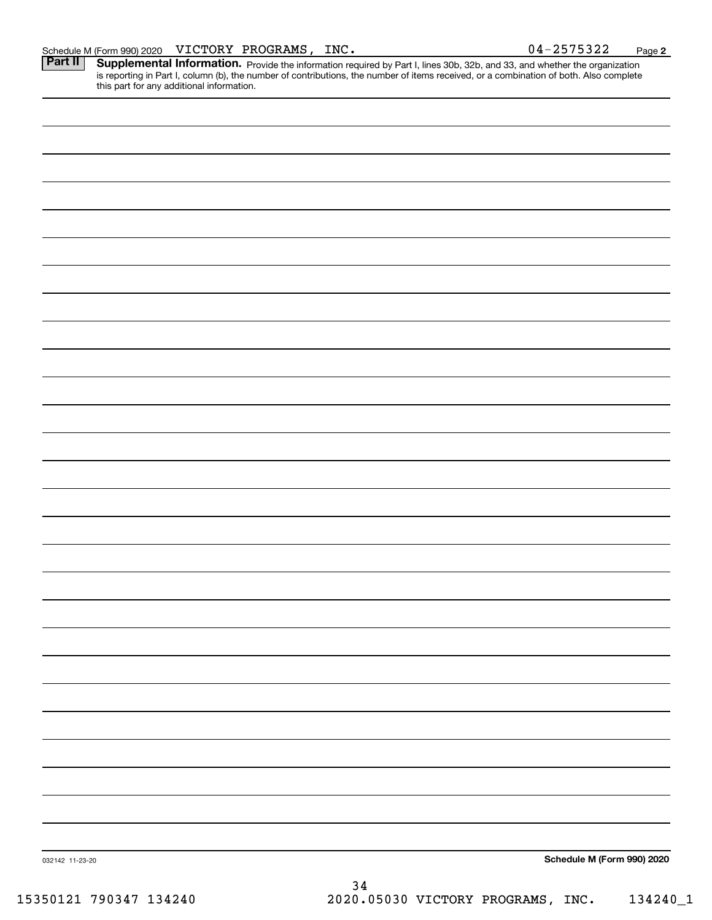**2**

| Part II   Supplemental Information. Provide the information required by Part I, lines 30b, 32b, and 33, and whether the organization   |
|----------------------------------------------------------------------------------------------------------------------------------------|
| is reporting in Part I, column (b), the number of contributions, the number of items received, or a combination of both. Also complete |
| this part for any additional information.                                                                                              |

| 032142 11-23-20 | Schedule M (Form 990) 2020 |
|-----------------|----------------------------|
|                 |                            |
|                 |                            |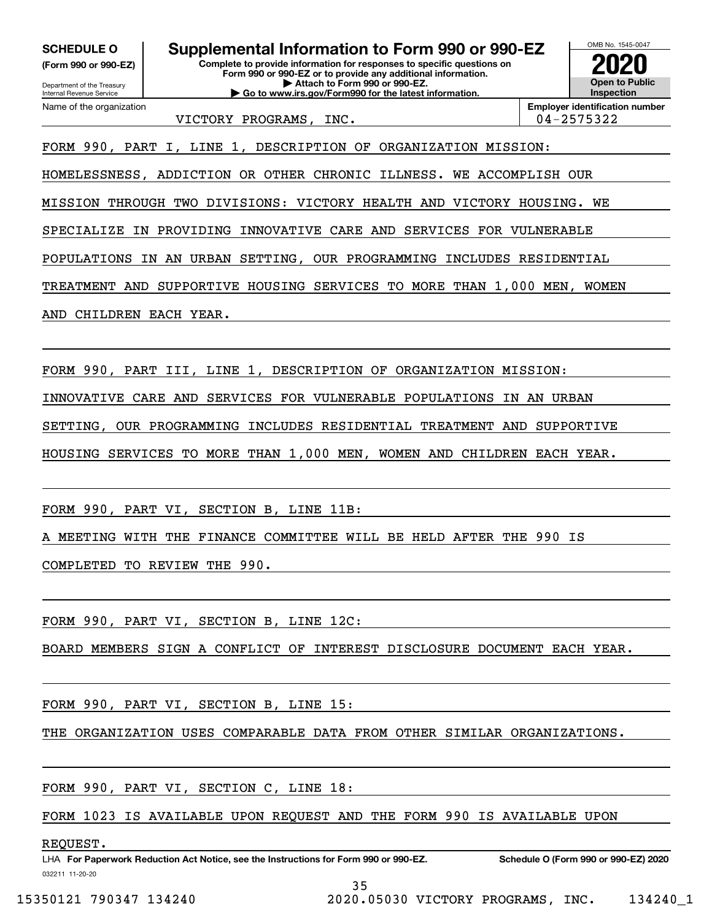**(Form 990 or 990-EZ)**

Department of the Treasury Internal Revenue Service Name of the organization

**Complete to provide information for responses to specific questions on Form 990 or 990-EZ or to provide any additional information. SCHEDULE O Supplemental Information to Form 990 or 990-EZ**

**| Attach to Form 990 or 990-EZ. | Go to www.irs.gov/Form990 for the latest information.**

**Open to Public InspectionEmployer identification number 2020**

OMB No. 1545-0047

VICTORY PROGRAMS, INC. 104-2575322

FORM 990, PART I, LINE 1, DESCRIPTION OF ORGANIZATION MISSION:

HOMELESSNESS, ADDICTION OR OTHER CHRONIC ILLNESS. WE ACCOMPLISH OUR

MISSION THROUGH TWO DIVISIONS: VICTORY HEALTH AND VICTORY HOUSING. WE

SPECIALIZE IN PROVIDING INNOVATIVE CARE AND SERVICES FOR VULNERABLE

POPULATIONS IN AN URBAN SETTING, OUR PROGRAMMING INCLUDES RESIDENTIAL

TREATMENT AND SUPPORTIVE HOUSING SERVICES TO MORE THAN 1,000 MEN, WOMEN

AND CHILDREN EACH YEAR.

FORM 990, PART III, LINE 1, DESCRIPTION OF ORGANIZATION MISSION:

INNOVATIVE CARE AND SERVICES FOR VULNERABLE POPULATIONS IN AN URBAN

SETTING, OUR PROGRAMMING INCLUDES RESIDENTIAL TREATMENT AND SUPPORTIVE

HOUSING SERVICES TO MORE THAN 1,000 MEN, WOMEN AND CHILDREN EACH YEAR.

FORM 990, PART VI, SECTION B, LINE 11B:

A MEETING WITH THE FINANCE COMMITTEE WILL BE HELD AFTER THE 990 IS

COMPLETED TO REVIEW THE 990.

FORM 990, PART VI, SECTION B, LINE 12C:

BOARD MEMBERS SIGN A CONFLICT OF INTEREST DISCLOSURE DOCUMENT EACH YEAR.

FORM 990, PART VI, SECTION B, LINE 15:

THE ORGANIZATION USES COMPARABLE DATA FROM OTHER SIMILAR ORGANIZATIONS.

FORM 990, PART VI, SECTION C, LINE 18:

FORM 1023 IS AVAILABLE UPON REQUEST AND THE FORM 990 IS AVAILABLE UPON

REQUEST.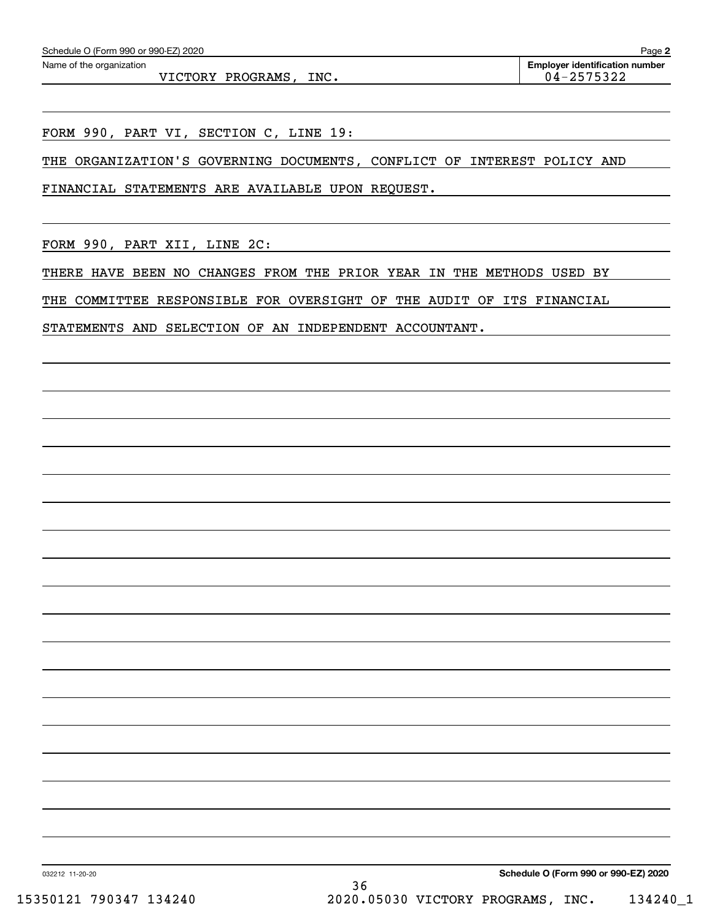| Schedule O (Form 990 or 990-EZ) 2020 |
|--------------------------------------|
|--------------------------------------|

FORM 990, PART VI, SECTION C, LINE 19:

THE ORGANIZATION'S GOVERNING DOCUMENTS, CONFLICT OF INTEREST POLICY AND

FINANCIAL STATEMENTS ARE AVAILABLE UPON REQUEST.

FORM 990, PART XII, LINE 2C:

THERE HAVE BEEN NO CHANGES FROM THE PRIOR YEAR IN THE METHODS USED BY

THE COMMITTEE RESPONSIBLE FOR OVERSIGHT OF THE AUDIT OF ITS FINANCIAL

STATEMENTS AND SELECTION OF AN INDEPENDENT ACCOUNTANT.

**Schedule O (Form 990 or 990-EZ) 2020**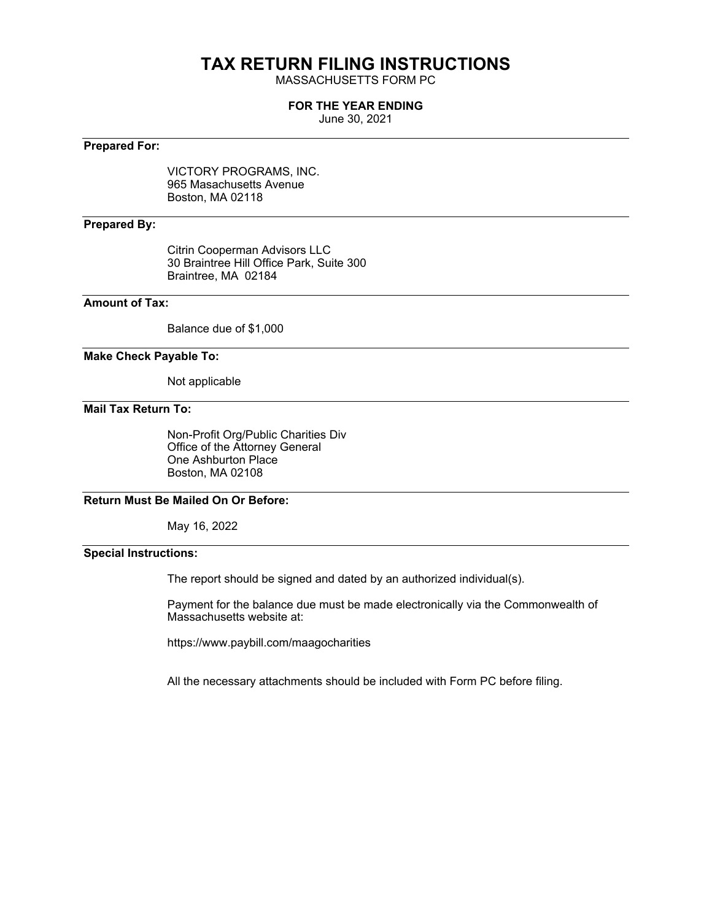# **TAX RETURN FILING INSTRUCTIONS**

MASSACHUSETTS FORM PC

#### **FOR THE YEAR ENDING**

June 30, 2021

# **Prepared For:**

VICTORY PROGRAMS, INC. 965 Masachusetts Avenue Boston, MA 02118

### **Prepared By:**

Citrin Cooperman Advisors LLC 30 Braintree Hill Office Park, Suite 300 Braintree, MA 02184

# **Amount of Tax:**

Balance due of \$1,000

#### **Make Check Payable To:**

Not applicable

#### **Mail Tax Return To:**

Non-Profit Org/Public Charities Div Office of the Attorney General One Ashburton Place Boston, MA 02108

# **Return Must Be Mailed On Or Before:**

May 16, 2022

## **Special Instructions:**

The report should be signed and dated by an authorized individual(s).

Payment for the balance due must be made electronically via the Commonwealth of Massachusetts website at:

https://www.paybill.com/maagocharities

All the necessary attachments should be included with Form PC before filing.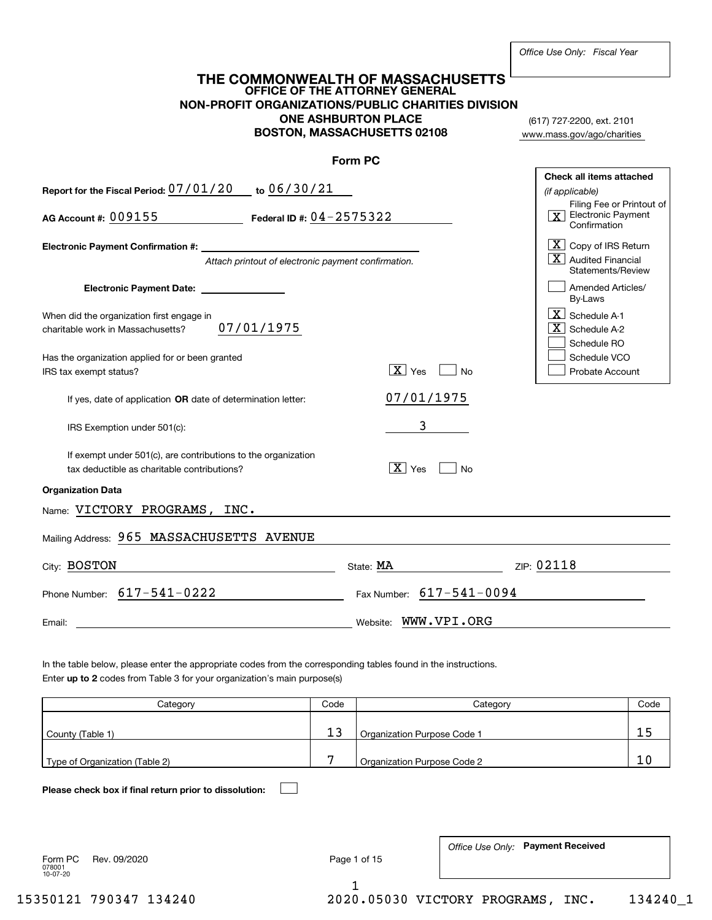|                                                                                                                                                                                                                                                       | <b>ONE ASHBURTON PLACE</b>                              | <b>BOSTON, MASSACHUSETTS 02108</b>  | (617) 727-2200, ext. 2101<br>www.mass.gov/ago/charities  |
|-------------------------------------------------------------------------------------------------------------------------------------------------------------------------------------------------------------------------------------------------------|---------------------------------------------------------|-------------------------------------|----------------------------------------------------------|
|                                                                                                                                                                                                                                                       |                                                         | Form PC                             |                                                          |
|                                                                                                                                                                                                                                                       |                                                         |                                     | Check all items attached                                 |
| Report for the Fiscal Period: 07/01/20 to 06/30/21                                                                                                                                                                                                    |                                                         |                                     | (if applicable)<br>Filing Fee or Printout of             |
| AG Account #: 009155 Federal ID #: 04-2575322                                                                                                                                                                                                         | $\boxed{\mathbf{X}}$ Electronic Payment<br>Confirmation |                                     |                                                          |
| Electronic Payment Confirmation #:                                                                                                                                                                                                                    |                                                         |                                     | $X$ Copy of IRS Return                                   |
| Attach printout of electronic payment confirmation.                                                                                                                                                                                                   |                                                         |                                     | $\mid$ $X$ $\mid$ Audited Financial<br>Statements/Review |
| <b>Electronic Payment Date:</b>                                                                                                                                                                                                                       |                                                         |                                     | <b>Amended Articles/</b><br>By-Laws                      |
| When did the organization first engage in                                                                                                                                                                                                             |                                                         |                                     | $X$ Schedule A-1                                         |
| 07/01/1975<br>charitable work in Massachusetts?                                                                                                                                                                                                       |                                                         |                                     | $\overline{X}$ Schedule A-2                              |
| Has the organization applied for or been granted                                                                                                                                                                                                      |                                                         |                                     | Schedule RO<br>Schedule VCO                              |
| IRS tax exempt status?                                                                                                                                                                                                                                |                                                         | $\boxed{\text{X}}$ Yes<br>l No      | Probate Account                                          |
| If yes, date of application OR date of determination letter:                                                                                                                                                                                          |                                                         | 07/01/1975                          |                                                          |
| IRS Exemption under 501(c):                                                                                                                                                                                                                           |                                                         | 3                                   |                                                          |
| If exempt under 501(c), are contributions to the organization<br>tax deductible as charitable contributions?                                                                                                                                          |                                                         | $\boxed{\text{X}}$ Yes<br><b>No</b> |                                                          |
| <b>Organization Data</b>                                                                                                                                                                                                                              |                                                         |                                     |                                                          |
| Name: VICTORY PROGRAMS, INC.                                                                                                                                                                                                                          |                                                         |                                     |                                                          |
|                                                                                                                                                                                                                                                       |                                                         |                                     |                                                          |
|                                                                                                                                                                                                                                                       |                                                         |                                     |                                                          |
|                                                                                                                                                                                                                                                       |                                                         |                                     |                                                          |
|                                                                                                                                                                                                                                                       |                                                         | State: MA                           | ZIP: 02118                                               |
|                                                                                                                                                                                                                                                       |                                                         | Fax Number: 617-541-0094            |                                                          |
| Mailing Address: 965 MASSACHUSETTS AVENUE<br>City: BOSTON<br>Phone Number: $617 - 541 - 0222$<br>Email:                                                                                                                                               |                                                         | Website: WWW.VPI.ORG                |                                                          |
|                                                                                                                                                                                                                                                       |                                                         |                                     |                                                          |
|                                                                                                                                                                                                                                                       |                                                         |                                     |                                                          |
|                                                                                                                                                                                                                                                       |                                                         |                                     |                                                          |
| Category                                                                                                                                                                                                                                              | Code                                                    | Category                            | Code                                                     |
| County (Table 1)                                                                                                                                                                                                                                      | 13                                                      | Organization Purpose Code 1         | 15                                                       |
| Type of Organization (Table 2)                                                                                                                                                                                                                        | 7                                                       | Organization Purpose Code 2         | 10                                                       |
| In the table below, please enter the appropriate codes from the corresponding tables found in the instructions.<br>Enter up to 2 codes from Table 3 for your organization's main purpose(s)<br>Please check box if final return prior to dissolution: |                                                         |                                     |                                                          |
|                                                                                                                                                                                                                                                       |                                                         |                                     | Office Use Only: Payment Received                        |

**THE COMMONWEALTH OF MASSACHUSETTS**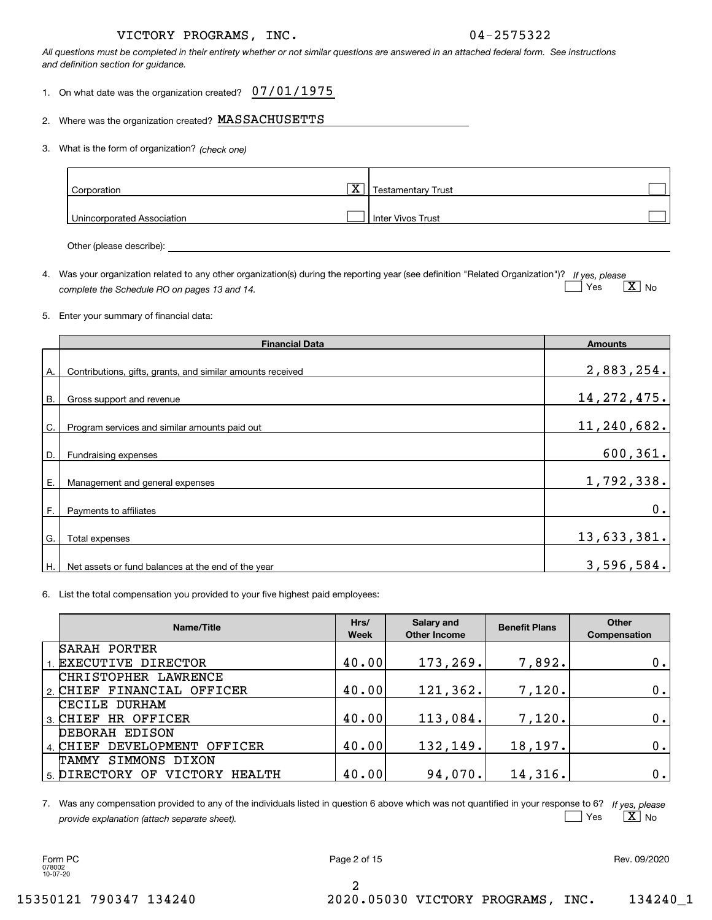*All questions must be completed in their entirety whether or not similar questions are answered in an attached federal form. See instructions and definition section for guidance.*

1. On what date was the organization created?  $\,$   $\,07$  /  $01$  /  $1975$ 

#### 2.Where was the organization created?  $\, {\rm MASSACHUSETTS}$

#### *(check one)* 3. What is the form of organization?

| $\overline{\mathbf{X}}$<br>Corporation | <b>Testamentary Trust</b> |
|----------------------------------------|---------------------------|
|                                        |                           |
| Unincorporated Association             | Inter Vivos Trust         |
|                                        |                           |

Other (please describe):

4. Was your organization related to any other organization(s) during the reporting year (see definition "Related Organization")? If yes, please *complete the Schedule RO on pages 13 and 14.* Yes X es <u>| X |</u> No

#### 5. Enter your summary of financial data:

|           | <b>Financial Data</b>                                      | <b>Amounts</b> |
|-----------|------------------------------------------------------------|----------------|
| А.        | Contributions, gifts, grants, and similar amounts received | 2,883,254.     |
| <b>B.</b> | Gross support and revenue                                  | 14, 272, 475.  |
| C.        | Program services and similar amounts paid out              | 11,240,682.    |
| D.        | Fundraising expenses                                       | 600, 361.      |
| Е.        | Management and general expenses                            | 1,792,338.     |
| F.        | Payments to affiliates                                     | 0.             |
| G.        | Total expenses                                             | 13,633,381.    |
| Η.        | Net assets or fund balances at the end of the year         | 3,596,584.     |

6. List the total compensation you provided to your five highest paid employees:

| Name/Title                           | Hrs/<br><b>Week</b> | Salary and<br><b>Other Income</b> | <b>Benefit Plans</b> | Other<br><b>Compensation</b> |
|--------------------------------------|---------------------|-----------------------------------|----------------------|------------------------------|
| SARAH PORTER                         |                     |                                   |                      |                              |
| <b>EXECUTIVE DIRECTOR</b>            | 40.00               | 173, 269.                         | 7,892.               | 0.1                          |
| CHRISTOPHER LAWRENCE                 |                     |                                   |                      |                              |
| 2. CHIEF FINANCIAL OFFICER           | 40.00               | 121, 362.                         | 7,120.               | 0.1                          |
| <b>CECILE DURHAM</b>                 |                     |                                   |                      |                              |
| HR OFFICER<br>3. CHIEF               | 40.00               | 113,084.                          | 7,120.               | 0.1                          |
| DEBORAH EDISON                       |                     |                                   |                      |                              |
| DEVELOPMENT<br>OFFICER<br>4. CHIEF   | 40.00               | 132, 149.                         | 18,197.              | 0.1                          |
| SIMMONS DIXON<br><b>TAMMY</b>        |                     |                                   |                      |                              |
| 5. DIRECTORY OF<br>VICTORY<br>HEALTH | 40.00               | 94,070.                           | 14,316.              | 0.1                          |

*If yes, please* 7. Was any compensation provided to any of the individuals listed in question 6 above which was not quantified in your response to 6? *provide explanation (attach separate sheet).*  $Yes$   $\boxed{X}$ es  $\mid$   $\rm X\mid$  No

078002 10-07-20

2

Form PC Page 2 of 15 Rev. 09/2020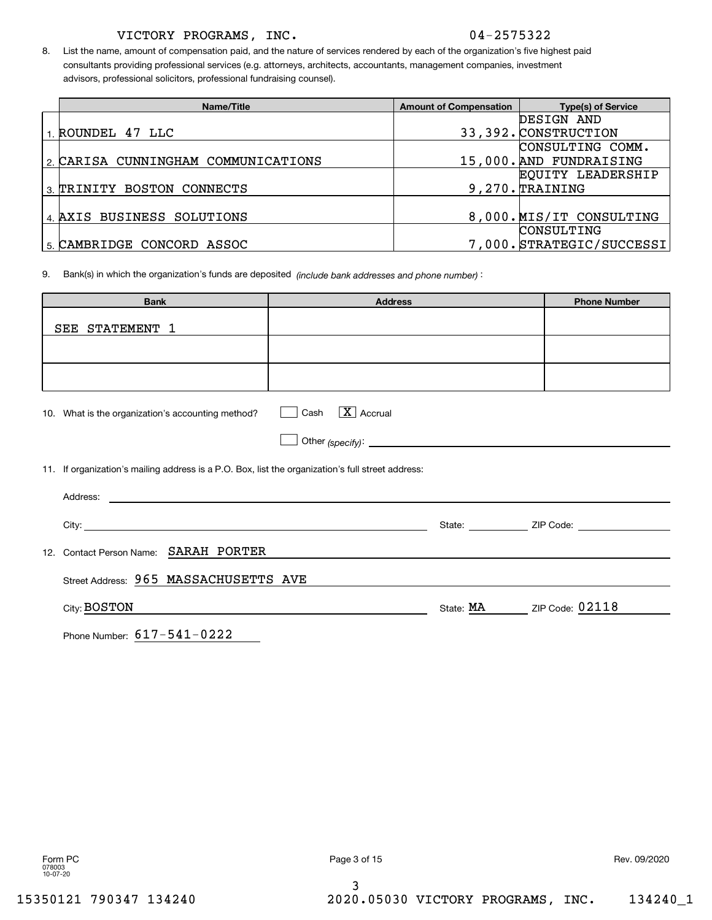8. List the name, amount of compensation paid, and the nature of services rendered by each of the organization's five highest paid consultants providing professional services (e.g. attorneys, architects, accountants, management companies, investment advisors, professional solicitors, professional fundraising counsel).

| Name/Title                         | <b>Amount of Compensation</b> | <b>Type(s) of Service</b> |
|------------------------------------|-------------------------------|---------------------------|
|                                    |                               | DESIGN AND                |
| ROUNDEL 47 LLC                     |                               | 33, 392. CONSTRUCTION     |
|                                    |                               | CONSULTING COMM.          |
| 2 CARISA CUNNINGHAM COMMUNICATIONS |                               | 15,000. AND FUNDRAISING   |
|                                    |                               | <b>EQUITY LEADERSHIP</b>  |
| 3. TRINITY BOSTON CONNECTS         |                               | 9,270. TRAINING           |
|                                    |                               |                           |
| 4 AXIS BUSINESS SOLUTIONS          |                               | 8,000. MIS/IT CONSULTING  |
|                                    |                               | CONSULTING                |
| 5. CAMBRIDGE CONCORD ASSOC         |                               | 7,000. STRATEGIC/SUCCESSI |

). Bank(s) in which the organization's funds are deposited *(include bank addresses and phone number)* 9.

| <b>Bank</b>                                                                                       | <b>Address</b>                     |                           | <b>Phone Number</b> |  |
|---------------------------------------------------------------------------------------------------|------------------------------------|---------------------------|---------------------|--|
| SEE STATEMENT 1                                                                                   |                                    |                           |                     |  |
|                                                                                                   |                                    |                           |                     |  |
|                                                                                                   |                                    |                           |                     |  |
| 10. What is the organization's accounting method?                                                 | $\boxed{\text{X}}$ Accrual<br>Cash |                           |                     |  |
|                                                                                                   |                                    |                           |                     |  |
| 11. If organization's mailing address is a P.O. Box, list the organization's full street address: |                                    |                           |                     |  |
|                                                                                                   |                                    |                           |                     |  |
|                                                                                                   |                                    |                           |                     |  |
| 12. Contact Person Name: SARAH PORTER                                                             |                                    |                           |                     |  |
| Street Address: 965 MASSACHUSETTS AVE                                                             |                                    |                           |                     |  |
| City: BOSTON                                                                                      |                                    | State: MA ZIP Code: 02118 |                     |  |
|                                                                                                   |                                    |                           |                     |  |

Phone Number: 617-541-0222

3

Form PC Page 3 of 15 Rev. 09/2020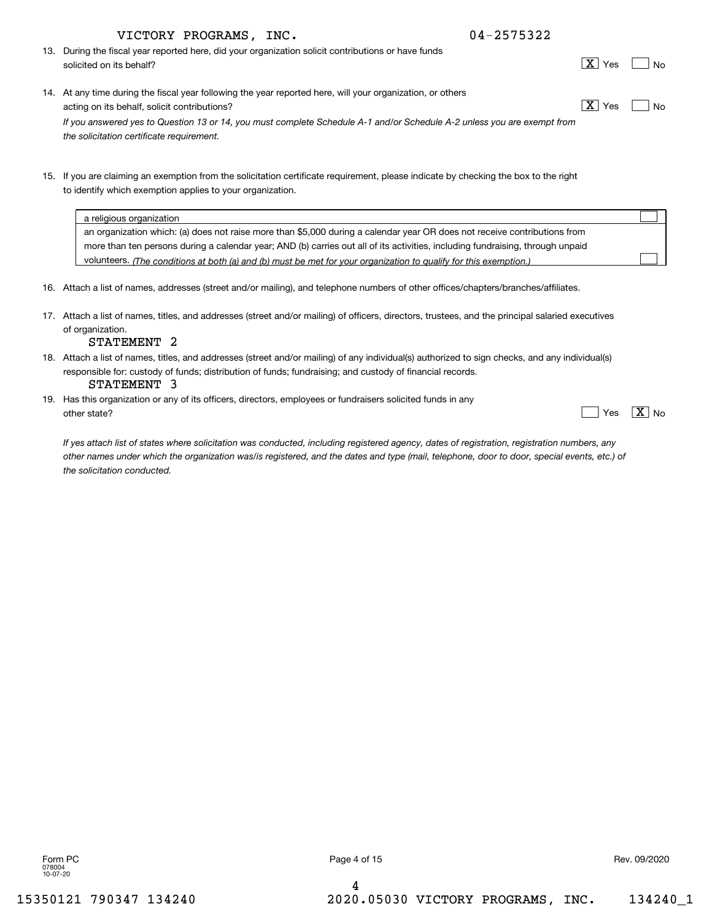- 13. During the fiscal year reported here, did your organization solicit contributions or have funds solicited on its behalf?
- 14. At any time during the fiscal year following the year reported here, will your organization, or others acting on its behalf, solicit contributions?  $X$  Yes No *If you answered yes to Question 13 or 14, you must complete Schedule A-1 and/or Schedule A-2 unless you are exempt from*
	- *the solicitation certificate requirement.*
- 15. If you are claiming an exemption from the solicitation certificate requirement, please indicate by checking the box to the right to identify which exemption applies to your organization.

| a religious organization                                                                                                       |  |
|--------------------------------------------------------------------------------------------------------------------------------|--|
| an organization which: (a) does not raise more than \$5,000 during a calendar year OR does not receive contributions from      |  |
| more than ten persons during a calendar year; AND (b) carries out all of its activities, including fundraising, through unpaid |  |
| volunteers. (The conditions at both (a) and (b) must be met for your organization to qualify for this exemption.)              |  |

- 16. Attach a list of names, addresses (street and/or mailing), and telephone numbers of other offices/chapters/branches/affiliates.
- 17. Attach a list of names, titles, and addresses (street and/or mailing) of officers, directors, trustees, and the principal salaried executives of organization.

#### STATEMENT 2

- 18. Attach a list of names, titles, and addresses (street and/or mailing) of any individual(s) authorized to sign checks, and any individual(s) responsible for: custody of funds; distribution of funds; fundraising; and custody of financial records. STATEMENT 3
- 19. Has this organization or any of its officers, directors, employees or fundraisers solicited funds in any other state?  $\Box$  Yes  $\Box$  No

*If yes attach list of states where solicitation was conducted, including registered agency, dates of registration, registration numbers, any other names under which the organization was/is registered, and the dates and type (mail, telephone, door to door, special events, etc.) of the solicitation conducted.*

| 2575322 |  |  |  |  |
|---------|--|--|--|--|
|         |  |  |  |  |

 $X$  Yes

| ı<br>v.n |  |
|----------|--|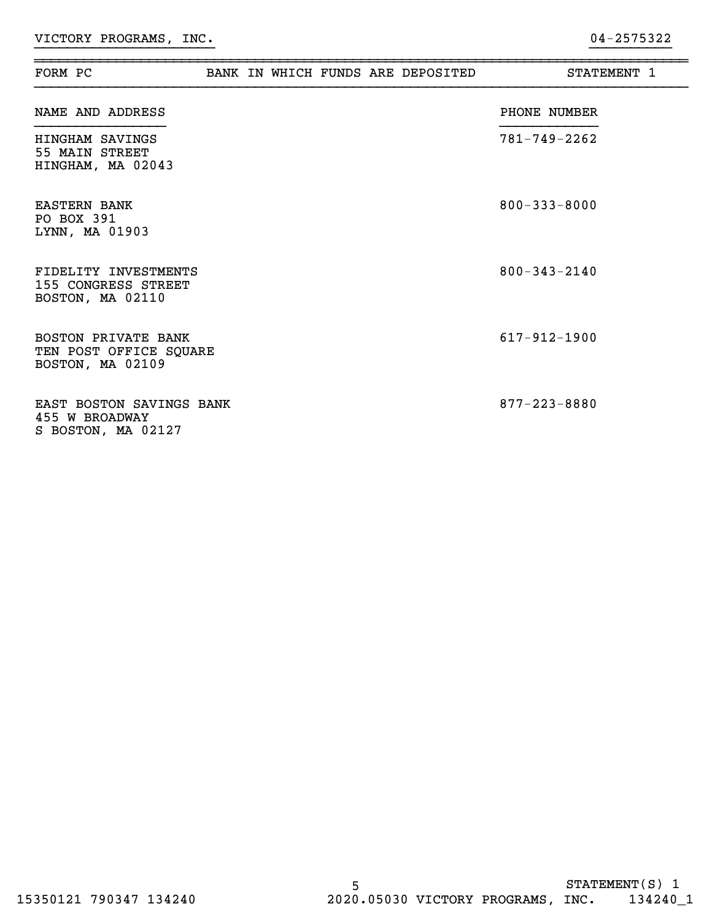| FORM PC                                                           |  |  | BANK IN WHICH FUNDS ARE DEPOSITED | STATEMENT 1        |
|-------------------------------------------------------------------|--|--|-----------------------------------|--------------------|
| NAME AND ADDRESS                                                  |  |  |                                   | PHONE NUMBER       |
| HINGHAM SAVINGS<br>55 MAIN STREET<br>HINGHAM, MA 02043            |  |  |                                   | $781 - 749 - 2262$ |
| <b>EASTERN BANK</b><br>PO BOX 391<br>LYNN, MA 01903               |  |  |                                   | $800 - 333 - 8000$ |
| FIDELITY INVESTMENTS<br>155 CONGRESS STREET<br>BOSTON, MA 02110   |  |  |                                   | $800 - 343 - 2140$ |
| BOSTON PRIVATE BANK<br>TEN POST OFFICE SQUARE<br>BOSTON, MA 02109 |  |  |                                   | $617 - 912 - 1900$ |
| EAST BOSTON SAVINGS BANK<br>455 W BROADWAY<br>S BOSTON, MA 02127  |  |  |                                   | $877 - 223 - 8880$ |

}}}}}}}}}}}}}}}}}}}}}} }}}}}}}}}}

~~~~~~~~~~~~~~~~~~~~~~~~~~~~~~~~~~~~~~~~~~~~~~~~~~~~~~~~~~~~~~~~~~~~~~~~~~~~~~~~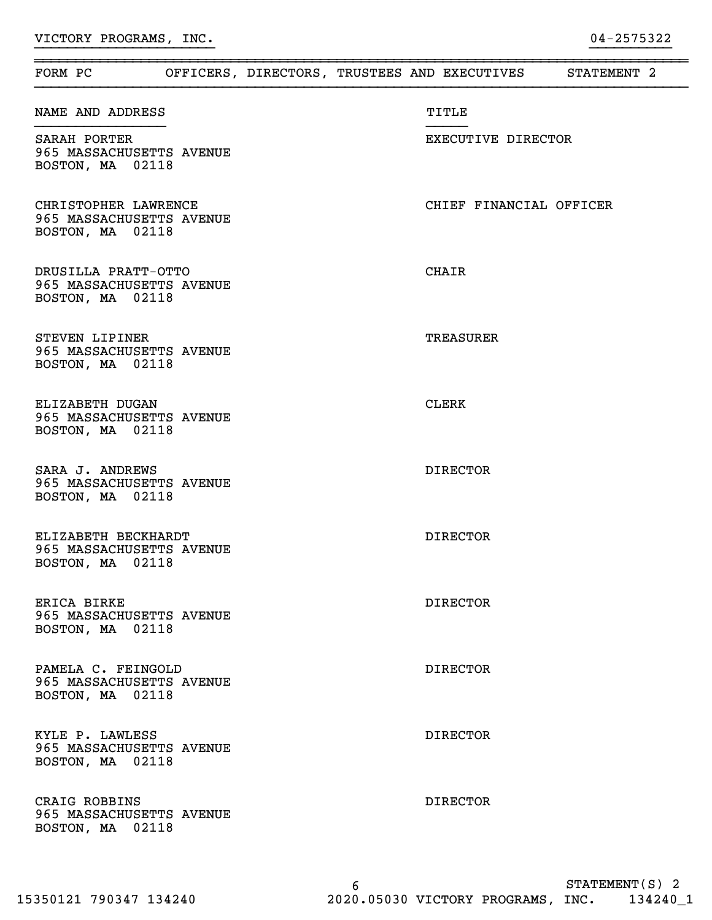| FORM PC                                                              |  | OFFICERS, DIRECTORS, TRUSTEES AND EXECUTIVES | STATEMENT <sub>2</sub> |
|----------------------------------------------------------------------|--|----------------------------------------------|------------------------|
| NAME AND ADDRESS                                                     |  | TITLE                                        |                        |
| SARAH PORTER<br>965 MASSACHUSETTS AVENUE<br>BOSTON, MA 02118         |  | EXECUTIVE DIRECTOR                           |                        |
| CHRISTOPHER LAWRENCE<br>965 MASSACHUSETTS AVENUE<br>BOSTON, MA 02118 |  | CHIEF FINANCIAL OFFICER                      |                        |
| DRUSILLA PRATT-OTTO<br>965 MASSACHUSETTS AVENUE<br>BOSTON, MA 02118  |  | CHAIR                                        |                        |
| STEVEN LIPINER<br>965 MASSACHUSETTS AVENUE<br>BOSTON, MA 02118       |  | TREASURER                                    |                        |
| ELIZABETH DUGAN<br>965 MASSACHUSETTS AVENUE<br>BOSTON, MA 02118      |  | CLERK                                        |                        |
| SARA J. ANDREWS<br>965 MASSACHUSETTS AVENUE<br>BOSTON, MA 02118      |  | <b>DIRECTOR</b>                              |                        |
| ELIZABETH BECKHARDT<br>965 MASSACHUSETTS AVENUE<br>BOSTON, MA 02118  |  | <b>DIRECTOR</b>                              |                        |
| ERICA BIRKE<br>965 MASSACHUSETTS AVENUE<br>BOSTON, MA 02118          |  | <b>DIRECTOR</b>                              |                        |
| PAMELA C. FEINGOLD<br>965 MASSACHUSETTS AVENUE<br>BOSTON, MA 02118   |  | <b>DIRECTOR</b>                              |                        |
| KYLE P. LAWLESS<br>965 MASSACHUSETTS AVENUE<br>BOSTON, MA 02118      |  | <b>DIRECTOR</b>                              |                        |
| CRAIG ROBBINS<br>965 MASSACHUSETTS AVENUE<br>BOSTON, MA 02118        |  | <b>DIRECTOR</b>                              |                        |
|                                                                      |  |                                              |                        |

}}}}}}}}}}}}}}}}}}}}}} }}}}}}}}}}

~~~~~~~~~~~~~~~~~~~~~~~~~~~~~~~~~~~~~~~~~~~~~~~~~~~~~~~~~~~~~~~~~~~~~~~~~~~~~~~~

6 STATEMENT(S) 2 15350121 790347 134240 2020.05030 VICTORY PROGRAMS, INC. 134240\_1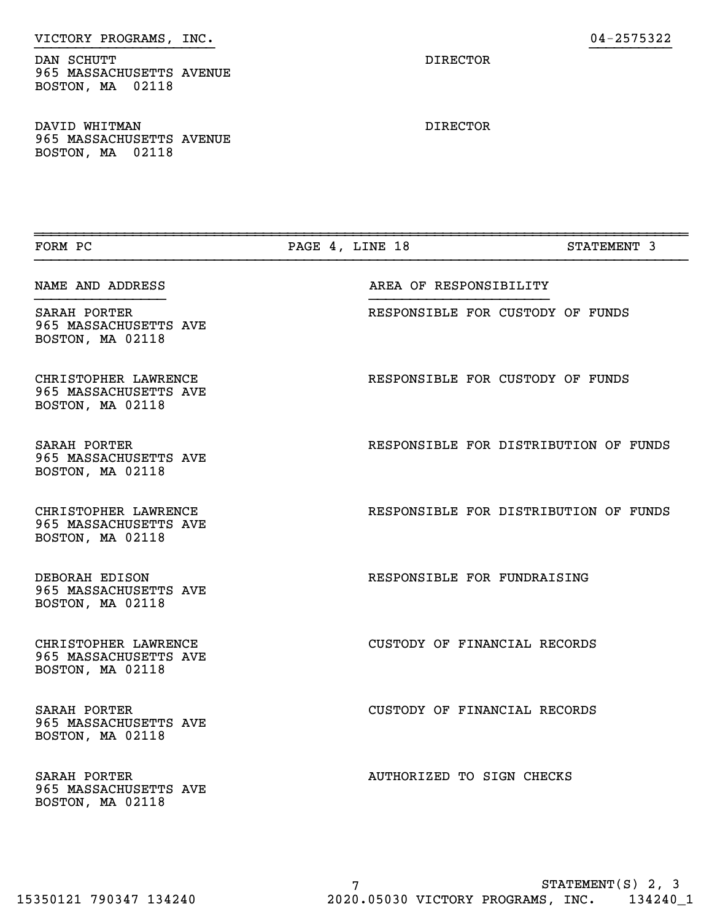#### VICTORY PROGRAMS, INC. 2002. The set of the set of the set of the set of the set of the set of the set of the set of the set of the set of the set of the set of the set of the set of the set of the set of the set of the se

DAN SCHUTT DIRECTOR 965 MASSACHUSETTS AVENUE BOSTON, MA 02118

DAVID WHITMAN DIRECTOR 965 MASSACHUSETTS AVENUE BOSTON, MA 02118

~~~~~~~~~~~~~~~~~~~~~~~~~~~~~~~~~~~~~~~~~~~~~~~~~~~~~~~~~~~~~~~~~~~~~~~~~~~~~~~~FORM PC PAGE 4, LINE 18 STATEMENT 3 NAME AND ADDRESS AREA OF RESPONSIBILITY }}}}}}}}}}}}}}}} }}}}}}}}}}}}}}}}}}}}}} SARAH PORTER **RESPONSIBLE FOR CUSTODY OF FUNDS** 965 MASSACHUSETTS AVE BOSTON, MA 02118 CHRISTOPHER LAWRENCE RESPONSIBLE FOR CUSTODY OF FUNDS 965 MASSACHUSETTS AVE BOSTON, MA 02118 SARAH PORTER **RESPONSIBLE FOR DISTRIBUTION OF FUNDS** 965 MASSACHUSETTS AVE BOSTON, MA 02118 CHRISTOPHER LAWRENCE **RESPONSIBLE FOR DISTRIBUTION OF FUNDS** 965 MASSACHUSETTS AVE BOSTON, MA 02118 DEBORAH EDISON RESPONSIBLE FOR FUNDRAISING 965 MASSACHUSETTS AVE BOSTON, MA 02118 CHRISTOPHER LAWRENCE CUSTODY OF FINANCIAL RECORDS 965 MASSACHUSETTS AVE BOSTON, MA 02118 SARAH PORTER CUSTODY OF FINANCIAL RECORDS 965 MASSACHUSETTS AVE BOSTON, MA 02118 SARAH PORTER **AUTHORIZED TO SIGN CHECKS** 965 MASSACHUSETTS AVE BOSTON, MA 02118

}}}}}}}}}}}}}}}}}}}}}} }}}}}}}}}}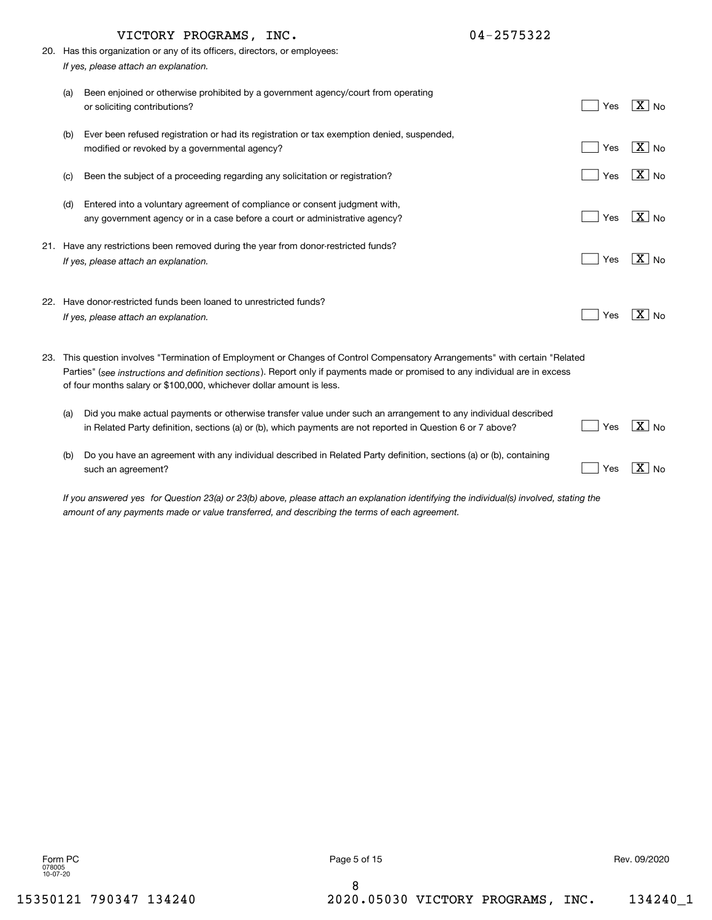|     | VICTORY PROGRAMS, INC.                                                                                                                                                                                                                                                                                                                | 04-2575322 |     |                       |
|-----|---------------------------------------------------------------------------------------------------------------------------------------------------------------------------------------------------------------------------------------------------------------------------------------------------------------------------------------|------------|-----|-----------------------|
|     | 20. Has this organization or any of its officers, directors, or employees:                                                                                                                                                                                                                                                            |            |     |                       |
|     | If yes, please attach an explanation.                                                                                                                                                                                                                                                                                                 |            |     |                       |
| (a) | Been enjoined or otherwise prohibited by a government agency/court from operating<br>or soliciting contributions?                                                                                                                                                                                                                     |            | Yes | $ \mathbf{X} $ No     |
| (b) | Ever been refused registration or had its registration or tax exemption denied, suspended,<br>modified or revoked by a governmental agency?                                                                                                                                                                                           |            | Yes | $\boxed{\text{X}}$ No |
| (c) | Been the subject of a proceeding regarding any solicitation or registration?                                                                                                                                                                                                                                                          |            | Yes | $ \mathbf{X} $ No     |
| (d) | Entered into a voluntary agreement of compliance or consent judgment with,<br>any government agency or in a case before a court or administrative agency?                                                                                                                                                                             |            | Yes | $\boxed{\text{X}}$ No |
|     | 21. Have any restrictions been removed during the year from donor-restricted funds?<br>If yes, please attach an explanation.                                                                                                                                                                                                          |            | Yes | $ X $ No.             |
|     | 22. Have donor-restricted funds been loaned to unrestricted funds?<br>If yes, please attach an explanation.                                                                                                                                                                                                                           |            | Yes | $ X $ No              |
|     | 23. This question involves "Termination of Employment or Changes of Control Compensatory Arrangements" with certain "Related<br>Parties" (see instructions and definition sections). Report only if payments made or promised to any individual are in excess<br>of four months salary or \$100,000, whichever dollar amount is less. |            |     |                       |
| (a) | Did you make actual payments or otherwise transfer value under such an arrangement to any individual described<br>in Related Party definition, sections (a) or (b), which payments are not reported in Question 6 or 7 above?                                                                                                         |            | Yes | $\boxed{\text{X}}$ No |
| (b) | Do you have an agreement with any individual described in Related Party definition, sections (a) or (b), containing<br>such an agreement?                                                                                                                                                                                             |            | Yes | $\sqrt{X}$ No         |

*If you answered for Question 23(a) or 23(b) above, please attach an explanation identifying the individual(s) involved, stating the yes amount of any payments made or value transferred, and describing the terms of each agreement.*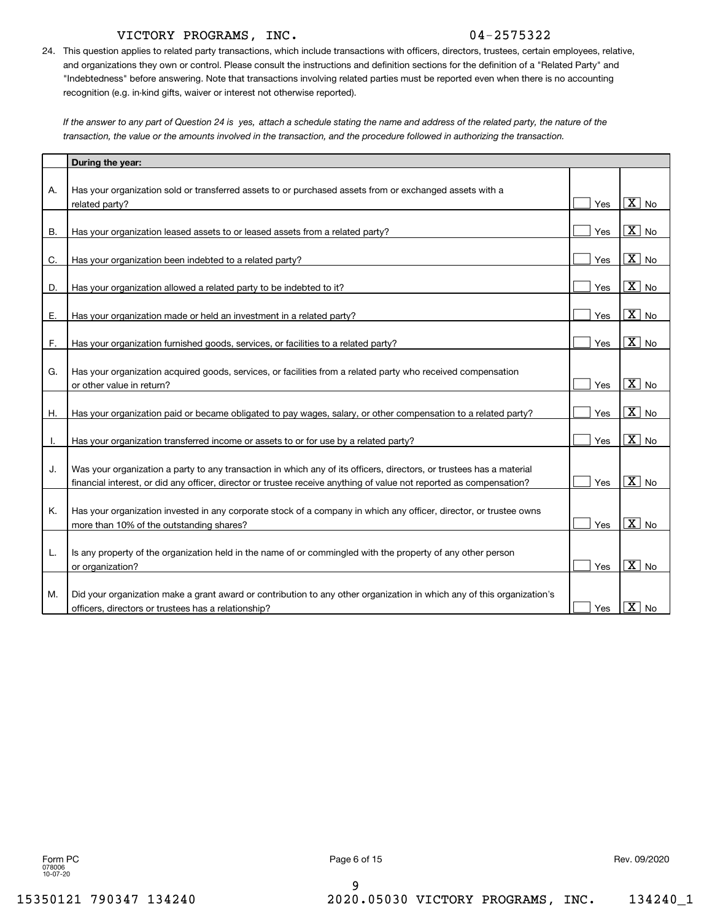24. This question applies to related party transactions, which include transactions with officers, directors, trustees, certain employees, relative, and organizations they own or control. Please consult the instructions and definition sections for the definition of a "Related Party" and "Indebtedness" before answering. Note that transactions involving related parties must be reported even when there is no accounting recognition (e.g. in-kind gifts, waiver or interest not otherwise reported).

If the answer to any part of Question 24 is yes, attach a schedule stating the name and address of the related party, the nature of the *transaction, the value or the amounts involved in the transaction, and the procedure followed in authorizing the transaction.*

|    | During the year:                                                                                                                                                                                                                            |     |                   |
|----|---------------------------------------------------------------------------------------------------------------------------------------------------------------------------------------------------------------------------------------------|-----|-------------------|
| А. | Has your organization sold or transferred assets to or purchased assets from or exchanged assets with a<br>related party?                                                                                                                   | Yes | $\overline{X}$ No |
| В. | Has your organization leased assets to or leased assets from a related party?                                                                                                                                                               | Yes | $\overline{X}$ No |
| C. | Has your organization been indebted to a related party?                                                                                                                                                                                     | Yes | $\overline{X}$ No |
| D. | Has your organization allowed a related party to be indebted to it?                                                                                                                                                                         | Yes | $\overline{X}$ No |
| Е. | Has your organization made or held an investment in a related party?                                                                                                                                                                        | Yes | $\overline{X}$ No |
| F. | Has your organization furnished goods, services, or facilities to a related party?                                                                                                                                                          | Yes | $\overline{X}$ No |
| G. | Has your organization acquired goods, services, or facilities from a related party who received compensation<br>or other value in return?                                                                                                   | Yes | $\overline{X}$ No |
| Η. | Has your organization paid or became obligated to pay wages, salary, or other compensation to a related party?                                                                                                                              | Yes | $\overline{X}$ No |
| Ι. | Has your organization transferred income or assets to or for use by a related party?                                                                                                                                                        | Yes | $\overline{X}$ No |
| J. | Was your organization a party to any transaction in which any of its officers, directors, or trustees has a material<br>financial interest, or did any officer, director or trustee receive anything of value not reported as compensation? | Yes | $\overline{X}$ No |
| Κ. | Has your organization invested in any corporate stock of a company in which any officer, director, or trustee owns<br>more than 10% of the outstanding shares?                                                                              | Yes | $\overline{X}$ No |
| L. | Is any property of the organization held in the name of or commingled with the property of any other person<br>or organization?                                                                                                             | Yes | $\overline{X}$ No |
| М. | Did your organization make a grant award or contribution to any other organization in which any of this organization's<br>officers, directors or trustees has a relationship?                                                               | Yes | $\overline{X}$ No |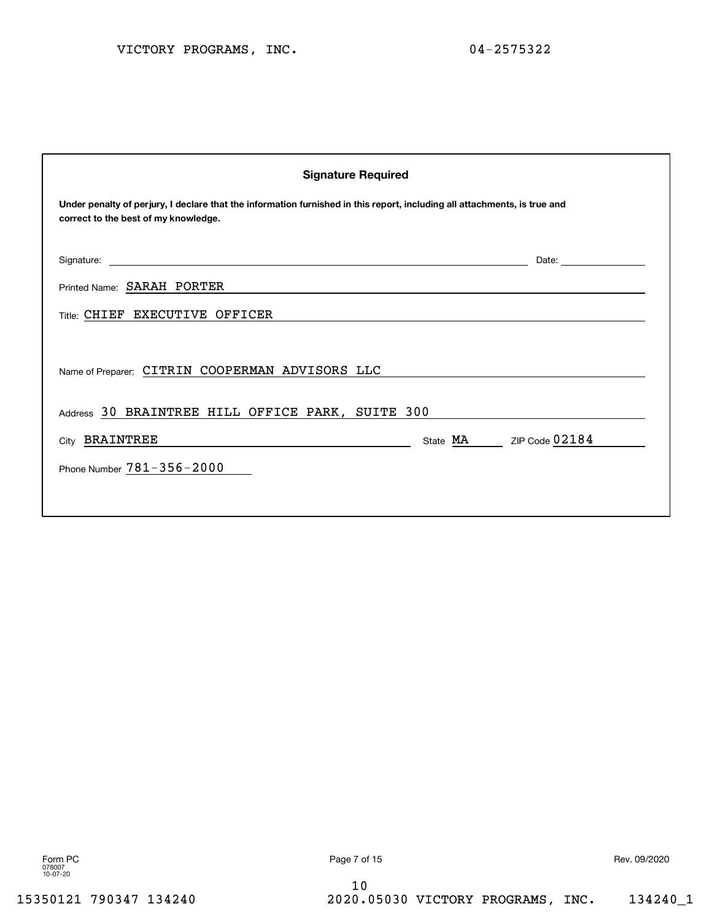| <b>Signature Required</b>                                                                                                                                         |                                                                                                                                                                                                                                |  |  |  |  |  |
|-------------------------------------------------------------------------------------------------------------------------------------------------------------------|--------------------------------------------------------------------------------------------------------------------------------------------------------------------------------------------------------------------------------|--|--|--|--|--|
| Under penalty of perjury, I declare that the information furnished in this report, including all attachments, is true and<br>correct to the best of my knowledge. |                                                                                                                                                                                                                                |  |  |  |  |  |
|                                                                                                                                                                   | Date: the contract of the contract of the contract of the contract of the contract of the contract of the contract of the contract of the contract of the contract of the contract of the contract of the contract of the cont |  |  |  |  |  |
| Printed Name: SARAH PORTER                                                                                                                                        |                                                                                                                                                                                                                                |  |  |  |  |  |
| Title: CHIEF EXECUTIVE OFFICER                                                                                                                                    |                                                                                                                                                                                                                                |  |  |  |  |  |
| Name of Preparer: CITRIN COOPERMAN ADVISORS LLC                                                                                                                   |                                                                                                                                                                                                                                |  |  |  |  |  |
| Address 30 BRAINTREE HILL OFFICE PARK, SUITE 300                                                                                                                  |                                                                                                                                                                                                                                |  |  |  |  |  |
| State MA ZIP Code 02184<br>City BRAINTREE                                                                                                                         |                                                                                                                                                                                                                                |  |  |  |  |  |
| Phone Number 781-356-2000                                                                                                                                         |                                                                                                                                                                                                                                |  |  |  |  |  |
|                                                                                                                                                                   |                                                                                                                                                                                                                                |  |  |  |  |  |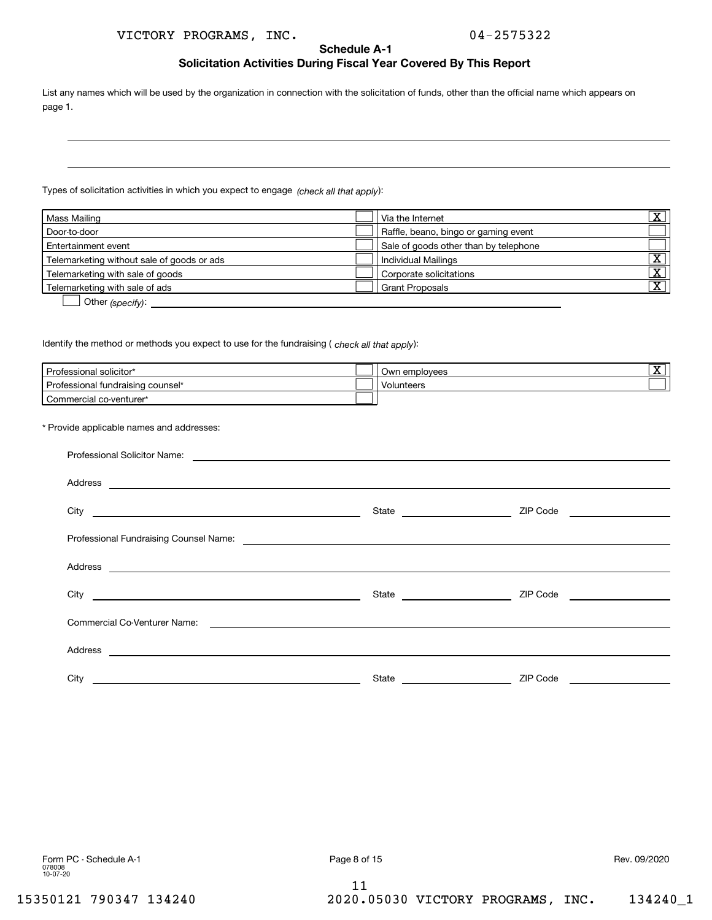# **Schedule A-1**

# **Solicitation Activities During Fiscal Year Covered By This Report**

List any names which will be used by the organization in connection with the solicitation of funds, other than the official name which appears on page 1.

Types of solicitation activities in which you expect to engage *(check all that apply*):

| Mass Mailing                                  | Via the Internet        | $\overline{z}$                        |
|-----------------------------------------------|-------------------------|---------------------------------------|
| Door-to-door                                  |                         | Raffle, beano, bingo or gaming event  |
| Entertainment event                           |                         | Sale of goods other than by telephone |
| Telemarketing without sale of goods or ads    | Individual Mailings     | ত                                     |
| Telemarketing with sale of goods              | Corporate solicitations | $\overline{\texttt{x}}$               |
| Telemarketing with sale of ads                | <b>Grant Proposals</b>  | $\overline{\mathbf{v}}$               |
| $Q_{\text{L}}$ $\sim$ $\sim$ $\sim$<br>$\sim$ |                         |                                       |

**D** Other (specify):

ldentify the method or methods you expect to use for the fundraising ( *check all that apply*):

| Professional solicitor*           | Own emplovees | -43 |
|-----------------------------------|---------------|-----|
| Professional fundraising counsel* | ' Volunteers  |     |
| i Commercial co-venturer*         |               |     |

#### \* Provide applicable names and addresses:

|                                                                                                                                                       | State ________________________ | ZIP Code <u>___________________</u>  |
|-------------------------------------------------------------------------------------------------------------------------------------------------------|--------------------------------|--------------------------------------|
|                                                                                                                                                       |                                |                                      |
|                                                                                                                                                       |                                |                                      |
|                                                                                                                                                       | State _______________________  | ZIP Code <u>____________________</u> |
| Commercial Co-Venturer Name:<br><u> 1980 - Andrea State Barbara, amerikan personal di sebagai personal di sebagai personal di sebagai personal di</u> |                                |                                      |
|                                                                                                                                                       |                                |                                      |
|                                                                                                                                                       |                                |                                      |
| City                                                                                                                                                  | State                          | ZIP Code                             |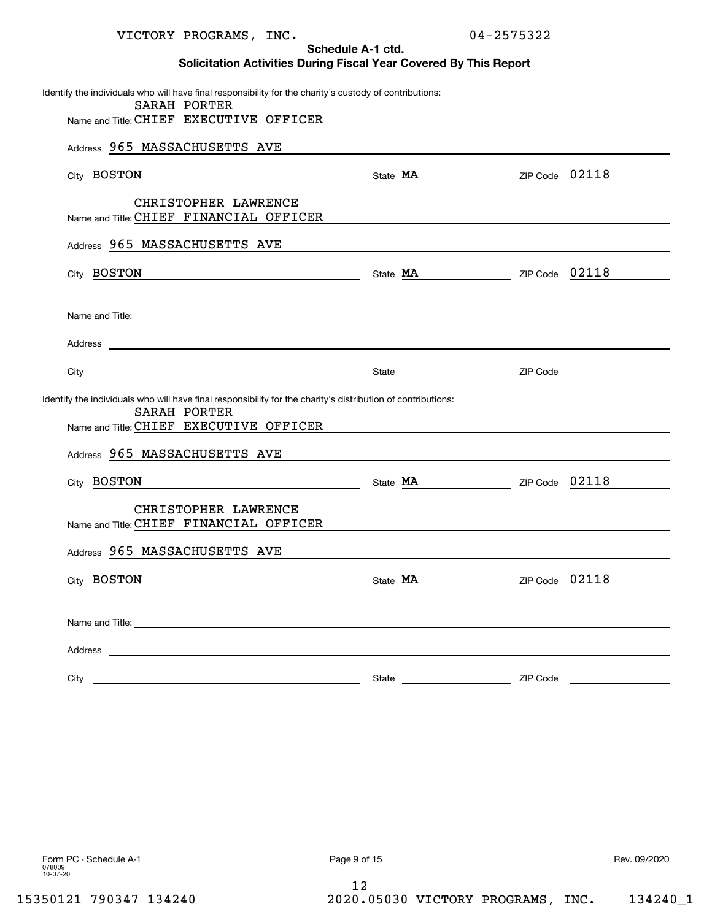| VICTORY PROGRAMS, INC.                                                                                                                                                                                                                  |                                                                                                                        | 04-2575322              |                                         |
|-----------------------------------------------------------------------------------------------------------------------------------------------------------------------------------------------------------------------------------------|------------------------------------------------------------------------------------------------------------------------|-------------------------|-----------------------------------------|
| Schedule A-1 ctd.<br><b>Solicitation Activities During Fiscal Year Covered By This Report</b>                                                                                                                                           |                                                                                                                        |                         |                                         |
|                                                                                                                                                                                                                                         |                                                                                                                        |                         |                                         |
| Identify the individuals who will have final responsibility for the charity's custody of contributions:<br>SARAH PORTER                                                                                                                 |                                                                                                                        |                         |                                         |
| Name and Title: CHIEF EXECUTIVE OFFICER                                                                                                                                                                                                 | and the control of the control of the control of the control of the control of the control of the control of the       |                         |                                         |
| Address 965 MASSACHUSETTS AVE                                                                                                                                                                                                           | <u> 1989 - Andrea Santa Andrea Andrea Santa Andrea Andrea Andrea Andrea Andrea Andrea Andrea Andrea Andrea Andre</u>   |                         |                                         |
| City <b>BOSTON</b> 21P Code 22118                                                                                                                                                                                                       |                                                                                                                        |                         |                                         |
| CHRISTOPHER LAWRENCE                                                                                                                                                                                                                    |                                                                                                                        |                         |                                         |
| Address 965 MASSACHUSETTS AVE                                                                                                                                                                                                           | <u> 1989 - Johann Stoff, deutscher Stoffen und der Stoffen und der Stoffen und der Stoffen und der Stoffen und der</u> |                         |                                         |
| City BOSTON State MA ZIP Code 02118                                                                                                                                                                                                     |                                                                                                                        |                         |                                         |
|                                                                                                                                                                                                                                         |                                                                                                                        |                         |                                         |
|                                                                                                                                                                                                                                         |                                                                                                                        |                         |                                         |
|                                                                                                                                                                                                                                         |                                                                                                                        |                         |                                         |
| Identify the individuals who will have final responsibility for the charity's distribution of contributions:<br>SARAH PORTER                                                                                                            |                                                                                                                        |                         |                                         |
| Name and Title: CHIEF EXECUTIVE OFFICER                                                                                                                                                                                                 | and the control of the control of the control of the control of the control of the control of the control of the       |                         |                                         |
| Address 965 MASSACHUSETTS AVE                                                                                                                                                                                                           | and the control of the control of the control of the control of the control of the control of the control of the       |                         |                                         |
| City <b>BOSTON</b> Case <b>BOSTON</b> CHARA CONSIDER THE COMBINEER OF STATE STATE STATE STATE STATE STATE STATE STATE STATE STATE STATE STATE STATE STATE STATE STATE STATE STATE STATE STATE STATE STATE STATE STATE STATE STATE STATE |                                                                                                                        |                         |                                         |
| CHRISTOPHER LAWRENCE<br>Name and Title: CHIEF FINANCIAL OFFICER                                                                                                                                                                         |                                                                                                                        |                         |                                         |
| Address 965 MASSACHUSETTS AVE                                                                                                                                                                                                           |                                                                                                                        |                         |                                         |
| City BOSTON City BOSTON                                                                                                                                                                                                                 |                                                                                                                        | State MA ZIP Code 02118 |                                         |
| Name and Title: <u>example and the second contract of the second contract of the second contract of the second contract of the second contract of the second contract of the second contract of the second contract of the secon</u>    |                                                                                                                        |                         |                                         |
|                                                                                                                                                                                                                                         |                                                                                                                        |                         |                                         |
|                                                                                                                                                                                                                                         | State                                                                                                                  | ZIP Code                | <u> 1989 - Johann Barbara, martxa a</u> |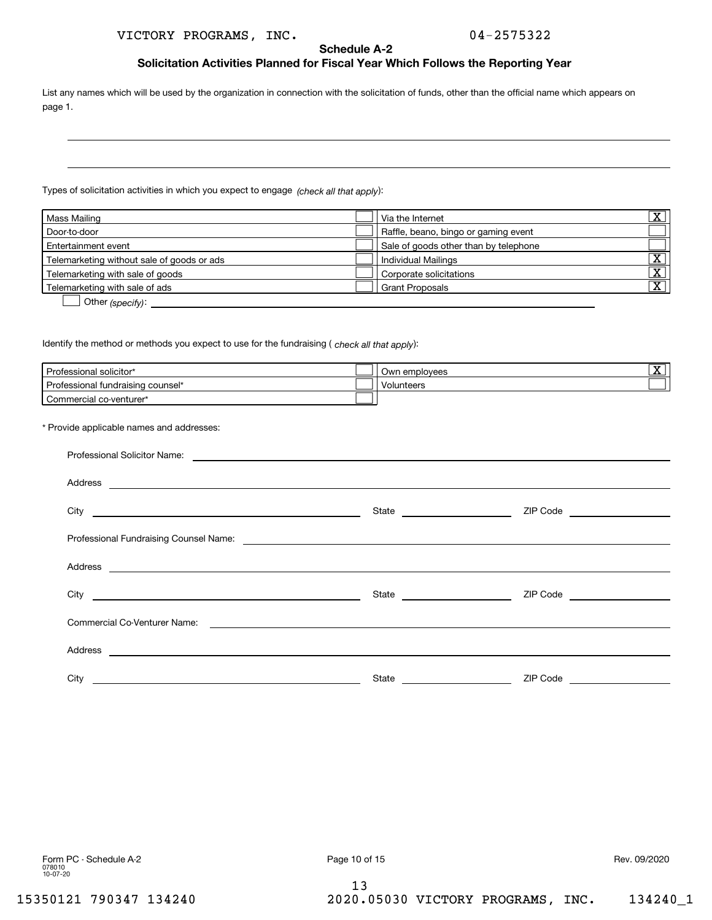# **Schedule A-2**

## **Solicitation Activities Planned for Fiscal Year Which Follows the Reporting Year**

List any names which will be used by the organization in connection with the solicitation of funds, other than the official name which appears on page 1.

Types of solicitation activities in which you expect to engage *(check all that apply*):

| Mass Mailing                               | l Via the Internet                    | $\overline{\mathbf{v}}$<br>▵ |
|--------------------------------------------|---------------------------------------|------------------------------|
| Door-to-door                               | Raffle, beano, bingo or gaming event  |                              |
| Entertainment event                        | Sale of goods other than by telephone |                              |
| Telemarketing without sale of goods or ads | l Individual Mailings                 | ᢦ<br>▵                       |
| Telemarketing with sale of goods           | Corporate solicitations               | $\overline{\textbf{v}}$<br>▵ |
| Telemarketing with sale of ads             | l Grant Proposals                     | ᢦ                            |
| $Q_{\text{L}}$<br>$\sim$                   |                                       |                              |

**b** Other (specify):

ldentify the method or methods you expect to use for the fundraising ( *check all that apply*):

| Professional solicitor*             | Own employees | ᠊ᢦᡔ<br>-41 |
|-------------------------------------|---------------|------------|
| I Professional fundraising counsel* | Volunteers    |            |
| Commercial co-venturer*             |               |            |

#### \* Provide applicable names and addresses:

|                                                                                                                                                                                                                                                                      |                                | ZIP Code _____________________ |
|----------------------------------------------------------------------------------------------------------------------------------------------------------------------------------------------------------------------------------------------------------------------|--------------------------------|--------------------------------|
|                                                                                                                                                                                                                                                                      |                                |                                |
|                                                                                                                                                                                                                                                                      |                                |                                |
|                                                                                                                                                                                                                                                                      | State ________________________ | ZIP Code _____________________ |
| Commercial Co-Venturer Name:<br><u> 1989 - Andrea State Barbara, amerikan personal dan personal dan personal dan personal dan personal dan personal dan personal dan personal dan personal dan personal dan personal dan personal dan personal dan personal dan </u> |                                |                                |
|                                                                                                                                                                                                                                                                      |                                |                                |
| City                                                                                                                                                                                                                                                                 | State                          | ZIP Code                       |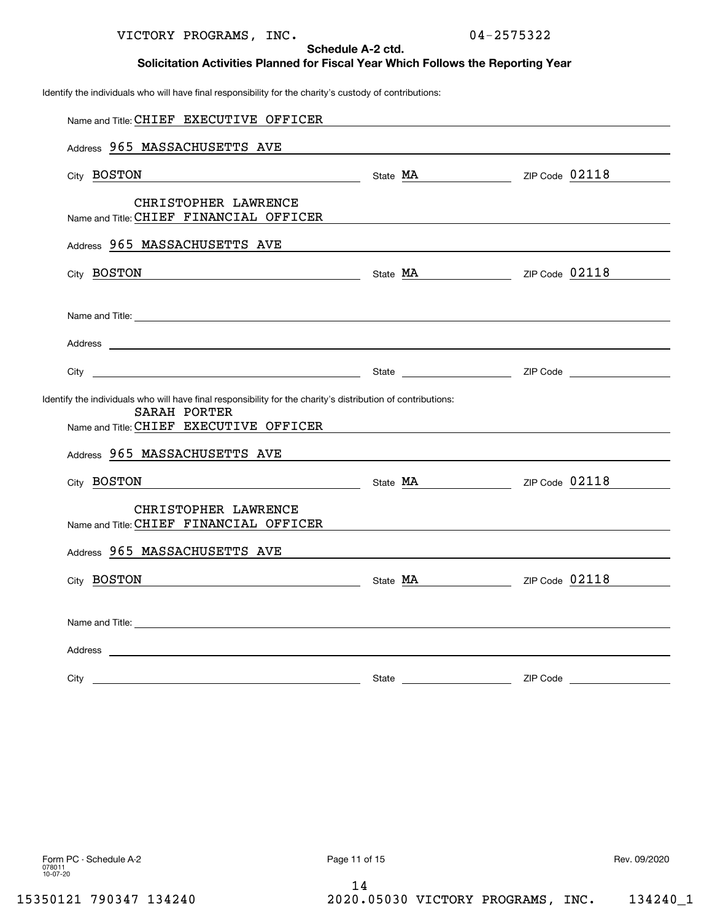| VICTORY PROGRAMS, INC.<br>Schedule A-2 ctd.<br>Solicitation Activities Planned for Fiscal Year Which Follows the Reporting Year                                                                                                                     |          | 04-2575322                                                                                                       |
|-----------------------------------------------------------------------------------------------------------------------------------------------------------------------------------------------------------------------------------------------------|----------|------------------------------------------------------------------------------------------------------------------|
| Identify the individuals who will have final responsibility for the charity's custody of contributions:                                                                                                                                             |          |                                                                                                                  |
| Name and Title: CHIEF EXECUTIVE OFFICER                                                                                                                                                                                                             |          |                                                                                                                  |
| Address 965 MASSACHUSETTS AVE                                                                                                                                                                                                                       |          | and the control of the control of the control of the control of the control of the control of the control of the |
| City BOSTON<br><u> 1989 - Johann Barnett, fransk politik (</u>                                                                                                                                                                                      |          | State MA ZIP Code 02118                                                                                          |
| CHRISTOPHER LAWRENCE<br>Name and Title: CHIEF FINANCIAL OFFICER                                                                                                                                                                                     |          |                                                                                                                  |
| Address 965 MASSACHUSETTS AVE                                                                                                                                                                                                                       |          |                                                                                                                  |
| City BOSTON<br><u> 1989 - Jan Salaman, mangang mga kalendar ng mga kalendar ng mga kalendar ng mga kalendar ng mga kalendar ng mga kalendar ng mga kalendar ng mga kalendar ng mga kalendar ng mga kalendar ng mga kalendar ng mga kalendar ng </u> |          | State MA ZIP Code 02118                                                                                          |
|                                                                                                                                                                                                                                                     |          |                                                                                                                  |
|                                                                                                                                                                                                                                                     |          |                                                                                                                  |
| <u> 1980 - Johann Barn, fransk politik formuler (d. 1980)</u><br>City                                                                                                                                                                               |          | ZIP Code ____________________                                                                                    |
| Identify the individuals who will have final responsibility for the charity's distribution of contributions:<br>SARAH PORTER<br>Name and Title: CHIEF EXECUTIVE OFFICER                                                                             |          |                                                                                                                  |
| Address 965 MASSACHUSETTS AVE                                                                                                                                                                                                                       |          |                                                                                                                  |
| <b>BOSTON</b><br>City                                                                                                                                                                                                                               | State MA | ZIP Code 02118                                                                                                   |
| CHRISTOPHER LAWRENCE<br>Name and Title: CHIEF FINANCIAL OFFICER                                                                                                                                                                                     |          |                                                                                                                  |
| Address 965 MASSACHUSETTS AVE                                                                                                                                                                                                                       |          |                                                                                                                  |
| City BOSTON 2008 20118                                                                                                                                                                                                                              |          |                                                                                                                  |
| Name and Title: <u>example and the series of the series of the series of the series of the series of the series of the series of the series of the series of the series of the series of the series of the series of the series </u>                |          |                                                                                                                  |
|                                                                                                                                                                                                                                                     |          |                                                                                                                  |
|                                                                                                                                                                                                                                                     |          |                                                                                                                  |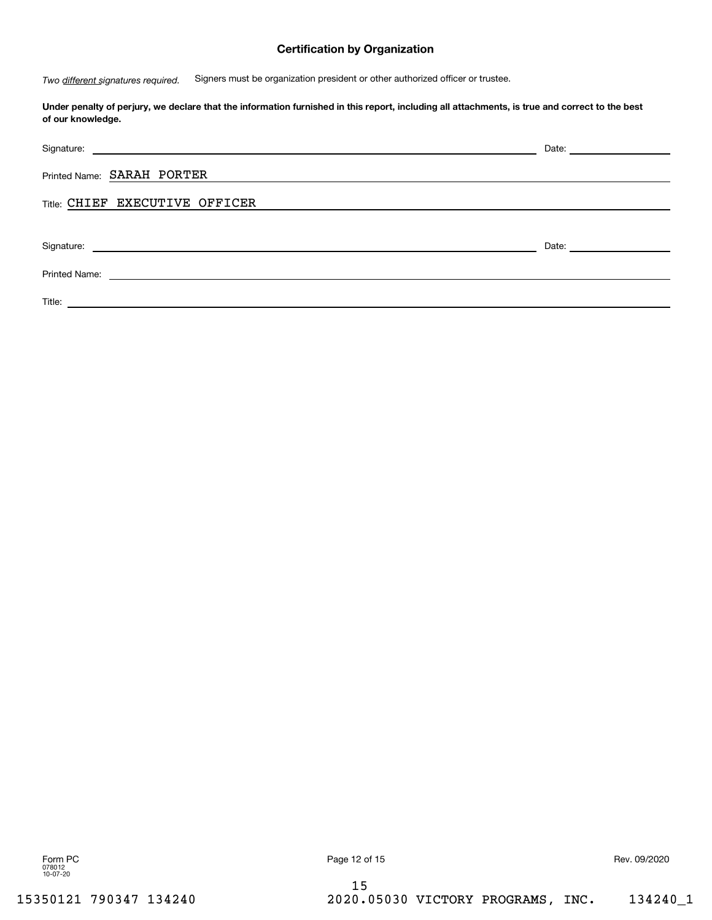## **Certification by Organization**

 Signers must be organization president or other authorized officer or trustee. *Two different signatures required.*

**Under penalty of perjury, we declare that the information furnished in this report, including all attachments, is true and correct to the best of our knowledge.**

|                                                                       | Date: ______________________     |
|-----------------------------------------------------------------------|----------------------------------|
| Printed Name: SARAH PORTER                                            |                                  |
| Title: CHIEF EXECUTIVE OFFICER                                        |                                  |
|                                                                       |                                  |
|                                                                       | Date: <u>___________________</u> |
|                                                                       |                                  |
| Title:<br><u> 1980 - Jan Sterling, amerikansk politiker (d. 1980)</u> |                                  |

078012 10-07-20

15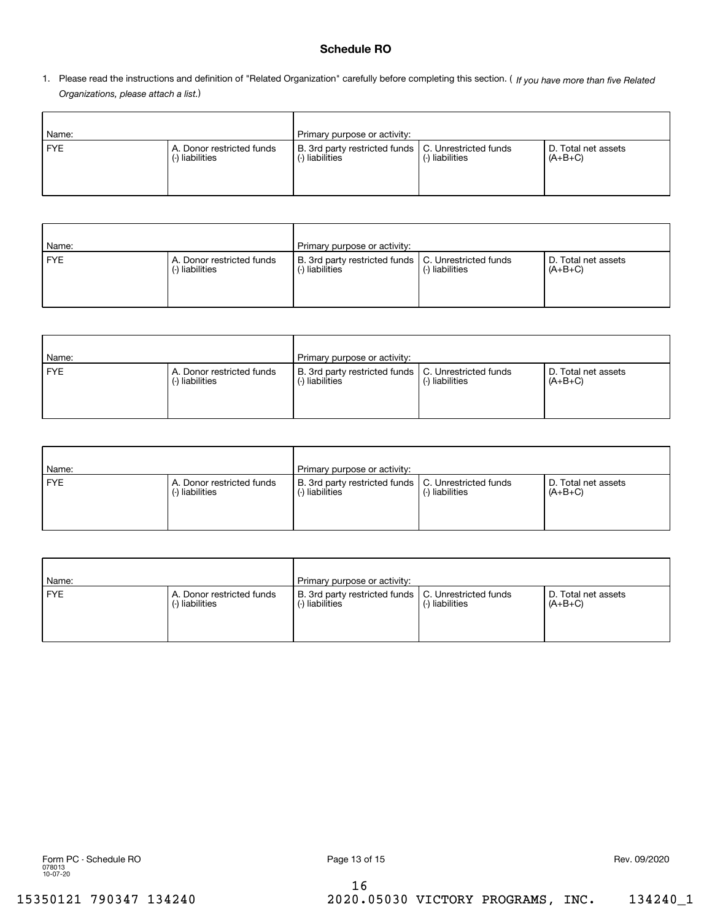#### **Schedule RO**

1. Please read the instructions and definition of "Related Organization" carefully before completing this section. (*If you have more than five Related Organizations, please attach a list.* )

| Name:      |                                              | Primary purpose or activity:                                                               |  |                                  |  |
|------------|----------------------------------------------|--------------------------------------------------------------------------------------------|--|----------------------------------|--|
| <b>FYE</b> | A. Donor restricted funds<br>(-) liabilities | B. 3rd party restricted funds   C. Unrestricted funds<br>(-) liabilities<br>() liabilities |  | D. Total net assets<br>$(A+B+C)$ |  |

| Name:      |                                              | Primary purpose or activity:                                             |                 |                                  |
|------------|----------------------------------------------|--------------------------------------------------------------------------|-----------------|----------------------------------|
| <b>FYE</b> | A. Donor restricted funds<br>(-) liabilities | B. 3rd party restricted funds   C. Unrestricted funds<br>(-) liabilities | (-) liabilities | D. Total net assets<br>$(A+B+C)$ |

| Name:      |                                              | Primary purpose or activity:                                         |                 |                                  |
|------------|----------------------------------------------|----------------------------------------------------------------------|-----------------|----------------------------------|
| <b>FYE</b> | A. Donor restricted funds<br>(-) liabilities | B. 3rd party restricted funds   C. Unrestricted funds<br>Iiabilities | (-) liabilities | D. Total net assets<br>$(A+B+C)$ |

| Name:      |                                              | Primary purpose or activity:                                             |                |                                  |
|------------|----------------------------------------------|--------------------------------------------------------------------------|----------------|----------------------------------|
| <b>FYE</b> | A. Donor restricted funds<br>(-) liabilities | B. 3rd party restricted funds   C. Unrestricted funds<br>(-) liabilities | () liabilities | D. Total net assets<br>$(A+B+C)$ |

| Name:      |                                              | Primary purpose or activity:                                             |                 |                                  |
|------------|----------------------------------------------|--------------------------------------------------------------------------|-----------------|----------------------------------|
| <b>FYE</b> | A. Donor restricted funds<br>(-) liabilities | B. 3rd party restricted funds   C. Unrestricted funds<br>(-) liabilities | (-) liabilities | D. Total net assets<br>$(A+B+C)$ |

16